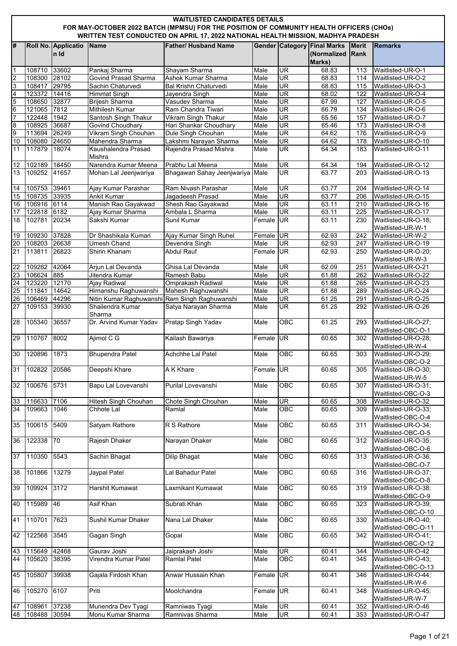|                 | <b>WAITLISTED CANDIDATES DETAILS</b><br>FOR MAY-OCTOBER 2022 BATCH (MPMSU) FOR THE POSITION OF COMMUNITY HEALTH OFFICERS (CHOs)<br>WRITTEN TEST CONDUCTED ON APRIL 17, 2022 NATIONAL HEALTH MISSION, MADHYA PRADESH |                              |                                               |                                                     |              |                          |                                                             |                      |                                            |  |  |
|-----------------|---------------------------------------------------------------------------------------------------------------------------------------------------------------------------------------------------------------------|------------------------------|-----------------------------------------------|-----------------------------------------------------|--------------|--------------------------|-------------------------------------------------------------|----------------------|--------------------------------------------|--|--|
| l#              |                                                                                                                                                                                                                     | Roll No. Applicatio<br>In Id | <b>Name</b>                                   | <b>Father/ Husband Name</b>                         |              |                          | <b>Gender Category Final Marks</b><br>(Normalized<br>Marks) | <b>Merit</b><br>Rank | <b>Remarks</b>                             |  |  |
| $\vert$ 1       | 108710 33602                                                                                                                                                                                                        |                              | Pankaj Sharma                                 | Shayam Sharma                                       | Male         | UR                       | 68.83                                                       | 113                  | Waitlisted-UR-O-1                          |  |  |
| $\overline{2}$  | 108300                                                                                                                                                                                                              | 28102                        | Govind Prasad Sharma                          | Ashok Kumar Sharma                                  | Male         | <b>UR</b>                | 68.83                                                       | 114                  | Waitlisted-UR-O-2                          |  |  |
| 3               | 108417                                                                                                                                                                                                              | 29795                        | Sachin Chaturvedi                             | Bal Krishn Chaturvedi                               | Male         | <b>UR</b>                | 68.83                                                       | 115                  | Waitlisted-UR-O-3                          |  |  |
| $\overline{4}$  | 123372 14416                                                                                                                                                                                                        |                              | <b>Himmat Singh</b>                           | Jayendra Singh                                      | Male         | UR                       | 68.02                                                       | 122                  | Waitlisted-UR-O-4                          |  |  |
| 5               | 108650                                                                                                                                                                                                              | 32877                        | Brijesh Sharma                                | Vasudev Sharma                                      | Male         | <b>UR</b>                | 67.99                                                       | 127                  | Waitlisted-UR-O-5                          |  |  |
| $\overline{6}$  | 121065 7812                                                                                                                                                                                                         |                              | Mithilesh Kumar                               | Ram Chandra Tiwari                                  | Male         | UR                       | 66.79                                                       | 134                  | Waitlisted-UR-O-6                          |  |  |
| $\overline{7}$  | 122448 1942                                                                                                                                                                                                         |                              | Santosh Singh Thakur                          | Vikram Singh Thakur                                 | Male         | <b>UR</b>                | 65.56                                                       | 157                  | Waitlisted-UR-O-7                          |  |  |
| 8               | 108925 36687                                                                                                                                                                                                        |                              | <b>Govind Choudhary</b>                       | Hari Shankar Choudhary                              | Male         | UR                       | 65.46                                                       | 173                  | Waitlisted-UR-O-8                          |  |  |
| 9               | 113694 26249                                                                                                                                                                                                        |                              | Vikram Singh Chouhan                          | Dule Singh Chouhan                                  | Male         | UR                       | 64.62                                                       | 176                  | Waitlisted-UR-O-9                          |  |  |
| 10              | 108080 24650                                                                                                                                                                                                        |                              | Mahendra Sharma                               | Lakshmi Narayan Sharma                              | Male         | UR                       | 64.62                                                       | 178                  | Waitlisted-UR-O-10                         |  |  |
| 11              | 117879                                                                                                                                                                                                              | 18074                        | Kaushalendra Prasad<br>Mishra                 | Rajendra Prasad Mishra                              | Male         | UR                       | 64.34                                                       | 183                  | Waitlisted-UR-O-11                         |  |  |
| 12<br>13        | 102189 16450<br>109252 41657                                                                                                                                                                                        |                              | Narendra Kumar Meena<br>Mohan Lal Jeenjwariya | Prabhu Lal Meena<br>Bhagawan Sahay Jeenjwariya Male | Male         | UR<br>UR                 | 64.34<br>63.77                                              | 194<br>203           | Waitlisted-UR-O-12<br>Waitlisted-UR-O-13   |  |  |
|                 | 105753 39461                                                                                                                                                                                                        |                              |                                               | Ram Nivash Parashar                                 | Male         | UR                       |                                                             | 204                  |                                            |  |  |
| 14              |                                                                                                                                                                                                                     | 33935                        | Ajay Kumar Parashar<br><b>Ankit Kumar</b>     |                                                     |              | $\overline{\mathsf{UR}}$ | 63.77<br>63.77                                              |                      | Waitlisted-UR-O-14<br>Waitlisted-UR-O-15   |  |  |
| 15<br>16        | 108735<br>106916 6114                                                                                                                                                                                               |                              | Manish Rao Gayakwad                           | Jagadeesh Prasad<br>Shesh Rao Gayakwad              | Male<br>Male | UR                       |                                                             | 206                  | Waitlisted-UR-O-16                         |  |  |
| 17              | 122818 6182                                                                                                                                                                                                         |                              | Ajay Kumar Sharma                             | Ambala L Sharma                                     | Male         | <b>UR</b>                | 63.11<br>63.11                                              | 210<br>225           | Waitlisted-UR-O-17                         |  |  |
| 18              | 102781                                                                                                                                                                                                              | 20234                        | Sakshi Kumar                                  | Sunil Kumar                                         | Female UR    |                          | 63.11                                                       | 230                  | Waitlisted-UR-O-18;                        |  |  |
|                 |                                                                                                                                                                                                                     |                              |                                               |                                                     |              |                          |                                                             |                      | Waitlisted-UR-W-1                          |  |  |
| 19              | 109230                                                                                                                                                                                                              | 37828                        | Dr Shashikala Kumari                          | Ajay Kumar Singh Ruhel                              | Female       | UR                       | 62.93                                                       | 242                  | Waitlisted-UR-W-2                          |  |  |
| 20              | 108203 26638                                                                                                                                                                                                        |                              | Umesh Chand                                   | Devendra Singh                                      | Male         | UR                       | 62.93                                                       | 247                  | Waitlisted-UR-O-19                         |  |  |
| 21              | 113811                                                                                                                                                                                                              | 26823                        | Shirin Khanam                                 | <b>Abdul Rauf</b>                                   | Female UR    |                          | 62.93                                                       | 250                  | Waitlisted-UR-O-20;                        |  |  |
|                 |                                                                                                                                                                                                                     |                              |                                               |                                                     |              |                          |                                                             |                      | Waitlisted-UR-W-3                          |  |  |
| $\overline{22}$ | 109282 42064                                                                                                                                                                                                        |                              | Arjun Lal Devanda                             | Ghisa Lal Devanda                                   | Male         | <b>UR</b>                | 62.09                                                       | 251                  | Waitlisted-UR-O-21                         |  |  |
| 23              | 106624 885                                                                                                                                                                                                          |                              | Jitendra Kumar                                | Ramesh Babu                                         | Male         | JR                       | 61.88                                                       | 262                  | Waitlisted-UR-O-22                         |  |  |
| 24              | 123220                                                                                                                                                                                                              | 12170                        | <b>Ajay Radiwal</b>                           | Omprakash Radiwal                                   | Male         | UR                       | 61.88                                                       | 265                  | Waitlisted-UR-O-23                         |  |  |
| 25              | 111841                                                                                                                                                                                                              | 14642                        | Himanshu Raghuwanshi                          | Mahesh Raghuwanshi                                  | Male         | <b>UR</b>                | 61.88                                                       | 289                  | Waitlisted-UR-O-24                         |  |  |
| 26              | 106469                                                                                                                                                                                                              | 44296                        | Nitin Kumar Raghuwanshi Ram Singh Raghuwanshi |                                                     | Male         | UR                       | 61.25                                                       | 291                  | Waitlisted-UR-O-25                         |  |  |
| 27              | 109153 39930                                                                                                                                                                                                        |                              | Shailendra Kumar<br>Sharma                    | Satya Narayan Sharma                                | Male         | UR                       | 61.25                                                       | 292                  | Waitlisted-UR-O-26                         |  |  |
| 28              | 105340                                                                                                                                                                                                              | 36557                        | Dr. Arvind Kumar Yadav                        | Pratap Singh Yadav                                  | Male         | OBC                      | 61.25                                                       | 293                  | Waitlisted-UR-O-27;<br>Waitlisted-OBC-O-1  |  |  |
| 29              | 110767                                                                                                                                                                                                              | 8002                         | Ajimol C G                                    | Kailash Bawariya                                    | Female UR    |                          | 60.65                                                       | 302                  | Waitlisted-UR-O-28;<br>Waitlisted-UR-W-4   |  |  |
| 30              | 120896                                                                                                                                                                                                              | 1873                         | <b>Bhupendra Patel</b>                        | <b>Achchhe Lal Patel</b>                            | Male         | OBC                      | 60.65                                                       | 303                  | Waitlisted-UR-O-29;<br>Waitlisted-OBC-O-2  |  |  |
| $\frac{1}{2}$   | 102822                                                                                                                                                                                                              | 20586                        | Deepshi Khare                                 | A K Khare                                           | Female UR    |                          | 60.65                                                       | 305                  | Waitlisted-UR-O-30:<br>Waitlisted-UR-W-5   |  |  |
| 32              | 100676                                                                                                                                                                                                              | 5731                         | Bapu Lal Lovevanshi                           | Purilal Lovevanshi                                  | Male         | $\overline{O}$ BC        | 60.65                                                       | 307                  | Waitlisted-UR-O-31;<br>Waitlisted-OBC-O-3  |  |  |
| 33              | 116633                                                                                                                                                                                                              | 7106                         | Hitesh Singh Chouhan                          | Chote Singh Chouhan                                 | Male         | UR                       | 60.65                                                       | 308                  | Waitlisted-UR-O-32                         |  |  |
| 34              | 109663                                                                                                                                                                                                              | 1046                         | Chhote Lal                                    | Ramlal                                              | Male         | OBC                      | 60.65                                                       | 309                  | Waitlisted-UR-O-33;<br>Waitlisted-OBC-O-4  |  |  |
| 35              | 100615                                                                                                                                                                                                              | 5409                         | Satyam Rathore                                | R S Rathore                                         | Male         | OBC                      | 60.65                                                       | 311                  | Waitlisted-UR-O-34;<br>Waitlisted-OBC-O-5  |  |  |
| 36              | 122338                                                                                                                                                                                                              | 70                           | Rajesh Dhaker                                 | Narayan Dhaker                                      | Male         | $\overline{OBC}$         | 60.65                                                       | 312                  | Waitlisted-UR-O-35;<br>Waitlisted-OBC-O-6  |  |  |
| 37              | 110350                                                                                                                                                                                                              | 5543                         | Sachin Bhagat                                 | Dilip Bhagat                                        | Male         | OBC                      | 60.65                                                       | 313                  | Waitlisted-UR-O-36:<br>Waitlisted-OBC-O-7  |  |  |
| 38              | 101866                                                                                                                                                                                                              | 13279                        | Jaypal Patel                                  | Lal Bahadur Patel                                   | Male         | OBC                      | 60.65                                                       | 316                  | Waitlisted-UR-O-37;<br>Waitlisted-OBC-O-8  |  |  |
| 39              | 109924                                                                                                                                                                                                              | 3172                         | <b>Harshit Kumawat</b>                        | Laxmikant Kumawat                                   | Male         | OBC                      | 60.65                                                       | 319                  | Waitlisted-UR-O-38;<br>Waitlisted-OBC-O-9  |  |  |
| 40              | 115989                                                                                                                                                                                                              | 46                           | <b>Asif Khan</b>                              | Subrati Khan                                        | Male         | OBC                      | 60.65                                                       | 323                  | Waitlisted-UR-O-39;<br>Waitlisted-OBC-O-10 |  |  |
| 41              | 110701                                                                                                                                                                                                              | 7623                         | Sushil Kumar Dhaker                           | Nana Lal Dhaker                                     | Male         | OBC                      | 60.65                                                       | 330                  | Waitlisted-UR-O-40;<br>Waitlisted-OBC-O-11 |  |  |
| 42              | 122568                                                                                                                                                                                                              | 3545                         | Gagan Singh                                   | Gopal                                               | Male         | OBC                      | 60.65                                                       | 342                  | Waitlisted-UR-O-41;<br>Waitlisted-OBC-O-12 |  |  |
| 43<br>44        | 115649 42468<br>105620                                                                                                                                                                                              | 38395                        | Gaurav Joshi<br>Virendra Kumar Patel          | Jaiprakash Joshi<br><b>Ramlal Patel</b>             | Male<br>Male | UR<br>OBC                | 60.41<br>60.41                                              | 344<br>345           | Waitlisted-UR-O-42<br>Waitlisted-UR-O-43;  |  |  |
| 45              | 105807                                                                                                                                                                                                              | 39938                        | Gajala Firdosh Khan                           | Anwar Hussain Khan                                  | Female UR    |                          | 60.41                                                       | 346                  | Waitlisted-OBC-O-13<br>Waitlisted-UR-O-44; |  |  |
| 46              | 105270                                                                                                                                                                                                              | 6107                         | Priti                                         | Moolchandra                                         | Female UR    |                          | 60.41                                                       | 348                  | Waitlisted-UR-W-6<br>Waitlisted-UR-O-45;   |  |  |
|                 |                                                                                                                                                                                                                     |                              |                                               |                                                     |              |                          |                                                             |                      | Waitlisted-UR-W-7                          |  |  |
| 47              | 108961                                                                                                                                                                                                              | 37238                        | Munendra Dev Tyagi                            | Ramniwas Tyagi                                      | Male         | UR                       | 60.41                                                       | 352                  | Waitlisted-UR-O-46                         |  |  |
| 48              | 108488                                                                                                                                                                                                              | 30594                        | Monu Kumar Sharma                             | Ramnivas Sharma                                     | Male         | UR                       | 60.41                                                       | 353                  | Waitlisted-UR-O-47                         |  |  |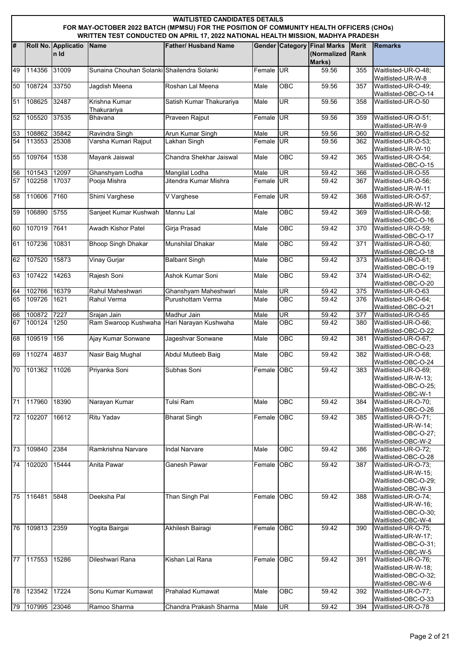|          | <b>WAITLISTED CANDIDATES DETAILS</b>                                                                                                                                        |                             |                                                           |                             |              |            |                                                             |                             |                                                                                          |  |  |  |
|----------|-----------------------------------------------------------------------------------------------------------------------------------------------------------------------------|-----------------------------|-----------------------------------------------------------|-----------------------------|--------------|------------|-------------------------------------------------------------|-----------------------------|------------------------------------------------------------------------------------------|--|--|--|
|          | FOR MAY-OCTOBER 2022 BATCH (MPMSU) FOR THE POSITION OF COMMUNITY HEALTH OFFICERS (CHOs)<br>WRITTEN TEST CONDUCTED ON APRIL 17, 2022 NATIONAL HEALTH MISSION, MADHYA PRADESH |                             |                                                           |                             |              |            |                                                             |                             |                                                                                          |  |  |  |
| #        |                                                                                                                                                                             | Roll No. Applicatio<br>n Id | Name                                                      | <b>Father/ Husband Name</b> |              |            | <b>Gender Category Final Marks</b><br>(Normalized<br>Marks) | <b>Merit</b><br><b>Rank</b> | <b>Remarks</b>                                                                           |  |  |  |
| 49       | 114356                                                                                                                                                                      | 31009                       | Sunaina Chouhan Solanki Shailendra Solanki                |                             | Female UR    |            | 59.56                                                       | 355                         | Waitlisted-UR-O-48;<br>Waitlisted-UR-W-8                                                 |  |  |  |
| 50       | 108724                                                                                                                                                                      | 33750                       | Jagdish Meena                                             | Roshan Lal Meena            | Male         | OBC        | 59.56                                                       | 357                         | Waitlisted-UR-O-49;<br>Waitlisted-OBC-O-14                                               |  |  |  |
| 51       | 108625                                                                                                                                                                      | 32487                       | Krishna Kumar<br>Thakurariya                              | Satish Kumar Thakurariya    | Male         | <b>UR</b>  | 59.56                                                       | 358                         | Waitlisted-UR-O-50                                                                       |  |  |  |
| 52       | 105520                                                                                                                                                                      | 37535                       | <b>Bhavana</b>                                            | Praveen Rajput              | Female UR    |            | 59.56                                                       | 359                         | Waitlisted-UR-O-51;<br>Waitlisted-UR-W-9                                                 |  |  |  |
| 53       | 108862 35842                                                                                                                                                                |                             | Ravindra Singh                                            | <b>Arun Kumar Singh</b>     | Male         | <b>UR</b>  | 59.56                                                       | 360                         | Waitlisted-UR-O-52                                                                       |  |  |  |
| 54       | 113553 25308                                                                                                                                                                |                             | Varsha Kumari Rajput                                      | Lakhan Singh                | Female UR    |            | 59.56                                                       | 362                         | Waitlisted-UR-O-53:<br>Waitlisted-UR-W-10                                                |  |  |  |
| 55       | 109764                                                                                                                                                                      | 1538                        | Mayank Jaiswal                                            | Chandra Shekhar Jaiswal     | Male         | OBC        | 59.42                                                       | 365                         | Waitlisted-UR-O-54;<br>Waitlisted-OBC-O-15                                               |  |  |  |
| 56       | 101543                                                                                                                                                                      | 12097                       | Ghanshyam Lodha                                           | Mangilal Lodha              | Male         | <b>UR</b>  | $\overline{59.42}$                                          | 366                         | Waitlisted-UR-O-55                                                                       |  |  |  |
| 57       | 102258                                                                                                                                                                      | 17037                       | Pooja Mishra                                              | Jitendra Kumar Mishra       | Female UR    |            | 59.42                                                       | 367                         | Waitlisted-UR-O-56;<br>Waitlisted-UR-W-11                                                |  |  |  |
| 58       | 110606                                                                                                                                                                      | 7160                        | Shimi Varghese                                            | V Varghese                  | Female       | <b>UR</b>  | 59.42                                                       | 368                         | Waitlisted-UR-O-57;<br>Waitlisted-UR-W-12                                                |  |  |  |
| 59       | 106890                                                                                                                                                                      | 5755                        | Sanjeet Kumar Kushwah                                     | Mannu Lal                   | Male         | OBC        | 59.42                                                       | 369                         | Waitlisted-UR-O-58;<br>Waitlisted-OBC-O-16                                               |  |  |  |
| 60       | 107019                                                                                                                                                                      | 7641                        | Awadh Kishor Patel                                        | Girja Prasad                | Male         | OBC        | 59.42                                                       | 370                         | Waitlisted-UR-O-59;<br>Waitlisted-OBC-O-17                                               |  |  |  |
| 61       | 107236                                                                                                                                                                      | 10831                       | <b>Bhoop Singh Dhakar</b>                                 | <b>Munshilal Dhakar</b>     | Male         | <b>OBC</b> | 59.42                                                       | 371                         | Waitlisted-UR-O-60;<br>Waitlisted-OBC-O-18                                               |  |  |  |
| 62       | 107520                                                                                                                                                                      | 15873                       | Vinay Gurjar                                              | <b>Balbant Singh</b>        | Male         | OBC        | 59.42                                                       | 373                         | Waitlisted-UR-O-61;<br>Waitlisted-OBC-O-19                                               |  |  |  |
| 63       | 107422                                                                                                                                                                      | 14263                       | Rajesh Soni                                               | Ashok Kumar Soni            | Male         | OBC        | 59.42                                                       | 374                         | Waitlisted-UR-O-62;                                                                      |  |  |  |
| 64       | 102766                                                                                                                                                                      | 16379                       | Rahul Maheshwari                                          | Ghanshyam Maheshwari        | Male         | <b>UR</b>  | 59.42                                                       | 375                         | Waitlisted-OBC-O-20<br>Waitlisted-UR-O-63                                                |  |  |  |
| 65       | 109726                                                                                                                                                                      | 1621                        | Rahul Verma                                               | Purushottam Verma           | Male         | OBC        | 59.42                                                       | 376                         | Waitlisted-UR-O-64;                                                                      |  |  |  |
|          |                                                                                                                                                                             |                             |                                                           |                             |              |            |                                                             |                             | Waitlisted-OBC-O-21                                                                      |  |  |  |
| 66<br>67 | 100872 7227<br>100124                                                                                                                                                       | 1250                        | Sraian Jain<br>Ram Swaroop Kushwaha Hari Narayan Kushwaha | Madhur Jain                 | Male<br>Male | UR<br>OBC  | 59.42<br>59.42                                              | 377<br>380                  | Waitlisted-UR-O-65<br>Waitlisted-UR-O-66;                                                |  |  |  |
|          |                                                                                                                                                                             |                             |                                                           |                             |              |            |                                                             |                             | Waitlisted-OBC-O-22                                                                      |  |  |  |
| 68       | 109519                                                                                                                                                                      | 156                         | Ajay Kumar Sonwane                                        | Jageshvar Sonwane           | Male         | OBC        | 59.42                                                       | 381                         | Waitlisted-UR-O-67;<br>Waitlisted-OBC-O-23                                               |  |  |  |
| 69       | 110274 4837                                                                                                                                                                 |                             | Nasir Baig Mughal                                         | Abdul Mutleeb Baig          | Male         | OBC        | 59.42                                                       | 382                         | Waitlisted-UR-O-68;<br>Waitlisted-OBC-O-24                                               |  |  |  |
| 70       | 101362                                                                                                                                                                      | 11026                       | Priyanka Soni                                             | Subhas Soni                 | Female OBC   |            | 59.42                                                       | 383                         | Waitlisted-UR-O-69:<br>Waitlisted-UR-W-13;<br>Waitlisted-OBC-O-25:<br>Waitlisted-OBC-W-1 |  |  |  |
| 71       | 117960                                                                                                                                                                      | 18390                       | Narayan Kumar                                             | Tulsi Ram                   | Male         | OBC        | 59.42                                                       | 384                         | Waitlisted-UR-O-70;<br>Waitlisted-OBC-O-26                                               |  |  |  |
| 72       | 102207                                                                                                                                                                      | 16612                       | <b>Ritu Yadav</b>                                         | <b>Bharat Singh</b>         | Female OBC   |            | 59.42                                                       | 385                         | Waitlisted-UR-O-71;<br>Waitlisted-UR-W-14;<br>Waitlisted-OBC-O-27:<br>Waitlisted-OBC-W-2 |  |  |  |
| 73       | 109840                                                                                                                                                                      | 2384                        | Ramkrishna Narvare                                        | <b>Indal Narvare</b>        | Male         | OBC        | 59.42                                                       | 386                         | Waitlisted-UR-O-72;<br>Waitlisted-OBC-O-28                                               |  |  |  |
| 74       | 102020                                                                                                                                                                      | 15444                       | Anita Pawar                                               | Ganesh Pawar                | Female OBC   |            | 59.42                                                       | 387                         | Waitlisted-UR-O-73;<br>Waitlisted-UR-W-15;<br>Waitlisted-OBC-O-29:<br>Waitlisted-OBC-W-3 |  |  |  |
| 75       | 116481                                                                                                                                                                      | 5848                        | Deeksha Pal                                               | Than Singh Pal              | Female OBC   |            | 59.42                                                       | 388                         | Waitlisted-UR-O-74;<br>Waitlisted-UR-W-16;<br>Waitlisted-OBC-O-30:<br>Waitlisted-OBC-W-4 |  |  |  |
| 76       | 109813 2359                                                                                                                                                                 |                             | Yogita Bairgai                                            | Akhilesh Bairagi            | Female OBC   |            | 59.42                                                       | 390                         | Waitlisted-UR-O-75;<br>Waitlisted-UR-W-17;<br>Waitlisted-OBC-O-31;<br>Waitlisted-OBC-W-5 |  |  |  |
| 77       | 117553                                                                                                                                                                      | 15286                       | Dileshwari Rana                                           | Kishan Lal Rana             | Female OBC   |            | 59.42                                                       | 391                         | Waitlisted-UR-O-76;<br>Waitlisted-UR-W-18;<br>Waitlisted-OBC-O-32;<br>Waitlisted-OBC-W-6 |  |  |  |
| 78       | 123542                                                                                                                                                                      | 17224                       | Sonu Kumar Kumawat                                        | <b>Prahalad Kumawat</b>     | Male         | <b>OBC</b> | 59.42                                                       | 392                         | Waitlisted-UR-O-77;<br>Waitlisted-OBC-O-33                                               |  |  |  |
| 79       | 107995                                                                                                                                                                      | 23046                       | Ramoo Sharma                                              | Chandra Prakash Sharma      | Male         | <b>UR</b>  | 59.42                                                       | 394                         | Waitlisted-UR-O-78                                                                       |  |  |  |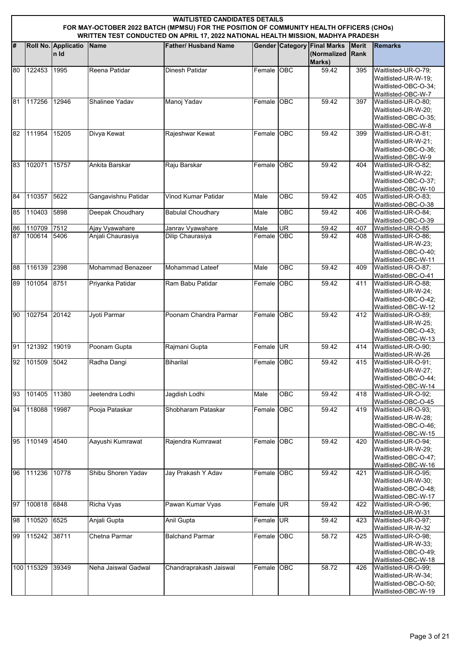|          | <b>WAITLISTED CANDIDATES DETAILS</b><br>FOR MAY-OCTOBER 2022 BATCH (MPMSU) FOR THE POSITION OF COMMUNITY HEALTH OFFICERS (CHOs)<br>WRITTEN TEST CONDUCTED ON APRIL 17, 2022 NATIONAL HEALTH MISSION, MADHYA PRADESH |                             |                                     |                                      |                |                              |                                                             |                             |                                                                                                                 |  |  |  |
|----------|---------------------------------------------------------------------------------------------------------------------------------------------------------------------------------------------------------------------|-----------------------------|-------------------------------------|--------------------------------------|----------------|------------------------------|-------------------------------------------------------------|-----------------------------|-----------------------------------------------------------------------------------------------------------------|--|--|--|
| #        |                                                                                                                                                                                                                     | Roll No. Applicatio<br>n Id | Name                                | <b>Father/ Husband Name</b>          |                |                              | <b>Gender Category Final Marks</b><br>(Normalized<br>Marks) | <b>Merit</b><br><b>Rank</b> | <b>Remarks</b>                                                                                                  |  |  |  |
| 80       | 122453                                                                                                                                                                                                              | 1995                        | Reena Patidar                       | Dinesh Patidar                       | Female OBC     |                              | 59.42                                                       | 395                         | Waitlisted-UR-O-79:<br>Waitlisted-UR-W-19;<br>Waitlisted-OBC-O-34;<br>Waitlisted-OBC-W-7                        |  |  |  |
| 81       | 117256                                                                                                                                                                                                              | 12946                       | Shalinee Yadav                      | Manoj Yadav                          | Female OBC     |                              | 59.42                                                       | 397                         | Waitlisted-UR-O-80;<br>Waitlisted-UR-W-20;<br>Waitlisted-OBC-O-35:<br>Waitlisted-OBC-W-8                        |  |  |  |
| 82       | 111954                                                                                                                                                                                                              | 15205                       | Divya Kewat                         | Rajeshwar Kewat                      | Female OBC     |                              | 59.42                                                       | 399                         | Waitlisted-UR-O-81;<br>Waitlisted-UR-W-21;<br>Waitlisted-OBC-O-36;<br>Waitlisted-OBC-W-9                        |  |  |  |
| 83       | 102071                                                                                                                                                                                                              | 15757                       | Ankita Barskar                      | Raju Barskar                         | Female         | <b>OBC</b>                   | 59.42                                                       | 404                         | Waitlisted-UR-O-82;<br>Waitlisted-UR-W-22;<br>Waitlisted-OBC-O-37;<br>Waitlisted-OBC-W-10                       |  |  |  |
| 84       | 110357                                                                                                                                                                                                              | 5622                        | Gangavishnu Patidar                 | Vinod Kumar Patidar                  | Male           | <b>OBC</b>                   | 59.42                                                       | 405                         | Waitlisted-UR-O-83:<br>Waitlisted-OBC-O-38                                                                      |  |  |  |
| 85       | 110403                                                                                                                                                                                                              | 5898                        | Deepak Choudhary                    | <b>Babulal Choudhary</b>             | Male           | $\overline{OBC}$             | 59.42                                                       | 406                         | Waitlisted-UR-O-84;<br>Waitlisted-OBC-O-39                                                                      |  |  |  |
| 86<br>87 | 110709<br>100614                                                                                                                                                                                                    | 7512<br>5406                | Ajay Vyawahare<br>Anjali Chaurasiya | Janrav Vyawahare<br>Dilip Chaurasiya | Male<br>Female | <b>UR</b><br>  <sub>OE</sub> | 59.42<br>59.42                                              | 407<br>408                  | Waitlisted-UR-O-85<br>Waitlisted-UR-O-86;<br>Waitlisted-UR-W-23;<br>Waitlisted-OBC-O-40:<br>Waitlisted-OBC-W-11 |  |  |  |
| 88       | 116139                                                                                                                                                                                                              | 2398                        | <b>Mohammad Benazeer</b>            | Mohammad Lateef                      | Male           | <b>OBC</b>                   | 59.42                                                       | 409                         | Waitlisted-UR-O-87;<br>Waitlisted-OBC-O-41                                                                      |  |  |  |
| 89       | 101054                                                                                                                                                                                                              | 8751                        | Priyanka Patidar                    | Ram Babu Patidar                     | Female OBC     |                              | 59.42                                                       | 411                         | Waitlisted-UR-O-88;<br>Waitlisted-UR-W-24;<br>Waitlisted-OBC-O-42;<br>Waitlisted-OBC-W-12                       |  |  |  |
| 90       | 102754                                                                                                                                                                                                              | 20142                       | Jyoti Parmar                        | Poonam Chandra Parmar                | Female OBC     |                              | 59.42                                                       | 412                         | Waitlisted-UR-O-89;<br>Waitlisted-UR-W-25:<br>Waitlisted-OBC-O-43;<br>Waitlisted-OBC-W-13                       |  |  |  |
| 91       | 121392                                                                                                                                                                                                              | 19019                       | Poonam Gupta                        | Rajmani Gupta                        | Female UR      |                              | 59.42                                                       | 414                         | Waitlisted-UR-O-90;<br>Waitlisted-UR-W-26                                                                       |  |  |  |
| 92       | 101509 5042                                                                                                                                                                                                         |                             | Radha Dangi                         | Biharilal                            | Female OBC     |                              | 59.42                                                       | 415                         | Waitlisted-UR-O-91;<br>Waitlisted-UR-W-27;<br>Waitlisted-OBC-O-44;<br>Waitlisted-OBC-W-14                       |  |  |  |
| 93       | 101405                                                                                                                                                                                                              | 11380                       | Jeetendra Lodhi                     | Jagdish Lodhi                        | Male           | OBC                          | 59.42                                                       | 418                         | Waitlisted-UR-O-92;<br>Waitlisted-OBC-O-45                                                                      |  |  |  |
| 94       | 118088                                                                                                                                                                                                              | 19987                       | Pooja Pataskar                      | Shobharam Pataskar                   | Female OBC     |                              | 59.42                                                       | 419                         | Waitlisted-UR-O-93;<br>Waitlisted-UR-W-28;<br>Waitlisted-OBC-O-46;<br>Waitlisted-OBC-W-15                       |  |  |  |
| 95       | 110149                                                                                                                                                                                                              | 4540                        | Aayushi Kumrawat                    | Rajendra Kumrawat                    | Female OBC     |                              | 59.42                                                       | 420                         | Waitlisted-UR-O-94;<br>Waitlisted-UR-W-29;<br>Waitlisted-OBC-O-47;<br>Waitlisted-OBC-W-16                       |  |  |  |
| 96       | 111236                                                                                                                                                                                                              | 10778                       | Shibu Shoren Yadav                  | Jay Prakash Y Adav                   | Female OBC     |                              | 59.42                                                       | 421                         | Waitlisted-UR-O-95;<br>Waitlisted-UR-W-30;<br>Waitlisted-OBC-O-48;<br>Waitlisted-OBC-W-17                       |  |  |  |
| 97       | 100818                                                                                                                                                                                                              | 6848                        | <b>Richa Vyas</b>                   | Pawan Kumar Vyas                     | Female UR      |                              | 59.42                                                       | 422                         | Waitlisted-UR-O-96;<br>Waitlisted-UR-W-31                                                                       |  |  |  |
| 98       | 110520 6525                                                                                                                                                                                                         |                             | Anjali Gupta                        | <b>Anil Gupta</b>                    | Female UR      |                              | 59.42                                                       | 423                         | Waitlisted-UR-O-97;<br>Waitlisted-UR-W-32                                                                       |  |  |  |
| 99       | 115242                                                                                                                                                                                                              | 38711                       | Chetna Parmar                       | <b>Balchand Parmar</b>               | Female OBC     |                              | 58.72                                                       | 425                         | Waitlisted-UR-O-98;<br>Waitlisted-UR-W-33;<br>Waitlisted-OBC-O-49:<br>Waitlisted-OBC-W-18                       |  |  |  |
|          | 100 115329                                                                                                                                                                                                          | 39349                       | Neha Jaiswal Gadwal                 | Chandraprakash Jaiswal               | Female OBC     |                              | 58.72                                                       | 426                         | Waitlisted-UR-O-99;<br>Waitlisted-UR-W-34;<br>Waitlisted-OBC-O-50;<br>Waitlisted-OBC-W-19                       |  |  |  |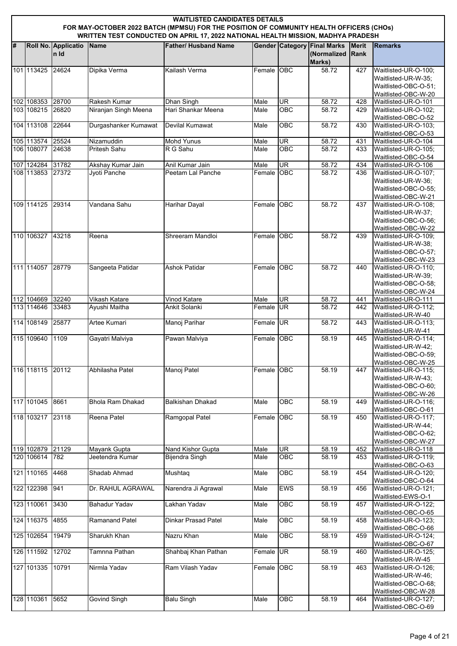|   | <b>WAITLISTED CANDIDATES DETAILS</b><br>FOR MAY-OCTOBER 2022 BATCH (MPMSU) FOR THE POSITION OF COMMUNITY HEALTH OFFICERS (CHOs)<br>WRITTEN TEST CONDUCTED ON APRIL 17, 2022 NATIONAL HEALTH MISSION, MADHYA PRADESH |                              |                                   |                                      |                    |                          |                                                             |                      |                                                                                            |  |  |  |
|---|---------------------------------------------------------------------------------------------------------------------------------------------------------------------------------------------------------------------|------------------------------|-----------------------------------|--------------------------------------|--------------------|--------------------------|-------------------------------------------------------------|----------------------|--------------------------------------------------------------------------------------------|--|--|--|
| # |                                                                                                                                                                                                                     | Roll No. Applicatio<br>In Id | Name                              | <b>Father/ Husband Name</b>          |                    |                          | <b>Gender Category Final Marks</b><br>(Normalized<br>Marks) | <b>Merit</b><br>Rank | <b>Remarks</b>                                                                             |  |  |  |
|   | 101 113425                                                                                                                                                                                                          | 24624                        | Dipika Verma                      | Kailash Verma                        | Female OBC         |                          | 58.72                                                       | 427                  | Waitlisted-UR-O-100;<br>Waitlisted-UR-W-35;<br>Waitlisted-OBC-O-51;<br>Waitlisted-OBC-W-20 |  |  |  |
|   | 102 108353 28700                                                                                                                                                                                                    |                              | Rakesh Kumar                      | <b>Dhan Singh</b>                    | Male               | UR                       | 58.72                                                       | 428                  | Waitlisted-UR-O-101                                                                        |  |  |  |
|   | 103 108215                                                                                                                                                                                                          | 26820                        | Niranjan Singh Meena              | Hari Shankar Meena                   | Male               | <b>OBC</b>               | 58.72                                                       | 429                  | Waitlisted-UR-O-102;                                                                       |  |  |  |
|   |                                                                                                                                                                                                                     |                              |                                   |                                      |                    |                          |                                                             |                      | Waitlisted-OBC-O-52                                                                        |  |  |  |
|   | 104 113108                                                                                                                                                                                                          | 22644                        | Durgashanker Kumawat              | Devilal Kumawat                      | Male               | OBC                      | 58.72                                                       | 430                  | Waitlisted-UR-O-103;<br>Waitlisted-OBC-O-53                                                |  |  |  |
|   | 105 113574 25524                                                                                                                                                                                                    |                              | Nizamuddin                        | <b>Mohd Yunus</b><br>R G Sahu        | Male               | UR<br>$\overline{OBC}$   | 58.72                                                       | 431                  | Waitlisted-UR-O-104                                                                        |  |  |  |
|   | 106 108077                                                                                                                                                                                                          | 24638                        | Pritesh Sahu                      |                                      | Male               |                          | 58.72                                                       | 433                  | Waitlisted-UR-O-105;<br>Waitlisted-OBC-O-54                                                |  |  |  |
|   | 107 124284 31782<br>108 113853 27372                                                                                                                                                                                |                              | Akshay Kumar Jain<br>Jyoti Panche | Anil Kumar Jain<br>Peetam Lal Panche | Male<br>Female OBC | $\overline{\mathsf{UR}}$ | 58.72<br>58.72                                              | 434                  | Waitlisted-UR-O-106<br>Waitlisted-UR-O-107;                                                |  |  |  |
|   |                                                                                                                                                                                                                     |                              |                                   |                                      |                    |                          |                                                             | 436                  | Waitlisted-UR-W-36;<br>Waitlisted-OBC-O-55;<br>Waitlisted-OBC-W-21                         |  |  |  |
|   | 109 114125                                                                                                                                                                                                          | 29314                        | Vandana Sahu                      | <b>Harihar Dayal</b>                 | Female             | OBC                      | 58.72                                                       | 437                  | Waitlisted-UR-O-108;<br>Waitlisted-UR-W-37;<br>Waitlisted-OBC-O-56;<br>Waitlisted-OBC-W-22 |  |  |  |
|   | 110 106327                                                                                                                                                                                                          | 43218                        | Reena                             | Shreeram Mandloi                     | Female             | <b>OBC</b>               | 58.72                                                       | 439                  | Waitlisted-UR-O-109;<br>Waitlisted-UR-W-38;<br>Waitlisted-OBC-O-57;<br>Waitlisted-OBC-W-23 |  |  |  |
|   | 111 114057 28779                                                                                                                                                                                                    |                              | Sangeeta Patidar                  | <b>Ashok Patidar</b>                 | Female OBC         |                          | 58.72                                                       | 440                  | Waitlisted-UR-O-110;<br>Waitlisted-UR-W-39:<br>Waitlisted-OBC-O-58;<br>Waitlisted-OBC-W-24 |  |  |  |
|   | 112 104669                                                                                                                                                                                                          | 32240                        | Vikash Katare                     | <b>Vinod Katare</b>                  | Male               | <b>UR</b>                | 58.72                                                       | 441                  | Waitlisted-UR-O-111                                                                        |  |  |  |
|   | 113 114646                                                                                                                                                                                                          | 33483                        | Ayushi Maitha                     | Ankit Solanki                        | Female UR          |                          | 58.72                                                       | 442                  | Waitlisted-UR-O-112;<br>Waitlisted-UR-W-40                                                 |  |  |  |
|   | 114 108149                                                                                                                                                                                                          | 25877                        | Artee Kumari                      | Manoj Parihar                        | Female UR          |                          | 58.72                                                       | 443                  | Waitlisted-UR-O-113;<br>Waitlisted-UR-W-41                                                 |  |  |  |
|   | 115 109640                                                                                                                                                                                                          | 1109                         | Gayatri Malviya                   | Pawan Malviya                        | Female             | <b>OBC</b>               | 58.19                                                       | 445                  | Waitlisted-UR-O-114;<br>Waitlisted-UR-W-42;<br>Waitlisted-OBC-O-59;<br>Waitlisted-OBC-W-25 |  |  |  |
|   | 116 118115                                                                                                                                                                                                          | 20112                        | Abhilasha Patel                   | Manoj Patel                          | Female OBC         |                          | 58.19                                                       | 447                  | Waitlisted-UR-O-115;<br>Waitlisted-UR-W-43;<br>Waitlisted-OBC-O-60;<br>Waitlisted-OBC-W-26 |  |  |  |
|   | 117 101045                                                                                                                                                                                                          | 8661                         | <b>Bhola Ram Dhakad</b>           | <b>Balkishan Dhakad</b>              | Male               | OBC                      | 58.19                                                       | 449                  | Waitlisted-UR-O-116;<br>Waitlisted-OBC-O-61                                                |  |  |  |
|   | 118 103217 23118                                                                                                                                                                                                    |                              | Reena Patel                       | Ramgopal Patel                       | Female             | OBC                      | 58.19                                                       | 450                  | Waitlisted-UR-O-117;<br>Waitlisted-UR-W-44;<br>Waitlisted-OBC-O-62:<br>Waitlisted-OBC-W-27 |  |  |  |
|   | 119 102879                                                                                                                                                                                                          | 21129                        | Mayank Gupta                      | Nand Kishor Gupta                    | Male               | $\overline{\mathsf{UR}}$ | 58.19                                                       | 452                  | Waitlisted-UR-O-118                                                                        |  |  |  |
|   | 120 106614                                                                                                                                                                                                          | 782                          | Jeetendra Kumar                   | <b>Bijendra Singh</b>                | Male               | OBC                      | 58.19                                                       | 453                  | Waitlisted-UR-O-119;<br>Waitlisted-OBC-O-63                                                |  |  |  |
|   | 121 110165                                                                                                                                                                                                          | 4468                         | Shadab Ahmad                      | Mushtaq                              | Male               | OBC                      | 58.19                                                       | 454                  | Waitlisted-UR-O-120;<br>Waitlisted-OBC-O-64                                                |  |  |  |
|   | 122 122398                                                                                                                                                                                                          | 941                          | Dr. RAHUL AGRAWAL                 | Narendra Ji Agrawal                  | Male               | <b>EWS</b>               | 58.19                                                       | 456                  | Waitlisted-UR-O-121;<br>Waitlisted-EWS-O-1                                                 |  |  |  |
|   | 123 110061                                                                                                                                                                                                          | 3430                         | Bahadur Yadav                     | Lakhan Yadav                         | Male               | <b>OBC</b>               | 58.19                                                       | 457                  | Waitlisted-UR-O-122;<br>Waitlisted-OBC-O-65                                                |  |  |  |
|   | 124 116375 4855                                                                                                                                                                                                     |                              | Ramanand Patel                    | <b>Dinkar Prasad Patel</b>           | Male               | OBC                      | 58.19                                                       | 458                  | Waitlisted-UR-O-123;<br>Waitlisted-OBC-O-66                                                |  |  |  |
|   | 125 102654                                                                                                                                                                                                          | 19479                        | Sharukh Khan                      | Nazru Khan                           | Male               | OBC                      | 58.19                                                       | 459                  | Waitlisted-UR-O-124;                                                                       |  |  |  |
|   | 126 111592                                                                                                                                                                                                          | 12702                        | Tamnna Pathan                     | Shahbaj Khan Pathan                  | Female UR          |                          | 58.19                                                       | 460                  | Waitlisted-OBC-O-67<br>Waitlisted-UR-O-125;<br>Waitlisted-UR-W-45                          |  |  |  |
|   | 127 101335                                                                                                                                                                                                          | 10791                        | Nirmla Yadav                      | Ram Vilash Yadav                     | Female             | <b>OBC</b>               | 58.19                                                       | 463                  | Waitlisted-UR-O-126;<br>Waitlisted-UR-W-46:<br>Waitlisted-OBC-O-68;                        |  |  |  |
|   | 128 110361                                                                                                                                                                                                          | 5652                         | <b>Govind Singh</b>               | <b>Balu Singh</b>                    | Male               | OBC                      | 58.19                                                       | 464                  | Waitlisted-OBC-W-28<br>Waitlisted-UR-O-127;<br>Waitlisted-OBC-O-69                         |  |  |  |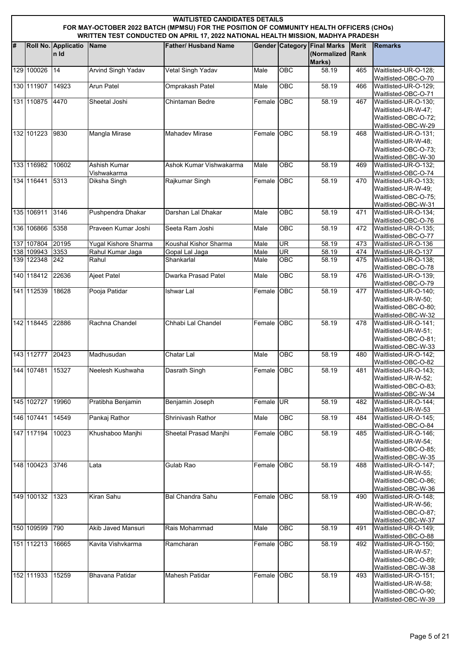|   | <b>WAITLISTED CANDIDATES DETAILS</b><br>FOR MAY-OCTOBER 2022 BATCH (MPMSU) FOR THE POSITION OF COMMUNITY HEALTH OFFICERS (CHOs)<br>WRITTEN TEST CONDUCTED ON APRIL 17, 2022 NATIONAL HEALTH MISSION, MADHYA PRADESH |                              |                             |                             |            |                  |                                                             |                             |                                                                                                                   |  |  |
|---|---------------------------------------------------------------------------------------------------------------------------------------------------------------------------------------------------------------------|------------------------------|-----------------------------|-----------------------------|------------|------------------|-------------------------------------------------------------|-----------------------------|-------------------------------------------------------------------------------------------------------------------|--|--|
| # |                                                                                                                                                                                                                     | Roll No. Applicatio<br>In Id | <b>Name</b>                 | <b>Father/ Husband Name</b> |            |                  | <b>Gender Category Final Marks</b><br>(Normalized<br>Marks) | <b>Merit</b><br><b>Rank</b> | <b>Remarks</b>                                                                                                    |  |  |
|   | 129 100026                                                                                                                                                                                                          | 14                           | <b>Arvind Singh Yadav</b>   | Vetal Singh Yadav           | Male       | $\overline{OBC}$ | 58.19                                                       | 465                         | Waitlisted-UR-O-128;<br>Waitlisted-OBC-O-70                                                                       |  |  |
|   | 130 111907                                                                                                                                                                                                          | 14923                        | Arun Patel                  | <b>Omprakash Patel</b>      | Male       | <b>OBC</b>       | 58.19                                                       | 466                         | Waitlisted-UR-O-129;<br>Waitlisted-OBC-O-71                                                                       |  |  |
|   | 131 110875                                                                                                                                                                                                          | 4470                         | Sheetal Joshi               | Chintaman Bedre             | Female     | OBC              | 58.19                                                       | 467                         | Waitlisted-UR-O-130;<br>Waitlisted-UR-W-47;<br>Waitlisted-OBC-O-72:                                               |  |  |
|   | 132 101223                                                                                                                                                                                                          | 9830                         | <b>Mangla Mirase</b>        | <b>Mahadev Mirase</b>       | Female OBC |                  | 58.19                                                       | 468                         | Waitlisted-OBC-W-29<br>Waitlisted-UR-O-131;<br>Waitlisted-UR-W-48;<br>Waitlisted-OBC-O-73;<br>Waitlisted-OBC-W-30 |  |  |
|   | 133 116982                                                                                                                                                                                                          | 10602                        | Ashish Kumar<br>Vishwakarma | Ashok Kumar Vishwakarma     | Male       | $\overline{OBC}$ | 58.19                                                       | 469                         | Waitlisted-UR-O-132;<br>Waitlisted-OBC-O-74                                                                       |  |  |
|   | 134 116441                                                                                                                                                                                                          | 5313                         | Diksha Singh                | Rajkumar Singh              | Female     | OBC              | 58.19                                                       | 470                         | Waitlisted-UR-O-133;<br>Waitlisted-UR-W-49:<br>Waitlisted-OBC-O-75:<br>Waitlisted-OBC-W-31                        |  |  |
|   | 135 106911                                                                                                                                                                                                          | 3146                         | Pushpendra Dhakar           | Darshan Lal Dhakar          | Male       | $\overline{OBC}$ | 58.19                                                       | 471                         | Waitlisted-UR-O-134:<br>Waitlisted-OBC-O-76                                                                       |  |  |
|   | 136 106866                                                                                                                                                                                                          | 5358                         | Praveen Kumar Joshi         | Seeta Ram Joshi             | Male       | <b>OBC</b>       | 58.19                                                       | 472                         | Waitlisted-UR-O-135;<br>Waitlisted-OBC-O-77                                                                       |  |  |
|   | 137 107804 20195                                                                                                                                                                                                    |                              | <b>Yugal Kishore Sharma</b> | Koushal Kishor Sharma       | Male       | UR               | 58.19                                                       | 473                         | Waitlisted-UR-O-136                                                                                               |  |  |
|   | 138 109943                                                                                                                                                                                                          | 3353                         | Rahul Kumar Jaga            | Gopal Lal Jaga              | Male       | UR               | 58.19                                                       | 474                         | Waitlisted-UR-O-137                                                                                               |  |  |
|   | 139 122348 242                                                                                                                                                                                                      |                              | Rahul                       | Shankarlal                  | Male       | OBC              | 58.19                                                       | 475                         | Waitlisted-UR-O-138;<br>Waitlisted-OBC-O-78                                                                       |  |  |
|   | 140 118412                                                                                                                                                                                                          | 22636                        | <b>Ajeet Patel</b>          | Dwarka Prasad Patel         | Male       | OBC              | 58.19                                                       | 476                         | Waitlisted-UR-O-139;<br>Waitlisted-OBC-O-79                                                                       |  |  |
|   | 141 112539                                                                                                                                                                                                          | 18628                        | Pooja Patidar               | <b>Ishwar Lal</b>           | Female     | OBC              | 58.19                                                       | 477                         | Waitlisted-UR-O-140;<br>Waitlisted-UR-W-50;<br>Waitlisted-OBC-O-80;<br>Waitlisted-OBC-W-32                        |  |  |
|   | 142 118445                                                                                                                                                                                                          | 22886                        | Rachna Chandel              | Chhabi Lal Chandel          | Female     | OBC              | 58.19                                                       | 478                         | Waitlisted-UR-O-141:<br>Waitlisted-UR-W-51;<br>Waitlisted-OBC-O-81;<br>Waitlisted-OBC-W-33                        |  |  |
|   | 143 112777                                                                                                                                                                                                          | 20423                        | Madhusudan                  | Chatar Lal                  | Male       | OBC              | 58.19                                                       | 480                         | Waitlisted-UR-O-142;<br>Waitlisted-OBC-O-82                                                                       |  |  |
|   | 144 107481                                                                                                                                                                                                          | 15327                        | Neelesh Kushwaha            | Dasrath Singh               | Female OBC |                  | 58.19                                                       | 481                         | Waitlisted-UR-O-143:<br>Waitlisted-UR-W-52;<br>Waitlisted-OBC-O-83;<br>Waitlisted-OBC-W-34                        |  |  |
|   | 145 102727                                                                                                                                                                                                          | 19960                        | Pratibha Benjamin           | Benjamin Joseph             | Female UR  |                  | 58.19                                                       | 482                         | Waitlisted-UR-O-144:<br>Waitlisted-UR-W-53                                                                        |  |  |
|   | 146 107441                                                                                                                                                                                                          | 14549                        | Pankaj Rathor               | Shrinivash Rathor           | Male       | $\overline{OBC}$ | 58.19                                                       | 484                         | Waitlisted-UR-O-145;<br>Waitlisted-OBC-O-84                                                                       |  |  |
|   | 147 117194                                                                                                                                                                                                          | 10023                        | Khushaboo Manjhi            | Sheetal Prasad Manjhi       | Female OBC |                  | 58.19                                                       | 485                         | Waitlisted-UR-O-146;<br>Waitlisted-UR-W-54;<br>Waitlisted-OBC-O-85;<br>Waitlisted-OBC-W-35                        |  |  |
|   | 148 100423                                                                                                                                                                                                          | 3746                         | Lata                        | Gulab Rao                   | Female     | OBC              | 58.19                                                       | 488                         | Waitlisted-UR-O-147;<br>Waitlisted-UR-W-55;<br>Waitlisted-OBC-O-86;<br>Waitlisted-OBC-W-36                        |  |  |
|   | 149 100132                                                                                                                                                                                                          | 1323                         | <b>Kiran Sahu</b>           | Bal Chandra Sahu            | Female OBC |                  | 58.19                                                       | 490                         | Waitlisted-UR-O-148:<br>Waitlisted-UR-W-56;<br>Waitlisted-OBC-O-87;<br>Waitlisted-OBC-W-37                        |  |  |
|   | 150 109599                                                                                                                                                                                                          | 790                          | Akib Javed Mansuri          | Rais Mohammad               | Male       | OBC              | 58.19                                                       | 491                         | Waitlisted-UR-O-149;<br>Waitlisted-OBC-O-88                                                                       |  |  |
|   | 151 112213                                                                                                                                                                                                          | 16665                        | Kavita Vishvkarma           | Ramcharan                   | Female OBC |                  | 58.19                                                       | 492                         | Waitlisted-UR-O-150;<br>Waitlisted-UR-W-57;<br>Waitlisted-OBC-O-89;<br>Waitlisted-OBC-W-38                        |  |  |
|   | 152 111933                                                                                                                                                                                                          | 15259                        | <b>Bhavana Patidar</b>      | <b>Mahesh Patidar</b>       | Female OBC |                  | 58.19                                                       | 493                         | Waitlisted-UR-O-151;<br>Waitlisted-UR-W-58;<br>Waitlisted-OBC-O-90;<br>Waitlisted-OBC-W-39                        |  |  |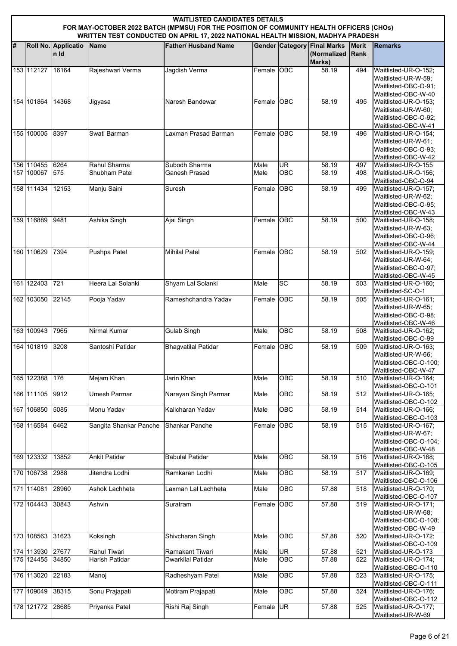|   | <b>WAITLISTED CANDIDATES DETAILS</b><br>FOR MAY-OCTOBER 2022 BATCH (MPMSU) FOR THE POSITION OF COMMUNITY HEALTH OFFICERS (CHOs)<br>WRITTEN TEST CONDUCTED ON APRIL 17, 2022 NATIONAL HEALTH MISSION, MADHYA PRADESH |                              |                                |                                      |              |                        |                                                             |                             |                                                                     |  |  |  |
|---|---------------------------------------------------------------------------------------------------------------------------------------------------------------------------------------------------------------------|------------------------------|--------------------------------|--------------------------------------|--------------|------------------------|-------------------------------------------------------------|-----------------------------|---------------------------------------------------------------------|--|--|--|
|   |                                                                                                                                                                                                                     |                              |                                |                                      |              |                        |                                                             |                             |                                                                     |  |  |  |
| # |                                                                                                                                                                                                                     | Roll No. Applicatio<br>In Id | <b>Name</b>                    | <b>Father/ Husband Name</b>          |              |                        | <b>Gender Category Final Marks</b><br>(Normalized<br>Marks) | <b>Merit</b><br><b>Rank</b> | <b>Remarks</b>                                                      |  |  |  |
|   | 153 112127                                                                                                                                                                                                          | 16164                        | Rajeshwari Verma               | Jagdish Verma                        | Female OBC   |                        | 58.19                                                       | 494                         | Waitlisted-UR-O-152;<br>Waitlisted-UR-W-59;                         |  |  |  |
|   |                                                                                                                                                                                                                     |                              |                                |                                      |              |                        |                                                             |                             | Waitlisted-OBC-O-91;<br>Waitlisted-OBC-W-40                         |  |  |  |
|   | 154 101864                                                                                                                                                                                                          | 14368                        | Jigyasa                        | Naresh Bandewar                      | Female OBC   |                        | 58.19                                                       | 495                         | Waitlisted-UR-O-153;                                                |  |  |  |
|   |                                                                                                                                                                                                                     |                              |                                |                                      |              |                        |                                                             |                             | Waitlisted-UR-W-60;<br>Waitlisted-OBC-O-92;<br>Waitlisted-OBC-W-41  |  |  |  |
|   | 155 100005                                                                                                                                                                                                          | 8397                         | Swati Barman                   | Laxman Prasad Barman                 | Female OBC   |                        | 58.19                                                       | 496                         | Waitlisted-UR-O-154;                                                |  |  |  |
|   |                                                                                                                                                                                                                     |                              |                                |                                      |              |                        |                                                             |                             | Waitlisted-UR-W-61;<br>Waitlisted-OBC-O-93;                         |  |  |  |
|   | 156 110455                                                                                                                                                                                                          | 6264                         | Rahul Sharma                   | Subodh Sharma                        | Male         | UR                     | 58.19                                                       | 497                         | Waitlisted-OBC-W-42<br>Waitlisted-UR-O-155                          |  |  |  |
|   | 157 100067                                                                                                                                                                                                          | 575                          | Shubham Patel                  | Ganesh Prasad                        | Male         | <b>OBC</b>             | 58.19                                                       | 498                         | Waitlisted-UR-O-156;                                                |  |  |  |
|   | 158 111434                                                                                                                                                                                                          | 12153                        | Manju Saini                    | Suresh                               | Female OBC   |                        | 58.19                                                       | 499                         | Waitlisted-OBC-O-94<br>Waitlisted-UR-O-157;                         |  |  |  |
|   |                                                                                                                                                                                                                     |                              |                                |                                      |              |                        |                                                             |                             | Waitlisted-UR-W-62;<br>Waitlisted-OBC-O-95;                         |  |  |  |
|   | 159 116889                                                                                                                                                                                                          | 9481                         | Ashika Singh                   | Ajai Singh                           | Female OBC   |                        | 58.19                                                       | 500                         | Waitlisted-OBC-W-43<br>Waitlisted-UR-O-158;                         |  |  |  |
|   |                                                                                                                                                                                                                     |                              |                                |                                      |              |                        |                                                             |                             | Waitlisted-UR-W-63:<br>Waitlisted-OBC-O-96;                         |  |  |  |
|   |                                                                                                                                                                                                                     |                              |                                |                                      |              |                        |                                                             |                             | Waitlisted-OBC-W-44                                                 |  |  |  |
|   | 160 110629                                                                                                                                                                                                          | 7394                         | Pushpa Patel                   | <b>Mihilal Patel</b>                 | Female       | <b>OBC</b>             | 58.19                                                       | 502                         | Waitlisted-UR-O-159;                                                |  |  |  |
|   |                                                                                                                                                                                                                     |                              |                                |                                      |              |                        |                                                             |                             | Waitlisted-UR-W-64;<br>Waitlisted-OBC-O-97;                         |  |  |  |
|   |                                                                                                                                                                                                                     |                              |                                |                                      |              |                        |                                                             |                             | Waitlisted-OBC-W-45                                                 |  |  |  |
|   | 161 122403                                                                                                                                                                                                          | 721                          | Heera Lal Solanki              | Shyam Lal Solanki                    | Male         | $\overline{SC}$        | 58.19                                                       | 503                         | Waitlisted-UR-O-160;<br>Waitlisted-SC-O-1                           |  |  |  |
|   | 162 103050                                                                                                                                                                                                          | 22145                        | Pooja Yadav                    | Rameshchandra Yadav                  | Female OBC   |                        | 58.19                                                       | 505                         | Waitlisted-UR-O-161;                                                |  |  |  |
|   |                                                                                                                                                                                                                     |                              |                                |                                      |              |                        |                                                             |                             | Waitlisted-UR-W-65;<br>Waitlisted-OBC-O-98;                         |  |  |  |
|   |                                                                                                                                                                                                                     |                              |                                |                                      |              |                        |                                                             |                             | Waitlisted-OBC-W-46                                                 |  |  |  |
|   | 163 100943                                                                                                                                                                                                          | 7965                         | Nirmal Kumar                   | <b>Gulab Singh</b>                   | Male         | $\overline{OBC}$       | 58.19                                                       | 508                         | Waitlisted-UR-O-162;<br>Waitlisted-OBC-O-99                         |  |  |  |
|   | 164 101819                                                                                                                                                                                                          | 3208                         | Santoshi Patidar               | <b>Bhagvatilal Patidar</b>           | Female       | <b>OBC</b>             | 58.19                                                       | 509                         | Waitlisted-UR-O-163;                                                |  |  |  |
|   |                                                                                                                                                                                                                     |                              |                                |                                      |              |                        |                                                             |                             | Waitlisted-UR-W-66:<br>Waitlisted-OBC-O-100;<br>Waitlisted-OBC-W-47 |  |  |  |
|   | 165 122388                                                                                                                                                                                                          | 176                          | Mejam Khan                     | Jarin Khan                           | Male         | OBC                    | 58.19                                                       | 510                         | Waitlisted-UR-O-164;<br>Waitlisted-OBC-O-101                        |  |  |  |
|   | 166 111105                                                                                                                                                                                                          | 9912                         | Umesh Parmar                   | Narayan Singh Parmar                 | Male         | OBC                    | 58.19                                                       | 512                         | Waitlisted-UR-O-165;<br>Waitlisted-OBC-O-102                        |  |  |  |
|   | 167 106850                                                                                                                                                                                                          | 5085                         | Monu Yadav                     | Kalicharan Yadav                     | Male         | OBC                    | 58.19                                                       | 514                         | Waitlisted-UR-O-166;                                                |  |  |  |
|   | 168 116584                                                                                                                                                                                                          | 6462                         | Sangita Shankar Panche         | Shankar Panche                       | Female       | OC                     | 58.19                                                       | 515                         | Waitlisted-OBC-O-103<br>Waitlisted-UR-O-167;                        |  |  |  |
|   |                                                                                                                                                                                                                     |                              |                                |                                      |              |                        |                                                             |                             | Waitlisted-UR-W-67:                                                 |  |  |  |
|   |                                                                                                                                                                                                                     |                              |                                |                                      |              |                        |                                                             |                             | Waitlisted-OBC-O-104;<br>Waitlisted-OBC-W-48                        |  |  |  |
|   | 169 123332                                                                                                                                                                                                          | 13852                        | <b>Ankit Patidar</b>           | <b>Babulal Patidar</b>               | Male         | OBC                    | 58.19                                                       | 516                         | Waitlisted-UR-O-168;                                                |  |  |  |
|   | 170 106738                                                                                                                                                                                                          | 2988                         | Jitendra Lodhi                 | Ramkaran Lodhi                       | Male         | OBC                    | 58.19                                                       | 517                         | Waitlisted-OBC-O-105<br>Waitlisted-UR-O-169;                        |  |  |  |
|   | 171 114081                                                                                                                                                                                                          | 28960                        | Ashok Lachheta                 | Laxman Lal Lachheta                  | Male         | OBC                    | 57.88                                                       | 518                         | Waitlisted-OBC-O-106<br>Waitlisted-UR-O-170;                        |  |  |  |
|   | 172 104443                                                                                                                                                                                                          | 30843                        | Ashvin                         | Suratram                             | Female       | OBC                    | 57.88                                                       | 519                         | Waitlisted-OBC-O-107                                                |  |  |  |
|   |                                                                                                                                                                                                                     |                              |                                |                                      |              |                        |                                                             |                             | Waitlisted-UR-O-171;<br>Waitlisted-UR-W-68;                         |  |  |  |
|   |                                                                                                                                                                                                                     |                              |                                |                                      |              |                        |                                                             |                             | Waitlisted-OBC-O-108:                                               |  |  |  |
|   | 173 108563                                                                                                                                                                                                          | 31623                        | Koksingh                       | Shivcharan Singh                     | Male         | OBC                    | 57.88                                                       | 520                         | Waitlisted-OBC-W-49<br>Waitlisted-UR-O-172;                         |  |  |  |
|   |                                                                                                                                                                                                                     |                              |                                |                                      |              |                        |                                                             |                             | Waitlisted-OBC-O-109                                                |  |  |  |
|   | 174 113930 27677<br>175 124455                                                                                                                                                                                      | 34850                        | Rahul Tiwari<br>Harish Patidar | Ramakant Tiwari<br>Dwarkilal Patidar | Male<br>Male | UR<br>OBC              | 57.88<br>57.88                                              | 521<br>522                  | Waitlisted-UR-O-173<br>Waitlisted-UR-O-174;                         |  |  |  |
|   |                                                                                                                                                                                                                     |                              |                                |                                      |              |                        |                                                             |                             | Waitlisted-OBC-O-110                                                |  |  |  |
|   | 176 113020                                                                                                                                                                                                          | 22183                        | Manoj                          | Radheshyam Patel                     | Male         | OBC                    | 57.88                                                       | 523                         | Waitlisted-UR-O-175;<br>Waitlisted-OBC-O-111                        |  |  |  |
|   | 177 109049                                                                                                                                                                                                          | 38315                        | Sonu Prajapati                 | Motiram Prajapati                    | Male         | OBC                    | 57.88                                                       | 524                         | Waitlisted-UR-O-176;                                                |  |  |  |
|   | 178 121772                                                                                                                                                                                                          | 28685                        | Priyanka Patel                 | Rishi Raj Singh                      | Female       | $\overline{\text{UR}}$ | 57.88                                                       | 525                         | Waitlisted-OBC-O-112<br>Waitlisted-UR-O-177;                        |  |  |  |
|   |                                                                                                                                                                                                                     |                              |                                |                                      |              |                        |                                                             |                             | Waitlisted-UR-W-69                                                  |  |  |  |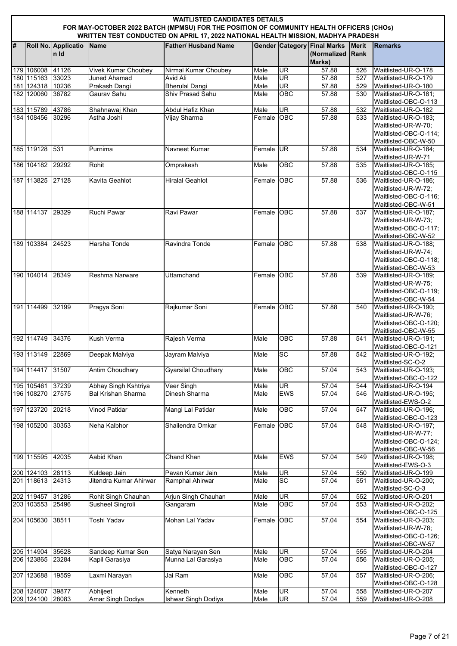|   | <b>WAITLISTED CANDIDATES DETAILS</b><br>FOR MAY-OCTOBER 2022 BATCH (MPMSU) FOR THE POSITION OF COMMUNITY HEALTH OFFICERS (CHOs)<br>WRITTEN TEST CONDUCTED ON APRIL 17, 2022 NATIONAL HEALTH MISSION, MADHYA PRADESH |                             |                            |                                  |                    |                          |                                                             |                             |                                              |  |  |  |
|---|---------------------------------------------------------------------------------------------------------------------------------------------------------------------------------------------------------------------|-----------------------------|----------------------------|----------------------------------|--------------------|--------------------------|-------------------------------------------------------------|-----------------------------|----------------------------------------------|--|--|--|
| # |                                                                                                                                                                                                                     | Roll No. Applicatio<br>n Id | Name                       | <b>Father/ Husband Name</b>      |                    |                          | <b>Gender Category Final Marks</b><br>(Normalized<br>Marks) | <b>Merit</b><br><b>Rank</b> | <b>Remarks</b>                               |  |  |  |
|   | 179 106008 41126                                                                                                                                                                                                    |                             | <b>Vivek Kumar Choubey</b> | <b>Nirmal Kumar Choubey</b>      | Male               | UR                       | 57.88                                                       | 526                         | Waitlisted-UR-O-178                          |  |  |  |
|   | 180 115163                                                                                                                                                                                                          | 33023                       | <b>Juned Ahamad</b>        | Avid Ali                         | Male               | UR                       | 57.88                                                       | 527                         | Waitlisted-UR-O-179                          |  |  |  |
|   | 181 124318 10236                                                                                                                                                                                                    |                             | Prakash Dangi              | <b>Bherulal Dangi</b>            | Male               | $\overline{\mathsf{UR}}$ | 57.88                                                       | 529                         | Waitlisted-UR-O-180                          |  |  |  |
|   | 182 120060 36782                                                                                                                                                                                                    |                             | Gaurav Sahu                | Shiv Prasad Sahu                 | Male               | OBC                      | 57.88                                                       | 530                         | Waitlisted-UR-O-181;                         |  |  |  |
|   |                                                                                                                                                                                                                     |                             | Shahnawaj Khan             |                                  |                    |                          |                                                             |                             | Waitlisted-OBC-O-113                         |  |  |  |
|   | 183 115789<br>184 108456                                                                                                                                                                                            | 43786<br>30296              | Astha Joshi                | Abdul Hafiz Khan<br>Vijay Sharma | Male<br>Female OBC | UR                       | 57.88<br>57.88                                              | 532<br>533                  | Waitlisted-UR-O-182<br>Waitlisted-UR-O-183;  |  |  |  |
|   |                                                                                                                                                                                                                     |                             |                            |                                  |                    |                          |                                                             |                             | Waitlisted-UR-W-70;                          |  |  |  |
|   |                                                                                                                                                                                                                     |                             |                            |                                  |                    |                          |                                                             |                             | Waitlisted-OBC-O-114:                        |  |  |  |
|   |                                                                                                                                                                                                                     |                             |                            |                                  |                    |                          |                                                             |                             | Waitlisted-OBC-W-50                          |  |  |  |
|   | 185 119128                                                                                                                                                                                                          | 531                         | Purnima                    | Navneet Kumar                    | Female UR          |                          | 57.88                                                       | 534                         | Waitlisted-UR-O-184;                         |  |  |  |
|   |                                                                                                                                                                                                                     |                             |                            |                                  |                    |                          |                                                             |                             | Waitlisted-UR-W-71                           |  |  |  |
|   | 186 104182                                                                                                                                                                                                          | 29292                       | Rohit                      | Omprakesh                        | Male               | OBC                      | 57.88                                                       | 535                         | Waitlisted-UR-O-185;                         |  |  |  |
|   | 187 113825 27128                                                                                                                                                                                                    |                             |                            |                                  | Female OBC         |                          | 57.88                                                       | 536                         | Waitlisted-OBC-O-115<br>Waitlisted-UR-O-186; |  |  |  |
|   |                                                                                                                                                                                                                     |                             | Kavita Geahlot             | <b>Hiralal Geahlot</b>           |                    |                          |                                                             |                             | Waitlisted-UR-W-72;                          |  |  |  |
|   |                                                                                                                                                                                                                     |                             |                            |                                  |                    |                          |                                                             |                             | Waitlisted-OBC-O-116;                        |  |  |  |
|   |                                                                                                                                                                                                                     |                             |                            |                                  |                    |                          |                                                             |                             | Waitlisted-OBC-W-51                          |  |  |  |
|   | 188 114137                                                                                                                                                                                                          | 29329                       | Ruchi Pawar                | Ravi Pawar                       | Female OBC         |                          | 57.88                                                       | 537                         | Waitlisted-UR-O-187;                         |  |  |  |
|   |                                                                                                                                                                                                                     |                             |                            |                                  |                    |                          |                                                             |                             | Waitlisted-UR-W-73;                          |  |  |  |
|   |                                                                                                                                                                                                                     |                             |                            |                                  |                    |                          |                                                             |                             | Waitlisted-OBC-O-117;                        |  |  |  |
|   |                                                                                                                                                                                                                     |                             |                            |                                  |                    |                          |                                                             |                             | Waitlisted-OBC-W-52                          |  |  |  |
|   | 189 103384                                                                                                                                                                                                          | 24523                       | Harsha Tonde               | Ravindra Tonde                   | Female OBC         |                          | 57.88                                                       | 538                         | Waitlisted-UR-O-188;                         |  |  |  |
|   |                                                                                                                                                                                                                     |                             |                            |                                  |                    |                          |                                                             |                             | Waitlisted-UR-W-74;<br>Waitlisted-OBC-O-118; |  |  |  |
|   |                                                                                                                                                                                                                     |                             |                            |                                  |                    |                          |                                                             |                             | Waitlisted-OBC-W-53                          |  |  |  |
|   | 190 104014                                                                                                                                                                                                          | 28349                       | Reshma Narware             | <b>Uttamchand</b>                | Female OBC         |                          | 57.88                                                       | 539                         | Waitlisted-UR-O-189;                         |  |  |  |
|   |                                                                                                                                                                                                                     |                             |                            |                                  |                    |                          |                                                             |                             | Waitlisted-UR-W-75;                          |  |  |  |
|   |                                                                                                                                                                                                                     |                             |                            |                                  |                    |                          |                                                             |                             | Waitlisted-OBC-O-119:                        |  |  |  |
|   |                                                                                                                                                                                                                     |                             |                            |                                  |                    |                          |                                                             |                             | Waitlisted-OBC-W-54                          |  |  |  |
|   | 191 114499                                                                                                                                                                                                          | 32199                       | Pragya Soni                | Rajkumar Soni                    | Female OBC         |                          | 57.88                                                       | 540                         | Waitlisted-UR-O-190;                         |  |  |  |
|   |                                                                                                                                                                                                                     |                             |                            |                                  |                    |                          |                                                             |                             | Waitlisted-UR-W-76;                          |  |  |  |
|   |                                                                                                                                                                                                                     |                             |                            |                                  |                    |                          |                                                             |                             | Waitlisted-OBC-O-120:                        |  |  |  |
|   | 192 114749                                                                                                                                                                                                          | 34376                       | Kush Verma                 | Rajesh Verma                     | Male               | <b>OBC</b>               | 57.88                                                       | 541                         | Waitlisted-OBC-W-55<br>Waitlisted-UR-O-191;  |  |  |  |
|   |                                                                                                                                                                                                                     |                             |                            |                                  |                    |                          |                                                             |                             | Waitlisted-OBC-O-121                         |  |  |  |
|   | 193 113149                                                                                                                                                                                                          | 22869                       | Deepak Malviya             | Jayram Malviya                   | Male               | SC                       | 57.88                                                       | 542                         | Waitlisted-UR-O-192;                         |  |  |  |
|   |                                                                                                                                                                                                                     |                             |                            |                                  |                    |                          |                                                             |                             | Waitlisted-SC-O-2                            |  |  |  |
|   | 194 114417                                                                                                                                                                                                          | 31507                       | <b>Antim Choudhary</b>     | Gyarsilal Choudhary              | Male               | OBC                      | 57.04                                                       | 543                         | Waitlisted-UR-O-193:                         |  |  |  |
|   |                                                                                                                                                                                                                     |                             |                            |                                  |                    |                          |                                                             |                             | Waitlisted-OBC-O-122                         |  |  |  |
|   | 195 105461<br>196 108270 27575                                                                                                                                                                                      | 37239                       | Abhay Singh Kshtriya       | Veer Singh                       | Male               | UR                       | 57.04                                                       | 544                         | Waitlisted-UR-O-194                          |  |  |  |
|   |                                                                                                                                                                                                                     |                             | <b>Bal Krishan Sharma</b>  | Dinesh Sharma                    | Male               | EWS                      | 57.04                                                       | 546                         | Waitlisted-UR-O-195;<br>Waitlisted-EWS-O-2   |  |  |  |
|   | 197 123720                                                                                                                                                                                                          | 20218                       | <b>Vinod Patidar</b>       | Mangi Lal Patidar                | Male               | OBC                      | 57.04                                                       | 547                         | Waitlisted-UR-O-196;                         |  |  |  |
|   |                                                                                                                                                                                                                     |                             |                            |                                  |                    |                          |                                                             |                             | Waitlisted-OBC-O-123                         |  |  |  |
|   | 198 105200                                                                                                                                                                                                          | 30353                       | Neha Kalbhor               | Shailendra Omkar                 | Female OBC         |                          | 57.04                                                       | 548                         | Waitlisted-UR-O-197:                         |  |  |  |
|   |                                                                                                                                                                                                                     |                             |                            |                                  |                    |                          |                                                             |                             | Waitlisted-UR-W-77;                          |  |  |  |
|   |                                                                                                                                                                                                                     |                             |                            |                                  |                    |                          |                                                             |                             | Waitlisted-OBC-O-124;                        |  |  |  |
|   |                                                                                                                                                                                                                     |                             |                            |                                  |                    |                          |                                                             |                             | Waitlisted-OBC-W-56                          |  |  |  |
|   | 199 115595                                                                                                                                                                                                          | 42035                       | Aabid Khan                 | Chand Khan                       | Male               | <b>EWS</b>               | 57.04                                                       | 549                         | Waitlisted-UR-O-198;                         |  |  |  |
|   | 200 124103 28113                                                                                                                                                                                                    |                             | Kuldeep Jain               | Pavan Kumar Jain                 | Male               | UR                       | 57.04                                                       | 550                         | Waitlisted-EWS-O-3<br>Waitlisted-UR-O-199    |  |  |  |
|   | 201 118613 24313                                                                                                                                                                                                    |                             | Jitendra Kumar Ahirwar     | Ramphal Ahirwar                  | Male               | <b>SC</b>                | 57.04                                                       | 551                         | Waitlisted-UR-O-200;                         |  |  |  |
|   |                                                                                                                                                                                                                     |                             |                            |                                  |                    |                          |                                                             |                             | Waitlisted-SC-O-3                            |  |  |  |
|   | 202 119457                                                                                                                                                                                                          | 31286                       | Rohit Singh Chauhan        | Arjun Singh Chauhan              | Male               | UR                       | 57.04                                                       | 552                         | Waitlisted-UR-O-201                          |  |  |  |
|   | 203 103553 25496                                                                                                                                                                                                    |                             | Susheel Singroli           | Gangaram                         | Male               | OBC                      | 57.04                                                       | 553                         | Waitlisted-UR-O-202;                         |  |  |  |
|   |                                                                                                                                                                                                                     |                             |                            |                                  |                    |                          |                                                             |                             | Waitlisted-OBC-O-125                         |  |  |  |
|   | 204 105630                                                                                                                                                                                                          | 38511                       | <b>Toshi Yadav</b>         | Mohan Lal Yadav                  | Female             | OBC                      | 57.04                                                       | 554                         | Waitlisted-UR-O-203;                         |  |  |  |
|   |                                                                                                                                                                                                                     |                             |                            |                                  |                    |                          |                                                             |                             | Waitlisted-UR-W-78;                          |  |  |  |
|   |                                                                                                                                                                                                                     |                             |                            |                                  |                    |                          |                                                             |                             | Waitlisted-OBC-O-126;<br>Waitlisted-OBC-W-57 |  |  |  |
|   | 205 114904                                                                                                                                                                                                          | 35628                       | Sandeep Kumar Sen          | Satya Narayan Sen                | Male               | UR                       | 57.04                                                       | 555                         | Waitlisted-UR-O-204                          |  |  |  |
|   | 206 123865                                                                                                                                                                                                          | 23284                       | Kapil Garasiya             | Munna Lal Garasiya               | Male               | OBC                      | 57.04                                                       | 556                         | Waitlisted-UR-O-205;                         |  |  |  |
|   |                                                                                                                                                                                                                     |                             |                            |                                  |                    |                          |                                                             |                             | Waitlisted-OBC-O-127                         |  |  |  |
|   | 207 123688                                                                                                                                                                                                          | 19559                       | Laxmi Narayan              | Jai Ram                          | Male               | OBC                      | 57.04                                                       | 557                         | Waitlisted-UR-O-206;                         |  |  |  |
|   |                                                                                                                                                                                                                     |                             |                            |                                  |                    |                          |                                                             |                             | Waitlisted-OBC-O-128                         |  |  |  |
|   | 208 124607                                                                                                                                                                                                          | 39877                       | Abhijeet                   | Kenneth                          | Male               | UR                       | 57.04                                                       | 558                         | Waitlisted-UR-O-207                          |  |  |  |
|   | 209 124100                                                                                                                                                                                                          | 28083                       | Amar Singh Dodiya          | Ishwar Singh Dodiya              | Male               | <b>UR</b>                | 57.04                                                       | 559                         | Waitlisted-UR-O-208                          |  |  |  |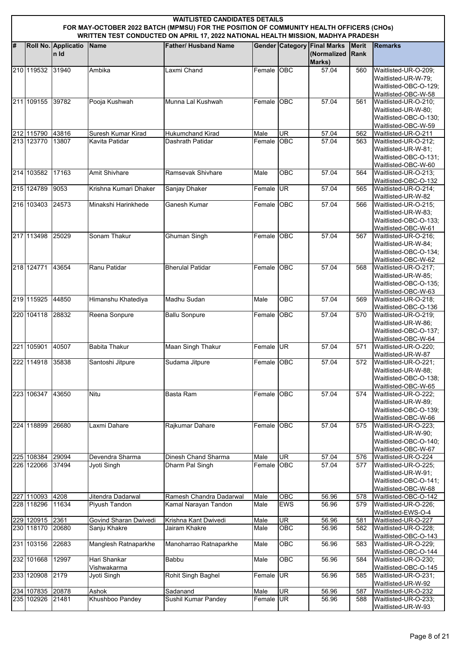|   | <b>WAITLISTED CANDIDATES DETAILS</b><br>FOR MAY-OCTOBER 2022 BATCH (MPMSU) FOR THE POSITION OF COMMUNITY HEALTH OFFICERS (CHOs)<br>WRITTEN TEST CONDUCTED ON APRIL 17, 2022 NATIONAL HEALTH MISSION, MADHYA PRADESH |                             |                                    |                                                 |              |                   |                                                             |                             |                                                                                             |  |  |  |
|---|---------------------------------------------------------------------------------------------------------------------------------------------------------------------------------------------------------------------|-----------------------------|------------------------------------|-------------------------------------------------|--------------|-------------------|-------------------------------------------------------------|-----------------------------|---------------------------------------------------------------------------------------------|--|--|--|
| # |                                                                                                                                                                                                                     | Roll No. Applicatio<br>n Id | Name                               | <b>Father/ Husband Name</b>                     |              |                   | <b>Gender Category Final Marks</b><br>(Normalized<br>Marks) | <b>Merit</b><br><b>Rank</b> | <b>Remarks</b>                                                                              |  |  |  |
|   | 210 119532                                                                                                                                                                                                          | 31940                       | Ambika                             | Laxmi Chand                                     | Female OBC   |                   | 57.04                                                       | 560                         | Waitlisted-UR-O-209;<br>Waitlisted-UR-W-79;<br>Waitlisted-OBC-O-129;<br>Waitlisted-OBC-W-58 |  |  |  |
|   | 211 109155 39782                                                                                                                                                                                                    |                             | Pooja Kushwah                      | Munna Lal Kushwah                               | Female OBC   |                   | 57.04                                                       | 561                         | Waitlisted-UR-O-210;<br>Waitlisted-UR-W-80;<br>Waitlisted-OBC-O-130:<br>Waitlisted-OBC-W-59 |  |  |  |
|   | 212 115790                                                                                                                                                                                                          | 43816                       | Suresh Kumar Kirad                 | <b>Hukumchand Kirad</b>                         | Male         | <b>UR</b>         | 57.04                                                       | 562                         | Waitlisted-UR-O-211                                                                         |  |  |  |
|   | 213 123770                                                                                                                                                                                                          | 13807                       | Kavita Patidar                     | Dashrath Patidar                                | Female OBC   |                   | 57.04                                                       | 563                         | Waitlisted-UR-O-212;<br>Waitlisted-UR-W-81;<br>Waitlisted-OBC-O-131;<br>Waitlisted-OBC-W-60 |  |  |  |
|   | 214 103582                                                                                                                                                                                                          | 17163                       | <b>Amit Shivhare</b>               | Ramsevak Shivhare                               | Male         | <b>OBC</b>        | 57.04                                                       | 564                         | Waitlisted-UR-O-213;<br>Waitlisted-OBC-O-132                                                |  |  |  |
|   | 215 124789                                                                                                                                                                                                          | 9053                        | Krishna Kumari Dhaker              | <b>Sanjay Dhaker</b>                            | Female UR    |                   | 57.04                                                       | 565                         | Waitlisted-UR-O-214;<br>Waitlisted-UR-W-82                                                  |  |  |  |
|   | 216 103403                                                                                                                                                                                                          | 24573                       | Minakshi Harinkhede                | <b>Ganesh Kumar</b>                             | Female OBC   |                   | 57.04                                                       | 566                         | Waitlisted-UR-O-215;<br>Waitlisted-UR-W-83:<br>Waitlisted-OBC-O-133:<br>Waitlisted-OBC-W-61 |  |  |  |
|   | 217 113498                                                                                                                                                                                                          | 25029                       | Sonam Thakur                       | <b>Ghuman Singh</b>                             | Female OBC   |                   | 57.04                                                       | 567                         | Waitlisted-UR-O-216;<br>Waitlisted-UR-W-84;<br>Waitlisted-OBC-O-134;<br>Waitlisted-OBC-W-62 |  |  |  |
|   | 218 124771                                                                                                                                                                                                          | 43654                       | Ranu Patidar                       | <b>Bherulal Patidar</b>                         | Female OBC   |                   | 57.04                                                       | 568                         | Waitlisted-UR-O-217;<br>Waitlisted-UR-W-85;<br>Waitlisted-OBC-O-135:<br>Waitlisted-OBC-W-63 |  |  |  |
|   | 219 115925                                                                                                                                                                                                          | 44850                       | Himanshu Khatediya                 | Madhu Sudan                                     | Male         | <b>OBC</b>        | 57.04                                                       | 569                         | Waitlisted-UR-O-218;<br>Waitlisted-OBC-O-136                                                |  |  |  |
|   | 220 104118                                                                                                                                                                                                          | 28832                       | Reena Sonpure                      | <b>Ballu Sonpure</b>                            | Female OBC   |                   | 57.04                                                       | 570                         | Waitlisted-UR-O-219;<br>Waitlisted-UR-W-86;<br>Waitlisted-OBC-O-137;<br>Waitlisted-OBC-W-64 |  |  |  |
|   | 221 105901                                                                                                                                                                                                          | 40507                       | <b>Babita Thakur</b>               | Maan Singh Thakur                               | Female UR    |                   | 57.04                                                       | 571                         | Waitlisted-UR-O-220;<br>Waitlisted-UR-W-87                                                  |  |  |  |
|   | 222 114918 35838                                                                                                                                                                                                    |                             | Santoshi Jitpure                   | Sudama Jitpure                                  | Female OBC   |                   | 57.04                                                       | 572                         | Waitlisted-UR-O-221;<br>Waitlisted-UR-W-88;<br>Waitlisted-OBC-O-138;<br>Waitlisted-OBC-W-65 |  |  |  |
|   | 223 106347                                                                                                                                                                                                          | 43650                       | Nitu                               | Basta Ram                                       | Female OBC   |                   | 57.04                                                       | 574                         | Waitlisted-UR-O-222;<br>Waitlisted-UR-W-89;<br>Waitlisted-OBC-O-139;<br>Waitlisted-OBC-W-66 |  |  |  |
|   | 224 118899                                                                                                                                                                                                          | 26680                       | Laxmi Dahare                       | Rajkumar Dahare                                 | Female OBC   |                   | 57.04                                                       | 575                         | Waitlisted-UR-O-223;<br>Waitlisted-UR-W-90;<br>Waitlisted-OBC-O-140;<br>Waitlisted-OBC-W-67 |  |  |  |
|   | 225 108384                                                                                                                                                                                                          | 29094                       | Devendra Sharma                    | Dinesh Chand Sharma                             | Male         | UR                | 57.04                                                       | 576                         | Waitlisted-UR-O-224                                                                         |  |  |  |
|   | 226 122066 37494                                                                                                                                                                                                    |                             | Jyoti Singh                        | Dharm Pal Singh                                 | Female OBC   |                   | 57.04                                                       | 577                         | Waitlisted-UR-O-225;<br>Waitlisted-UR-W-91;<br>Waitlisted-OBC-O-141;<br>Waitlisted-OBC-W-68 |  |  |  |
|   | 227 110093<br>228 118296                                                                                                                                                                                            | 4208<br>11634               | Jitendra Dadarwal<br>Piyush Tandon | Ramesh Chandra Dadarwal<br>Kamal Narayan Tandon | Male<br>Male | OBC<br><b>EWS</b> | 56.96<br>56.96                                              | 578<br>579                  | Waitlisted-OBC-O-142<br>Waitlisted-UR-O-226;                                                |  |  |  |
|   | 229 120915 2361                                                                                                                                                                                                     |                             | Govind Sharan Dwivedi              | Krishna Kant Dwivedi                            |              | UR                |                                                             | 581                         | Waitlisted-EWS-O-4                                                                          |  |  |  |
|   | 230 118170                                                                                                                                                                                                          | 20680                       | Sanju Khakre                       | Jairam Khakre                                   | Male<br>Male | OBC               | 56.96<br>56.96                                              | 582                         | Waitlisted-UR-O-227<br>Waitlisted-UR-O-228;<br>Waitlisted-OBC-O-143                         |  |  |  |
|   | 231 103156                                                                                                                                                                                                          | 22683                       | Manglesh Ratnaparkhe               | Manoharrao Ratnaparkhe                          | Male         | OBC               | 56.96                                                       | 583                         | Waitlisted-UR-O-229;<br>Waitlisted-OBC-O-144                                                |  |  |  |
|   | 232 101668                                                                                                                                                                                                          | 12997                       | Hari Shankar<br>Vishwakarma        | Babbu                                           | Male         | OBC               | 56.96                                                       | 584                         | Waitlisted-UR-O-230;<br>Waitlisted-OBC-O-145                                                |  |  |  |
|   | 233 120908                                                                                                                                                                                                          | 2179                        | Jyoti Singh                        | Rohit Singh Baghel                              | Female UR    |                   | 56.96                                                       | 585                         | Waitlisted-UR-O-231:<br>Waitlisted-UR-W-92                                                  |  |  |  |
|   | 234 107835 20878                                                                                                                                                                                                    |                             | Ashok                              | Sadanand                                        | Male         | UR                | 56.96                                                       | 587                         | Waitlisted-UR-O-232                                                                         |  |  |  |
|   | 235 102926                                                                                                                                                                                                          | 21481                       | Khushboo Pandey                    | Sushil Kumar Pandey                             | Female UR    |                   | 56.96                                                       | 588                         | Waitlisted-UR-O-233;<br>Waitlisted-UR-W-93                                                  |  |  |  |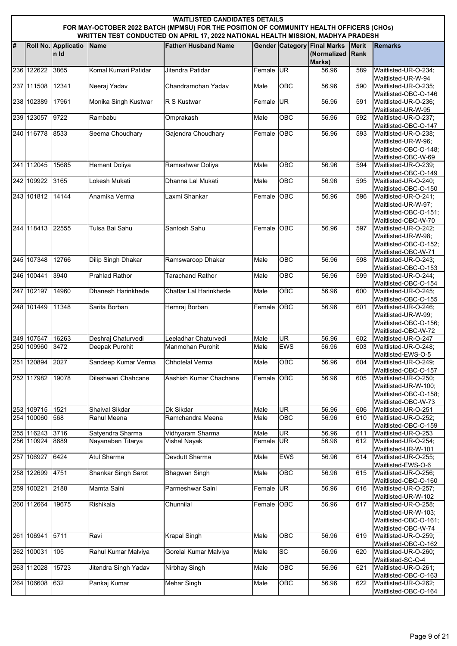|   | <b>WAITLISTED CANDIDATES DETAILS</b><br>FOR MAY-OCTOBER 2022 BATCH (MPMSU) FOR THE POSITION OF COMMUNITY HEALTH OFFICERS (CHOs)<br>WRITTEN TEST CONDUCTED ON APRIL 17, 2022 NATIONAL HEALTH MISSION, MADHYA PRADESH |                              |                                       |                                          |                   |                         |                                                             |                             |                                                                                                                      |  |  |  |
|---|---------------------------------------------------------------------------------------------------------------------------------------------------------------------------------------------------------------------|------------------------------|---------------------------------------|------------------------------------------|-------------------|-------------------------|-------------------------------------------------------------|-----------------------------|----------------------------------------------------------------------------------------------------------------------|--|--|--|
| # |                                                                                                                                                                                                                     | Roll No. Applicatio<br>In Id | <b>Name</b>                           | <b>Father/ Husband Name</b>              |                   |                         | <b>Gender Category Final Marks</b><br>(Normalized<br>Marks) | <b>Merit</b><br><b>Rank</b> | <b>Remarks</b>                                                                                                       |  |  |  |
|   | 236 122622                                                                                                                                                                                                          | 3865                         | Komal Kumari Patidar                  | Jitendra Patidar                         | Female UR         |                         | 56.96                                                       | 589                         | Waitlisted-UR-O-234;<br>Waitlisted-UR-W-94                                                                           |  |  |  |
|   | 237 111508                                                                                                                                                                                                          | 12341                        | Neeraj Yadav                          | Chandramohan Yadav                       | Male              | <b>OBC</b>              | 56.96                                                       | 590                         | Waitlisted-UR-O-235;<br>Waitlisted-OBC-O-146                                                                         |  |  |  |
|   | 238 102389                                                                                                                                                                                                          | 17961                        | Monika Singh Kustwar                  | R S Kustwar                              | Female UR         |                         | 56.96                                                       | 591                         | Waitlisted-UR-O-236;<br>Waitlisted-UR-W-95                                                                           |  |  |  |
|   | 239 123057                                                                                                                                                                                                          | 9722                         | Rambabu                               | Omprakash                                | Male              | <b>OBC</b>              | 56.96                                                       | 592                         | Waitlisted-UR-O-237;<br>Waitlisted-OBC-O-147                                                                         |  |  |  |
|   | 240 116778                                                                                                                                                                                                          | 8533                         | Seema Choudhary                       | Gajendra Choudhary                       | Female OBC        |                         | 56.96                                                       | 593                         | Waitlisted-UR-O-238;<br>Waitlisted-UR-W-96;<br>Waitlisted-OBC-O-148:<br>Waitlisted-OBC-W-69                          |  |  |  |
|   | 241 112045                                                                                                                                                                                                          | 15685                        | <b>Hemant Doliya</b>                  | Rameshwar Doliya                         | Male              | OBC                     | 56.96                                                       | 594                         | Waitlisted-UR-O-239:<br>Waitlisted-OBC-O-149                                                                         |  |  |  |
|   | 242 109922                                                                                                                                                                                                          | 3165                         | Lokesh Mukati                         | Dhanna Lal Mukati                        | Male              | <b>OBC</b>              | 56.96                                                       | 595                         | Waitlisted-UR-O-240;<br>Waitlisted-OBC-O-150                                                                         |  |  |  |
|   | 243 101812                                                                                                                                                                                                          | 14144                        | Anamika Verma                         | Laxmi Shankar                            | Female OBC        |                         | 56.96                                                       | 596                         | Waitlisted-UR-O-241:<br>Waitlisted-UR-W-97;<br>Waitlisted-OBC-O-151:<br>Waitlisted-OBC-W-70                          |  |  |  |
|   | 244 118413                                                                                                                                                                                                          | 22555                        | Tulsa Bai Sahu                        | Santosh Sahu                             | Female OBC        |                         | 56.96                                                       | 597                         | Waitlisted-UR-O-242:<br>Waitlisted-UR-W-98:<br>Waitlisted-OBC-O-152;<br>Waitlisted-OBC-W-71                          |  |  |  |
|   | 245 107348                                                                                                                                                                                                          | 12766                        | <b>Dilip Singh Dhakar</b>             | Ramswaroop Dhakar                        | Male              | OBC                     | 56.96                                                       | 598                         | Waitlisted-UR-O-243;<br>Waitlisted-OBC-O-153                                                                         |  |  |  |
|   | 246 100441                                                                                                                                                                                                          | 3940                         | <b>Prahlad Rathor</b>                 | <b>Tarachand Rathor</b>                  | Male              | OBC                     | 56.96                                                       | 599                         | Waitlisted-UR-O-244:<br>Waitlisted-OBC-O-154                                                                         |  |  |  |
|   | 247 102197                                                                                                                                                                                                          | 14960                        | Dhanesh Harinkhede                    | Chattar Lal Harinkhede                   | Male              | OBC                     | 56.96                                                       | 600                         | Waitlisted-UR-O-245;<br>Waitlisted-OBC-O-155                                                                         |  |  |  |
|   | 248 101449                                                                                                                                                                                                          | 11348                        | Sarita Borban                         | Hemraj Borban                            | Female OBC        |                         | 56.96                                                       | 601                         | Waitlisted-UR-O-246;<br>Waitlisted-UR-W-99;<br>Waitlisted-OBC-O-156:<br>Waitlisted-OBC-W-72                          |  |  |  |
|   | 249 107547<br>250 109960                                                                                                                                                                                            | 16263<br>3472                | Deshraj Chaturvedi<br>Deepak Purohit  | Leeladhar Chaturvedi<br>Manmohan Purohit | Male<br>Male      | <b>UR</b><br><b>EWS</b> | 56.96<br>56.96                                              | 602<br>603                  | Waitlisted-UR-O-247<br>Waitlisted-UR-O-248;                                                                          |  |  |  |
|   | 251 120894 2027                                                                                                                                                                                                     |                              | Sandeep Kumar Verma                   | Chhotelal Verma                          | Male              | <b>OBC</b>              | 56.96                                                       | 604                         | Waitlisted-EWS-O-5<br>Waitlisted-UR-O-249;                                                                           |  |  |  |
|   | 252 117982                                                                                                                                                                                                          | 19078                        | Dileshwari Chahcane                   | Aashish Kumar Chachane                   | Female OBC        |                         | 56.96                                                       | 605                         | Waitlisted-OBC-O-157<br>Waitlisted-UR-O-250:<br>Waitlisted-UR-W-100;<br>Waitlisted-OBC-O-158;<br>Waitlisted-OBC-W-73 |  |  |  |
|   | 253 109715<br>254 100060                                                                                                                                                                                            | 1521<br>568                  | Shaival Sikdar<br>Rahul Meena         | Dk Sikdar<br>Ramchandra Meena            | Male<br>Male      | UR<br>OBC               | 56.96<br>56.96                                              | 606<br>610                  | Waitlisted-UR-O-251<br>Waitlisted-UR-O-252;                                                                          |  |  |  |
|   |                                                                                                                                                                                                                     |                              |                                       |                                          |                   |                         |                                                             |                             | Waitlisted-OBC-O-159                                                                                                 |  |  |  |
|   | 255 116243 3716<br>256 110924                                                                                                                                                                                       | 8689                         | Satyendra Sharma<br>Nayanaben Titarya | Vidhyaram Sharma<br>Vishal Nayak         | Male<br>Female UR | <b>UR</b>               | 56.96<br>56.96                                              | 611<br>612                  | Waitlisted-UR-O-253<br>Waitlisted-UR-O-254;                                                                          |  |  |  |
|   | 257 106927 6424                                                                                                                                                                                                     |                              | Atul Sharma                           | Devdutt Sharma                           | Male              | <b>EWS</b>              | 56.96                                                       | 614                         | Waitlisted-UR-W-101<br>Waitlisted-UR-O-255;                                                                          |  |  |  |
|   | 258 122699                                                                                                                                                                                                          | 4751                         | Shankar Singh Sarot                   | <b>Bhagwan Singh</b>                     | Male              | OBC                     | 56.96                                                       | 615                         | Waitlisted-EWS-O-6<br>Waitlisted-UR-O-256;                                                                           |  |  |  |
|   | 259 100221                                                                                                                                                                                                          | 2188                         | Mamta Saini                           | Parmeshwar Saini                         | Female UR         |                         | 56.96                                                       | 616                         | Waitlisted-OBC-O-160<br>Waitlisted-UR-O-257;                                                                         |  |  |  |
|   | 260 112664                                                                                                                                                                                                          | 19675                        | Rishikala                             | Chunnilal                                | Female            | OBC                     | 56.96                                                       | 617                         | Waitlisted-UR-W-102<br>Waitlisted-UR-O-258;<br>Waitlisted-UR-W-103;<br>Waitlisted-OBC-O-161;<br>Waitlisted-OBC-W-74  |  |  |  |
|   | 261 106941                                                                                                                                                                                                          | 5711                         | Ravi                                  | <b>Krapal Singh</b>                      | Male              | OBC                     | 56.96                                                       | 619                         | Waitlisted-UR-O-259;<br>Waitlisted-OBC-O-162                                                                         |  |  |  |
|   | 262 100031                                                                                                                                                                                                          | 105                          | Rahul Kumar Malviya                   | Gorelal Kumar Malviya                    | Male              | <b>SC</b>               | 56.96                                                       | 620                         | Waitlisted-UR-O-260;<br>Waitlisted-SC-O-4                                                                            |  |  |  |
|   | 263 112028                                                                                                                                                                                                          | 15723                        | Jitendra Singh Yadav                  | <b>Nirbhay Singh</b>                     | Male              | OBC                     | 56.96                                                       | 621                         | Waitlisted-UR-O-261;<br>Waitlisted-OBC-O-163                                                                         |  |  |  |
|   | 264 106608                                                                                                                                                                                                          | 632                          | Pankaj Kumar                          | <b>Mehar Singh</b>                       | Male              | OBC                     | 56.96                                                       | 622                         | Waitlisted-UR-O-262;<br>Waitlisted-OBC-O-164                                                                         |  |  |  |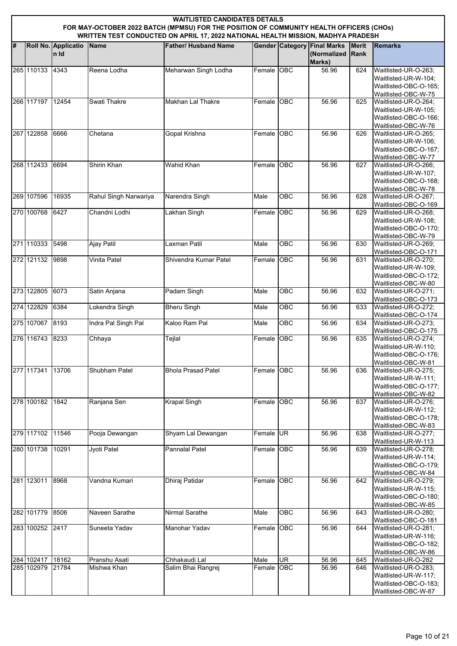|    | <b>WAITLISTED CANDIDATES DETAILS</b><br>FOR MAY-OCTOBER 2022 BATCH (MPMSU) FOR THE POSITION OF COMMUNITY HEALTH OFFICERS (CHOs)<br>WRITTEN TEST CONDUCTED ON APRIL 17, 2022 NATIONAL HEALTH MISSION, MADHYA PRADESH |                              |                              |                                     |                |                         |                                                             |                             |                                                                                              |  |  |  |
|----|---------------------------------------------------------------------------------------------------------------------------------------------------------------------------------------------------------------------|------------------------------|------------------------------|-------------------------------------|----------------|-------------------------|-------------------------------------------------------------|-----------------------------|----------------------------------------------------------------------------------------------|--|--|--|
| l# |                                                                                                                                                                                                                     | Roll No. Applicatio<br>In Id | <b>Name</b>                  | <b>Father/ Husband Name</b>         |                |                         | <b>Gender Category Final Marks</b><br>(Normalized<br>Marks) | <b>Merit</b><br><b>Rank</b> | <b>Remarks</b>                                                                               |  |  |  |
|    | 265 110133 4343                                                                                                                                                                                                     |                              | Reena Lodha                  | Meharwan Singh Lodha                | Female OBC     |                         | 56.96                                                       | 624                         | Waitlisted-UR-O-263;<br>Waitlisted-UR-W-104;<br>Waitlisted-OBC-O-165:<br>Waitlisted-OBC-W-75 |  |  |  |
|    | 266 117197                                                                                                                                                                                                          | 12454                        | Swati Thakre                 | Makhan Lal Thakre                   | Female OBC     |                         | 56.96                                                       | 625                         | Waitlisted-UR-O-264;<br>Waitlisted-UR-W-105;<br>Waitlisted-OBC-O-166:<br>Waitlisted-OBC-W-76 |  |  |  |
|    | 267 122858                                                                                                                                                                                                          | 6666                         | Chetana                      | Gopal Krishna                       | Female OBC     |                         | 56.96                                                       | 626                         | Waitlisted-UR-O-265;<br>Waitlisted-UR-W-106:<br>Waitlisted-OBC-O-167:<br>Waitlisted-OBC-W-77 |  |  |  |
|    | 268 112433                                                                                                                                                                                                          | 6694                         | Shirin Khan                  | <b>Wahid Khan</b>                   | Female         | <b>OBC</b>              | 56.96                                                       | 627                         | Waitlisted-UR-O-266:<br>Waitlisted-UR-W-107;<br>Waitlisted-OBC-O-168:<br>Waitlisted-OBC-W-78 |  |  |  |
|    | 269 107596                                                                                                                                                                                                          | 16935                        | Rahul Singh Narwariya        | Narendra Singh                      | Male           | <b>OBC</b>              | 56.96                                                       | 628                         | Waitlisted-UR-O-267;<br>Waitlisted-OBC-O-169                                                 |  |  |  |
|    | 270 100768                                                                                                                                                                                                          | 6427                         | Chandni Lodhi                | Lakhan Singh                        | Female OBC     |                         | 56.96                                                       | 629                         | Waitlisted-UR-O-268;<br>Waitlisted-UR-W-108;<br>Waitlisted-OBC-O-170;<br>Waitlisted-OBC-W-79 |  |  |  |
|    | 271 110333                                                                                                                                                                                                          | 5498                         | <b>Ajay Patil</b>            | Laxman Patil                        | Male           | OBC                     | 56.96                                                       | 630                         | Waitlisted-UR-O-269;<br>Waitlisted-OBC-O-171                                                 |  |  |  |
|    | 272 121132                                                                                                                                                                                                          | 9898                         | Vinita Patel                 | Shivendra Kumar Patel               | Female OBC     |                         | 56.96                                                       | 631                         | Waitlisted-UR-O-270;<br>Waitlisted-UR-W-109;<br>Waitlisted-OBC-O-172;<br>Waitlisted-OBC-W-80 |  |  |  |
|    | 273 122805                                                                                                                                                                                                          | 6073                         | Satin Anjana                 | Padam Singh                         | Male           | OBC                     | 56.96                                                       | 632                         | Waitlisted-UR-O-271;<br>Waitlisted-OBC-O-173                                                 |  |  |  |
|    | 274 122829                                                                                                                                                                                                          | 6384                         | Lokendra Singh               | <b>Bheru Singh</b>                  | Male           | <b>OBC</b>              | 56.96                                                       | 633                         | Waitlisted-UR-O-272;<br>Waitlisted-OBC-O-174                                                 |  |  |  |
|    | 275 107067 8193                                                                                                                                                                                                     |                              | Indra Pal Singh Pal          | Kaloo Ram Pal                       | Male           | OBC                     | 56.96                                                       | 634                         | Waitlisted-UR-O-273:<br>Waitlisted-OBC-O-175                                                 |  |  |  |
|    | 276 116743                                                                                                                                                                                                          | 8233                         | Chhaya                       | Tejlal                              | Female         | <b>OBC</b>              | 56.96                                                       | 635                         | Waitlisted-UR-O-274:<br>Waitlisted-UR-W-110:<br>Waitlisted-OBC-O-176:<br>Waitlisted-OBC-W-81 |  |  |  |
|    | 277 117341                                                                                                                                                                                                          | 13706                        | Shubham Patel                | <b>Bhola Prasad Patel</b>           | Female OBC     |                         | 56.96                                                       | 636                         | Waitlisted-UR-O-275;<br>Waitlisted-UR-W-111:<br>Waitlisted-OBC-O-177;<br>Waitlisted-OBC-W-82 |  |  |  |
|    | 278 100182                                                                                                                                                                                                          | 1842                         | Ranjana Sen                  | <b>Krapal Singh</b>                 | Female OBC     |                         | 56.96                                                       | 637                         | Waitlisted-UR-O-276;<br>Waitlisted-UR-W-112;<br>Waitlisted-OBC-O-178:<br>Waitlisted-OBC-W-83 |  |  |  |
|    | 279 117102                                                                                                                                                                                                          | 11546                        | Pooja Dewangan               | Shyam Lal Dewangan                  | Female UR      |                         | 56.96                                                       | 638                         | Waitlisted-UR-O-277;<br>Waitlisted-UR-W-113                                                  |  |  |  |
|    | 280 101738                                                                                                                                                                                                          | 10291                        | Jyoti Patel                  | <b>Pannalal Patel</b>               | Female OBC     |                         | 56.96                                                       | 639                         | Waitlisted-UR-O-278;<br>Waitlisted-UR-W-114;<br>Waitlisted-OBC-O-179;<br>Waitlisted-OBC-W-84 |  |  |  |
|    | 281 123011                                                                                                                                                                                                          | 8968                         | Vandna Kumari                | Dhiraj Patidar                      | Female OBC     |                         | 56.96                                                       | 642                         | Waitlisted-UR-O-279;<br>Waitlisted-UR-W-115;<br>Waitlisted-OBC-O-180:<br>Waitlisted-OBC-W-85 |  |  |  |
|    | 282 101779                                                                                                                                                                                                          | 8506                         | Naveen Sarathe               | Nirmal Sarathe                      | Male           | OBC                     | 56.96                                                       | 643                         | Waitlisted-UR-O-280;<br>Waitlisted-OBC-O-181                                                 |  |  |  |
|    | 283 100252 2417                                                                                                                                                                                                     |                              | Suneeta Yadav                | Manohar Yadav                       | Female OBC     |                         | 56.96                                                       | 644                         | Waitlisted-UR-O-281;<br>Waitlisted-UR-W-116;<br>Waitlisted-OBC-O-182;<br>Waitlisted-OBC-W-86 |  |  |  |
|    | 284 102417 18162<br>285 102979 21784                                                                                                                                                                                |                              | Pranshu Asati<br>Mishwa Khan | Chhakaudi Lal<br>Salim Bhai Rangrej | Male<br>Female | <b>UR</b><br><b>OBC</b> | 56.96<br>56.96                                              | 645<br>646                  | Waitlisted-UR-O-282<br>Waitlisted-UR-O-283;                                                  |  |  |  |
|    |                                                                                                                                                                                                                     |                              |                              |                                     |                |                         |                                                             |                             | Waitlisted-UR-W-117;<br>Waitlisted-OBC-O-183;<br>Waitlisted-OBC-W-87                         |  |  |  |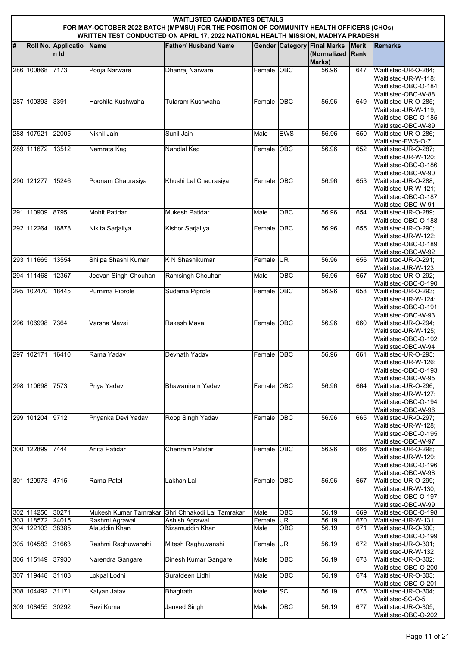|   | <b>WAITLISTED CANDIDATES DETAILS</b><br>FOR MAY-OCTOBER 2022 BATCH (MPMSU) FOR THE POSITION OF COMMUNITY HEALTH OFFICERS (CHOs)<br>WRITTEN TEST CONDUCTED ON APRIL 17, 2022 NATIONAL HEALTH MISSION, MADHYA PRADESH |                              |                                 |                                   |                |            |                                                             |                      |                                                                                              |  |  |  |
|---|---------------------------------------------------------------------------------------------------------------------------------------------------------------------------------------------------------------------|------------------------------|---------------------------------|-----------------------------------|----------------|------------|-------------------------------------------------------------|----------------------|----------------------------------------------------------------------------------------------|--|--|--|
| # |                                                                                                                                                                                                                     | Roll No. Applicatio<br>In Id | Name                            | <b>Father/ Husband Name</b>       |                |            | <b>Gender Category Final Marks</b><br>(Normalized<br>Marks) | <b>Merit</b><br>Rank | <b>Remarks</b>                                                                               |  |  |  |
|   | 286 100868                                                                                                                                                                                                          | 7173                         | Pooja Narware                   | Dhanraj Narware                   | Female OBC     |            | 56.96                                                       | 647                  | Waitlisted-UR-O-284;<br>Waitlisted-UR-W-118;<br>Waitlisted-OBC-O-184;<br>Waitlisted-OBC-W-88 |  |  |  |
|   | 287 100393                                                                                                                                                                                                          | 3391                         | Harshita Kushwaha               | Tularam Kushwaha                  | Female OBC     |            | 56.96                                                       | 649                  | Waitlisted-UR-O-285:<br>Waitlisted-UR-W-119:<br>Waitlisted-OBC-O-185:<br>Waitlisted-OBC-W-89 |  |  |  |
|   | 288 107921                                                                                                                                                                                                          | 22005                        | Nikhil Jain                     | Sunil Jain                        | Male           | <b>EWS</b> | 56.96                                                       | 650                  | Waitlisted-UR-O-286;<br>Waitlisted-EWS-O-7                                                   |  |  |  |
|   | 289 111672 13512                                                                                                                                                                                                    |                              | Namrata Kag                     | Nandlal Kag                       | Female OBC     |            | 56.96                                                       | 652                  | Waitlisted-UR-O-287;<br>Waitlisted-UR-W-120;<br>Waitlisted-OBC-O-186:<br>Waitlisted-OBC-W-90 |  |  |  |
|   | 290 121277                                                                                                                                                                                                          | 15246                        | Poonam Chaurasiya               | Khushi Lal Chaurasiya             | Female OBC     |            | 56.96                                                       | 653                  | Waitlisted-UR-O-288:<br>Waitlisted-UR-W-121;<br>Waitlisted-OBC-O-187;<br>Waitlisted-OBC-W-91 |  |  |  |
|   | 291 110909                                                                                                                                                                                                          | 8795                         | <b>Mohit Patidar</b>            | <b>Mukesh Patidar</b>             | Male           | <b>OBC</b> | 56.96                                                       | 654                  | Waitlisted-UR-O-289:<br>Waitlisted-OBC-O-188                                                 |  |  |  |
|   | 292 112264                                                                                                                                                                                                          | 16878                        | Nikita Sarjaliya                | Kishor Sarjaliya                  | Female OBC     |            | 56.96                                                       | 655                  | Waitlisted-UR-O-290;<br>Waitlisted-UR-W-122:<br>Waitlisted-OBC-O-189:<br>Waitlisted-OBC-W-92 |  |  |  |
|   | 293 111665                                                                                                                                                                                                          | 13554                        | Shilpa Shashi Kumar             | K N Shashikumar                   | Female UR      |            | 56.96                                                       | 656                  | Waitlisted-UR-O-291;<br>Waitlisted-UR-W-123                                                  |  |  |  |
|   | 294 111468                                                                                                                                                                                                          | 12367                        | Jeevan Singh Chouhan            | Ramsingh Chouhan                  | Male           | OBC        | 56.96                                                       | 657                  | Waitlisted-UR-O-292;<br>Waitlisted-OBC-O-190                                                 |  |  |  |
|   | 295 102470                                                                                                                                                                                                          | 18445                        | Purnima Piprole                 | Sudama Piprole                    | Female OBC     |            | 56.96                                                       | 658                  | Waitlisted-UR-O-293;<br>Waitlisted-UR-W-124;<br>Waitlisted-OBC-O-191:<br>Waitlisted-OBC-W-93 |  |  |  |
|   | 296 106998                                                                                                                                                                                                          | 7364                         | Varsha Mavai                    | Rakesh Mavai                      | Female OBC     |            | 56.96                                                       | 660                  | Waitlisted-UR-O-294;<br>Waitlisted-UR-W-125;<br>Waitlisted-OBC-O-192:<br>Waitlisted-OBC-W-94 |  |  |  |
|   | 297 102171                                                                                                                                                                                                          | 16410                        | Rama Yadav                      | Devnath Yadav                     | Female OBC     |            | 56.96                                                       | 661                  | Waitlisted-UR-O-295:<br>Waitlisted-UR-W-126;<br>Waitlisted-OBC-O-193:<br>Waitlisted-OBC-W-95 |  |  |  |
|   | 298 110698                                                                                                                                                                                                          | 7573                         | Priya Yadav                     | <b>Bhawaniram Yadav</b>           | Female OBC     |            | 56.96                                                       | 664                  | Waitlisted-UR-O-296;<br>Waitlisted-UR-W-127:<br>Waitlisted-OBC-O-194;<br>Waitlisted-OBC-W-96 |  |  |  |
|   | 299 101204                                                                                                                                                                                                          | 9712                         | Priyanka Devi Yadav             | Roop Singh Yadav                  | Female OBC     |            | 56.96                                                       | 665                  | Waitlisted-UR-O-297;<br>Waitlisted-UR-W-128:<br>Waitlisted-OBC-O-195;<br>Waitlisted-OBC-W-97 |  |  |  |
|   | 300 122899                                                                                                                                                                                                          | 7444                         | Anita Patidar                   | Chenram Patidar                   | Female OBC     |            | 56.96                                                       | 666                  | Waitlisted-UR-O-298:<br>Waitlisted-UR-W-129;<br>Waitlisted-OBC-O-196;<br>Waitlisted-OBC-W-98 |  |  |  |
|   | 301 120973                                                                                                                                                                                                          | 4715                         | Rama Patel                      | Lakhan Lal                        | Female OBC     |            | 56.96                                                       | 667                  | Waitlisted-UR-O-299;<br>Waitlisted-UR-W-130;<br>Waitlisted-OBC-O-197;<br>Waitlisted-OBC-W-99 |  |  |  |
|   | 302 114250 30271                                                                                                                                                                                                    |                              | Mukesh Kumar Tamrakar           | Shri Chhakodi Lal Tamrakar        | Male           | OBC        | 56.19                                                       | 669                  | Waitlisted-OBC-O-198                                                                         |  |  |  |
|   | 303 118572 24015<br>304 122103 38385                                                                                                                                                                                |                              | Rashmi Agrawal<br>Alauddin Khan | Ashish Agrawal<br>Nizamuddin Khan | Female<br>Male | UR<br>OBC  | 56.19<br>56.19                                              | 670<br>671           | Waitlisted-UR-W-131<br>Waitlisted-UR-O-300;                                                  |  |  |  |
|   | 305 104583                                                                                                                                                                                                          | 31663                        | Rashmi Raghuwanshi              | Mitesh Raghuwanshi                | Female UR      |            | 56.19                                                       | 672                  | Waitlisted-OBC-O-199<br>Waitlisted-UR-O-301;                                                 |  |  |  |
|   | 306 115149                                                                                                                                                                                                          | 37930                        | Narendra Gangare                | Dinesh Kumar Gangare              | Male           | OBC        | 56.19                                                       | 673                  | Waitlisted-UR-W-132<br>Waitlisted-UR-O-302;                                                  |  |  |  |
|   | 307 119448                                                                                                                                                                                                          | 31103                        | Lokpal Lodhi                    | Suratdeen Lidhi                   | Male           | OBC        | 56.19                                                       | 674                  | Waitlisted-OBC-O-200<br>Waitlisted-UR-O-303;                                                 |  |  |  |
|   | 308 104492                                                                                                                                                                                                          | 31171                        | Kalyan Jatav                    | <b>Bhagirath</b>                  | Male           | SC         | 56.19                                                       | 675                  | Waitlisted-OBC-O-201<br>Waitlisted-UR-O-304;                                                 |  |  |  |
|   | 309 108455                                                                                                                                                                                                          | 30292                        | Ravi Kumar                      | Janved Singh                      | Male           | OBC        | 56.19                                                       | 677                  | Waitlisted-SC-O-5<br>Waitlisted-UR-O-305;<br>Waitlisted-OBC-O-202                            |  |  |  |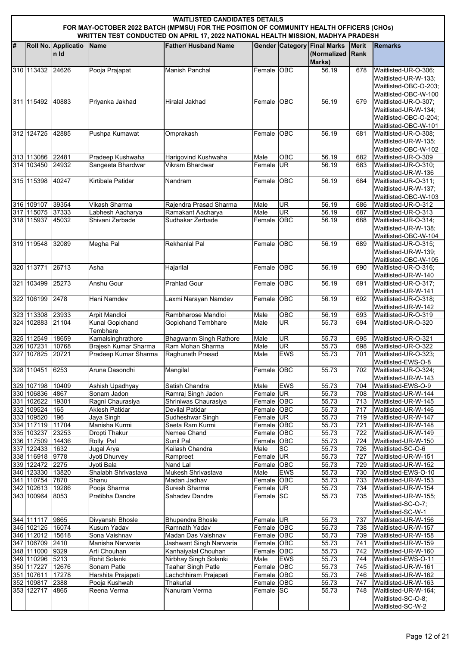| <b>WAITLISTED CANDIDATES DETAILS</b><br>FOR MAY-OCTOBER 2022 BATCH (MPMSU) FOR THE POSITION OF COMMUNITY HEALTH OFFICERS (CHOs) |                                    |                             |                                           |                                                                                  |                          |                  |                                                             |                      |                                                                                               |  |
|---------------------------------------------------------------------------------------------------------------------------------|------------------------------------|-----------------------------|-------------------------------------------|----------------------------------------------------------------------------------|--------------------------|------------------|-------------------------------------------------------------|----------------------|-----------------------------------------------------------------------------------------------|--|
|                                                                                                                                 |                                    |                             |                                           | WRITTEN TEST CONDUCTED ON APRIL 17, 2022 NATIONAL HEALTH MISSION, MADHYA PRADESH |                          |                  |                                                             |                      |                                                                                               |  |
| #                                                                                                                               |                                    | Roll No. Applicatio<br>n Id | Name                                      | <b>Father/ Husband Name</b>                                                      |                          |                  | <b>Gender Category Final Marks</b><br>(Normalized<br>Marks) | <b>Merit</b><br>Rank | <b>Remarks</b>                                                                                |  |
|                                                                                                                                 | 310 113432                         | 24626                       | Pooja Prajapat                            | Manish Panchal                                                                   | Female OBC               |                  | 56.19                                                       | 678                  | Waitlisted-UR-O-306;<br>Waitlisted-UR-W-133;<br>Waitlisted-OBC-O-203:<br>Waitlisted-OBC-W-100 |  |
|                                                                                                                                 | 311 115492                         | 40883                       | Priyanka Jakhad                           | Hiralal Jakhad                                                                   | Female OBC               |                  | 56.19                                                       | 679                  | Waitlisted-UR-O-307:<br>Waitlisted-UR-W-134:<br>Waitlisted-OBC-O-204;<br>Waitlisted-OBC-W-101 |  |
|                                                                                                                                 | 312 124725                         | 42885                       | Pushpa Kumawat                            | Omprakash                                                                        | Female OBC               |                  | 56.19                                                       | 681                  | Waitlisted-UR-O-308;<br>Waitlisted-UR-W-135;<br>Waitlisted-OBC-W-102                          |  |
|                                                                                                                                 | 313 113086 22481                   |                             | Pradeep Kushwaha                          | Harigovind Kushwaha                                                              | Male                     | OBC              | 56.19                                                       | 682                  | Waitlisted-UR-O-309                                                                           |  |
|                                                                                                                                 | 314 103450                         | 24932                       | Sangeeta Bhardwar                         | <b>Vikram Bhardwar</b>                                                           | Female UR                |                  | 56.19                                                       | 683                  | Waitlisted-UR-O-310;<br>Waitlisted-UR-W-136                                                   |  |
|                                                                                                                                 | 315 115398                         | 40247                       | Kirtibala Patidar                         | Nandram                                                                          | Female                   | <b>OBC</b>       | 56.19                                                       | 684                  | Waitlisted-UR-O-311;<br>Waitlisted-UR-W-137:<br>Waitlisted-OBC-W-103                          |  |
|                                                                                                                                 | 316 109107 39354                   |                             | Vikash Sharma                             | Rajendra Prasad Sharma                                                           | Male                     | UR               | 56.19                                                       | 686                  | Waitlisted-UR-O-312                                                                           |  |
|                                                                                                                                 | 317 115075                         | 37333                       | Labhesh Aacharya                          | Ramakant Aacharya                                                                | Male                     | UR               | 56.19                                                       | 687                  | Waitlisted-UR-O-313                                                                           |  |
|                                                                                                                                 | 318 115937 45032                   |                             | Shivani Zerbade                           | Sudhakar Zerbade                                                                 | Female OBC               |                  | 56.19                                                       | 688                  | Waitlisted-UR-O-314;<br>Waitlisted-UR-W-138;<br>Waitlisted-OBC-W-104                          |  |
|                                                                                                                                 | 319 119548                         | 32089                       | Megha Pal                                 | Rekhanlal Pal                                                                    | Female OBC               |                  | 56.19                                                       | 689                  | Waitlisted-UR-O-315;<br>Waitlisted-UR-W-139;<br>Waitlisted-OBC-W-105                          |  |
|                                                                                                                                 | 320 113771                         | 26713                       | Asha                                      | Hajarilal                                                                        | Female OBC               |                  | 56.19                                                       | 690                  | Waitlisted-UR-O-316;<br>Waitlisted-UR-W-140                                                   |  |
|                                                                                                                                 | 321 103499                         | 25273                       | Anshu Gour                                | <b>Prahlad Gour</b>                                                              | Female                   | OBC              | 56.19                                                       | 691                  | Waitlisted-UR-O-317;<br>Waitlisted-UR-W-141                                                   |  |
|                                                                                                                                 | 322 106199                         | 2478                        | Hani Namdev                               | Laxmi Narayan Namdev                                                             | Female OBC               |                  | 56.19                                                       | 692                  | Waitlisted-UR-O-318;<br>Waitlisted-UR-W-142                                                   |  |
|                                                                                                                                 | 323 113308                         | 23933                       | Arpit Mandloi                             | Rambharose Mandloi                                                               | Male                     | $\overline{OBC}$ | 56.19                                                       | 693                  | Waitlisted-UR-O-319                                                                           |  |
|                                                                                                                                 | 324 102883 21104                   |                             | <b>Kunal Gopichand</b><br>Tembhare        | <b>Gopichand Tembhare</b>                                                        | Male                     | UR               | 55.73                                                       | 694                  | Waitlisted-UR-O-320                                                                           |  |
|                                                                                                                                 | 325 112549                         | 18659                       | Kamalsinghrathore<br>Brajesh Kumar Sharma | <b>Bhagwanm Singh Rathore</b><br>Ram Mohan Sharma                                | Male                     | <b>UR</b><br>UR  | 55.73                                                       | 695                  | Waitlisted-UR-O-321                                                                           |  |
|                                                                                                                                 | 326 107231<br>327 107825 20721     | 10768                       | Pradeep Kumar Sharma                      | Raghunath Prasad                                                                 | Male<br>Male             | <b>EWS</b>       | 55.73<br>55.73                                              | 698<br>701           | Waitlisted-UR-O-322<br>Waitlisted-UR-O-323;<br>Waitlisted-EWS-O-8                             |  |
|                                                                                                                                 | 328 110451                         | 6253                        | Aruna Dasondhi                            | Mangilal                                                                         | Female OBC               |                  | 55.73                                                       | 702                  | Waitlisted-UR-O-324;<br>Waitlisted-UR-W-143                                                   |  |
|                                                                                                                                 | 329 107198                         | 10409                       | Ashish Upadhyay                           | Satish Chandra                                                                   | Male                     | <b>EWS</b>       | 55.73                                                       | 704                  | Waitlisted-EWS-O-9                                                                            |  |
|                                                                                                                                 | 330 106836 4867                    |                             | Sonam Jadon                               | Ramraj Singh Jadon                                                               | Female UR                |                  | 55.73                                                       | 708                  | Waitlisted-UR-W-144                                                                           |  |
|                                                                                                                                 | 331 102622 19301<br>332 109524     | 165                         | Ragni Chaurasiya<br><b>Aklesh Patidar</b> | Shriniwas Chaurasiya<br>Devilal Patidar                                          | Female OBC<br>Female OBC |                  | 55.73<br>55.73                                              | 713<br>717           | Waitlisted-UR-W-145<br>Waitlisted-UR-W-146                                                    |  |
|                                                                                                                                 | 333 109520                         | 196                         | Jaya Singh                                | Sudheshwar Singh                                                                 | Female UR                |                  | $\frac{1}{55.73}$                                           | 719                  | Waitlisted-UR-W-147                                                                           |  |
|                                                                                                                                 | 334 117119                         | 11704                       | Manisha Kurmi                             | Seeta Ram Kurmi                                                                  | Female OBC               |                  | 55.73                                                       | 721                  | Waitlisted-UR-W-148                                                                           |  |
|                                                                                                                                 | 335 103237                         | 23253                       | Dropti Thakur                             | Nemee Chand                                                                      | Female OBC               |                  | 55.73                                                       | 722                  | Waitlisted-UR-W-149                                                                           |  |
|                                                                                                                                 | 336 117509 14436                   |                             | Rolly Pal                                 | Sunil Pal                                                                        | Female OBC               |                  | $\overline{55.73}$                                          | 724                  | Waitlisted-UR-W-150                                                                           |  |
| 337                                                                                                                             | 122433 1632                        |                             | Jugal Arya                                | Kailash Chandra                                                                  | Male                     | SC               | 55.73<br>$\frac{1}{55.73}$                                  | 726<br>727           | Waitlisted-SC-O-6<br>Waitlisted-UR-W-151                                                      |  |
|                                                                                                                                 | 338 116918 9778<br>339 122472 2275 |                             | Jyoti Dhurvey<br>Jyoti Bala               | Rampreet<br>Nand Lal                                                             | Female UR<br>Female OBC  |                  | 55.73                                                       | 729                  | Waitlisted-UR-W-152                                                                           |  |
|                                                                                                                                 | 340 123330                         | 13820                       | Shalabh Shrivastava                       | Mukesh Shrivastava                                                               | Male                     | <b>EWS</b>       | 55.73                                                       | 730                  | Waitlisted-EWS-O-10                                                                           |  |
|                                                                                                                                 | 341 110754 7870                    |                             | Shanu                                     | Madan Jadhav                                                                     | Female OBC               |                  | 55.73                                                       | 733                  | Waitlisted-UR-W-153                                                                           |  |
|                                                                                                                                 | 342 102613 19286                   |                             | Pooja Sharma                              | Suresh Sharma                                                                    | Female UR                |                  | 55.73                                                       | 734                  | Waitlisted-UR-W-154                                                                           |  |
|                                                                                                                                 | 343 100964                         | 8053                        | Pratibha Dandre                           | Sahadev Dandre                                                                   | Female SC                |                  | 55.73                                                       | 735                  | Waitlisted-UR-W-155;<br>Waitlisted-SC-O-7;<br>Waitlisted-SC-W-1                               |  |
|                                                                                                                                 | 344 111117 9865                    |                             | Divyanshi Bhosle                          | <b>Bhupendra Bhosle</b>                                                          | Female UR                |                  | 55.73                                                       | 737                  | Waitlisted-UR-W-156                                                                           |  |
|                                                                                                                                 | 345 102125 16074                   |                             | <b>Kusum Yadav</b>                        | Ramnath Yadav                                                                    | Female OBC               |                  | 55.73                                                       | 738                  | Waitlisted-UR-W-157                                                                           |  |
|                                                                                                                                 | 346 112012<br>347 106709           | 15618<br>2410               | Sona Vaishnav<br>Manisha Narwaria         | Madan Das Vaishnav<br>Jashwant Singh Narwaria                                    | Female OBC<br>Female OBC |                  | 55.73<br>55.73                                              | 739<br>741           | Waitlisted-UR-W-158<br>Waitlisted-UR-W-159                                                    |  |
|                                                                                                                                 | 348 111000 9329                    |                             | Arti Chouhan                              | Kanhaiyalal Chouhan                                                              | Female OBC               |                  | 55.73                                                       | 742                  | Waitlisted-UR-W-160                                                                           |  |
|                                                                                                                                 | 349 110296 5213                    |                             | Rohit Solanki                             | Nirbhay Singh Solanki                                                            | Male                     | <b>EWS</b>       | 55.73                                                       | 744                  | Waitlisted-EWS-O-11                                                                           |  |
|                                                                                                                                 | 350 117227                         | 12676                       | Sonam Patle                               | Taahar Singh Patle                                                               | Female OBC               |                  | 55.73                                                       | 745                  | Waitlisted-UR-W-161                                                                           |  |
|                                                                                                                                 | 351 107611                         | 17278                       | Harshita Prajapati                        | Lachchhiram Prajapati                                                            | Female OBC               |                  | 55.73                                                       | 746                  | Waitlisted-UR-W-162                                                                           |  |
|                                                                                                                                 | 352 109817                         | 2388                        | Pooja Kushwah                             | Thakurlal                                                                        | Female OBC               |                  | 55.73                                                       | 747                  | Waitlisted-UR-W-163                                                                           |  |
|                                                                                                                                 | 353 122717                         | 4865                        | Reena Verma                               | Nanuram Verma                                                                    | Female SC                |                  | 55.73                                                       | 748                  | Waitlisted-UR-W-164;<br>Waitlisted-SC-O-8;<br>Waitlisted-SC-W-2                               |  |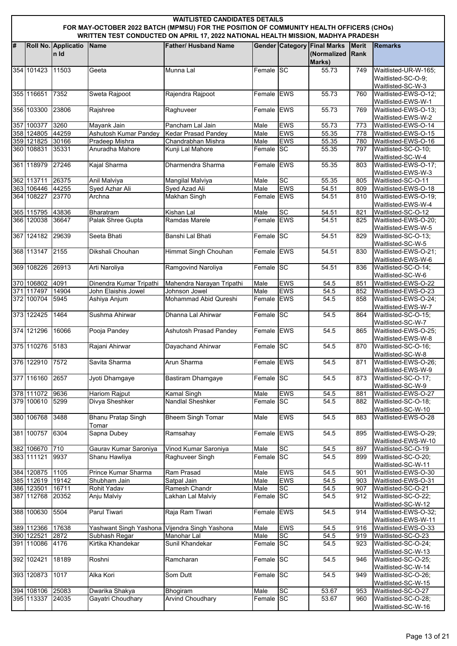|    |                                | <b>WAITLISTED CANDIDATES DETAILS</b><br>FOR MAY-OCTOBER 2022 BATCH (MPMSU) FOR THE POSITION OF COMMUNITY HEALTH OFFICERS (CHOs)<br>WRITTEN TEST CONDUCTED ON APRIL 17, 2022 NATIONAL HEALTH MISSION, MADHYA PRADESH |                                               |                                        |                    |                         |                                                             |                             |                                                                 |  |  |  |  |
|----|--------------------------------|---------------------------------------------------------------------------------------------------------------------------------------------------------------------------------------------------------------------|-----------------------------------------------|----------------------------------------|--------------------|-------------------------|-------------------------------------------------------------|-----------------------------|-----------------------------------------------------------------|--|--|--|--|
| l# |                                | Roll No. Applicatio<br>In Id                                                                                                                                                                                        | Name                                          | <b>Father/ Husband Name</b>            |                    |                         | <b>Gender Category Final Marks</b><br>(Normalized<br>Marks) | <b>Merit</b><br><b>Rank</b> | <b>Remarks</b>                                                  |  |  |  |  |
|    | 354 101423                     | 11503                                                                                                                                                                                                               | Geeta                                         | Munna Lal                              | Female <b>I</b> SC |                         | 55.73                                                       | 749                         | Waitlisted-UR-W-165;<br>Waitlisted-SC-O-9;<br>Waitlisted-SC-W-3 |  |  |  |  |
|    | 355 116651                     | 7352                                                                                                                                                                                                                | Sweta Rajpoot                                 | Rajendra Rajpoot                       | Female EWS         |                         | 55.73                                                       | 760                         | Waitlisted-EWS-O-12;<br>Waitlisted-EWS-W-1                      |  |  |  |  |
|    | 356 103300                     | 23806                                                                                                                                                                                                               | Rajshree                                      | Raghuveer                              | Female EWS         |                         | 55.73                                                       | 769                         | Waitlisted-EWS-O-13;<br>Waitlisted-EWS-W-2                      |  |  |  |  |
|    | 357 100377                     | 3260                                                                                                                                                                                                                | Mayank Jain                                   | Pancham Lal Jain                       | Male               | <b>EWS</b>              | 55.73                                                       | 773                         | Waitlisted-EWS-O-14                                             |  |  |  |  |
|    | 358 124805 44259               |                                                                                                                                                                                                                     | Ashutosh Kumar Pandey                         | <b>Kedar Prasad Pandey</b>             | Male               | <b>EWS</b>              | 55.35                                                       | 778                         | Waitlisted-EWS-O-15                                             |  |  |  |  |
|    | 359 121825 30166               |                                                                                                                                                                                                                     | Pradeep Mishra                                | Chandrabhan Mishra                     | Male               | <b>EWS</b>              | 55.35                                                       | 780                         | Waitlisted-EWS-O-16                                             |  |  |  |  |
|    | 360 108831                     | 35331                                                                                                                                                                                                               | Anuradha Mahore                               | Kunji Lal Mahore                       | Female SC          |                         | 55.35                                                       | 797                         | Waitlisted-SC-O-10;<br>Waitlisted-SC-W-4                        |  |  |  |  |
|    | 361 118979                     | 27246                                                                                                                                                                                                               | Kajal Sharma                                  | Dharmendra Sharma                      | Female EWS         |                         | 55.35                                                       | 803                         | Waitlisted-EWS-O-17;<br>Waitlisted-EWS-W-3                      |  |  |  |  |
|    | 362 113711                     | 26375                                                                                                                                                                                                               | Anil Malviya                                  | Mangilal Malviya                       | Male               | <b>SC</b>               | 55.35                                                       | 805                         | Waitlisted-SC-O-11                                              |  |  |  |  |
|    | 363 106446 44255<br>364 108227 | 23770                                                                                                                                                                                                               | Syed Azhar Ali<br>Archna                      | Syed Azad Ali<br>Makhan Singh          | Male<br>Female EWS | <b>EWS</b>              | 54.51<br>54.51                                              | 809<br>810                  | Waitlisted-EWS-O-18<br>Waitlisted-EWS-O-19;                     |  |  |  |  |
|    | 365 115795 43836               |                                                                                                                                                                                                                     | Bharatram                                     | Kishan Lal                             | Male               | SC                      | 54.51                                                       | 821                         | Waitlisted-EWS-W-4<br>Waitlisted-SC-O-12                        |  |  |  |  |
|    | 366 120038                     | 36647                                                                                                                                                                                                               | Palak Shree Gupta                             | Ramdas Marele                          | Female EWS         |                         | 54.51                                                       | 825                         | Waitlisted-EWS-O-20;                                            |  |  |  |  |
|    | 367 124182                     | 29639                                                                                                                                                                                                               | Seeta Bhati                                   | Banshi Lal Bhati                       | Female SC          |                         | 54.51                                                       | 829                         | Waitlisted-EWS-W-5<br>Waitlisted-SC-O-13;                       |  |  |  |  |
|    | 368 113147 2155                |                                                                                                                                                                                                                     | Dikshali Chouhan                              |                                        | Female EWS         |                         | 54.51                                                       | 830                         | Waitlisted-SC-W-5<br>Waitlisted-EWS-O-21;                       |  |  |  |  |
|    |                                |                                                                                                                                                                                                                     |                                               | Himmat Singh Chouhan                   |                    |                         |                                                             |                             | Waitlisted-EWS-W-6                                              |  |  |  |  |
|    | 369 108226                     | 26913                                                                                                                                                                                                               | Arti Naroliya                                 | Ramgovind Naroliya                     | Female SC          |                         | 54.51                                                       | 836                         | Waitlisted-SC-O-14;<br>Waitlisted-SC-W-6                        |  |  |  |  |
|    | 370 106802                     | 4091                                                                                                                                                                                                                | Dinendra Kumar Tripathi                       | Mahendra Narayan Tripathi              | Male               | <b>EWS</b>              | 54.5                                                        | 851                         | Waitlisted-EWS-O-22                                             |  |  |  |  |
|    | 371 117497<br>372 100704       | 14904<br>5945                                                                                                                                                                                                       | John Elaishis Jowel                           | Johnson Jowel<br>Mohammad Abid Qureshi | Male<br>Female EWS | <b>EWS</b>              | 54.5<br>54.5                                                | 852<br>858                  | Waitlisted-EWS-O-23<br>Waitlisted-EWS-O-24;                     |  |  |  |  |
|    |                                |                                                                                                                                                                                                                     | Ashiya Anjum                                  |                                        |                    |                         |                                                             |                             | Waitlisted-EWS-W-7                                              |  |  |  |  |
|    | 373 122425                     | 1464                                                                                                                                                                                                                | Sushma Ahirwar                                | Dhanna Lal Ahirwar                     | Female SC          |                         | 54.5                                                        | 864                         | Waitlisted-SC-O-15;<br>Waitlisted-SC-W-7                        |  |  |  |  |
|    | 374 121296                     | 16066                                                                                                                                                                                                               | Pooja Pandey                                  | <b>Ashutosh Prasad Pandey</b>          | Female EWS         |                         | 54.5                                                        | 865                         | Waitlisted-EWS-O-25;<br>Waitlisted-EWS-W-8                      |  |  |  |  |
|    | 375 110276                     | 5183                                                                                                                                                                                                                | Rajani Ahirwar                                | Dayachand Ahirwar                      | Female SC          |                         | 54.5                                                        | 870                         | Waitlisted-SC-O-16;<br>Waitlisted-SC-W-8                        |  |  |  |  |
|    | 376 122910                     | 7572                                                                                                                                                                                                                | Savita Sharma                                 | Arun Sharma                            | Female EWS         |                         | 54.5                                                        | 871                         | Waitlisted-EWS-O-26;<br>Waitlisted-EWS-W-9                      |  |  |  |  |
|    | 377 116160                     | 2657                                                                                                                                                                                                                | Jyoti Dhamgaye                                | <b>Bastiram Dhamgaye</b>               | Female SC          |                         | 54.5                                                        | 873                         | Waitlisted-SC-O-17:<br>Waitlisted-SC-W-9                        |  |  |  |  |
|    | 378 111072                     | 9636                                                                                                                                                                                                                | <b>Hariom Rajput</b>                          | Kamal Singh                            | Male               | <b>EWS</b>              | 54.5                                                        | 881                         | Waitlisted-EWS-O-27                                             |  |  |  |  |
|    | 379 100610                     | 5299                                                                                                                                                                                                                | Divya Sheshker                                | Nandlal Sheshker                       | Female SC          |                         | 54.5                                                        | 882                         | Waitlisted-SC-O-18;<br>Waitlisted-SC-W-10                       |  |  |  |  |
|    | 380 106768                     | 3488                                                                                                                                                                                                                | <b>Bhanu Pratap Singh</b><br>Tomar            | <b>Bheem Singh Tomar</b>               | Male               | <b>EWS</b>              | 54.5                                                        | 883                         | Waitlisted-EWS-O-28                                             |  |  |  |  |
|    | 381 100757                     | 6304                                                                                                                                                                                                                | Sapna Dubey                                   | Ramsahay                               | Female EWS         |                         | 54.5                                                        | 895                         | Waitlisted-EWS-O-29;<br>Waitlisted-EWS-W-10                     |  |  |  |  |
|    | 382 106670 710                 |                                                                                                                                                                                                                     | Gaurav Kumar Saroniya                         | Vinod Kumar Saroniya                   | Male               | SC                      | 54.5                                                        | 897                         | Waitlisted-SC-O-19                                              |  |  |  |  |
|    | 383 111121                     | 9937                                                                                                                                                                                                                | Shanu Hawliya                                 | Raghuveer Singh                        | Female SC          |                         | 54.5                                                        | 899                         | Waitlisted-SC-O-20;<br>Waitlisted-SC-W-11                       |  |  |  |  |
|    | 384 120875 1105                |                                                                                                                                                                                                                     | Prince Kumar Sharma                           | Ram Prasad                             | Male               | <b>EWS</b>              | 54.5                                                        | 901                         | Waitlisted-EWS-O-30                                             |  |  |  |  |
|    | 385 112619 19142               |                                                                                                                                                                                                                     | Shubham Jain                                  | Satpal Jain                            | Male               | <b>EWS</b>              | 54.5                                                        | 903                         | Waitlisted-EWS-O-31                                             |  |  |  |  |
|    | 386 123501<br>387 112768       | 16711<br>20352                                                                                                                                                                                                      | Rohit Yadav<br>Anju Malviy                    | Ramesh Chandr<br>Lakhan Lal Malviy     | Male<br>Female SC  | SC                      | $54.\overline{5}$<br>54.5                                   | 907<br>912                  | Waitlisted-SC-O-21<br>Waitlisted-SC-O-22;                       |  |  |  |  |
|    | 388 100630                     | 5504                                                                                                                                                                                                                | Parul Tiwari                                  | Raja Ram Tiwari                        | Female EWS         |                         | 54.5                                                        | 914                         | Waitlisted-SC-W-12<br>Waitlisted-EWS-O-32;                      |  |  |  |  |
|    |                                |                                                                                                                                                                                                                     |                                               |                                        |                    |                         |                                                             |                             | Waitlisted-EWS-W-11                                             |  |  |  |  |
|    | 389 112366 17638<br>390 122521 | 2872                                                                                                                                                                                                                | Yashwant Singh Yashona Vijendra Singh Yashona | Manohar Lal                            | Male<br>Male       | <b>EWS</b><br><b>SC</b> | 54.5<br>54.5                                                | 916<br>919                  | Waitlisted-EWS-O-33<br>Waitlisted-SC-O-23                       |  |  |  |  |
|    | 391 110086                     | 4176                                                                                                                                                                                                                | Subhash Regar<br>Kirtika Khandekar            | Sunil Khandekar                        | Female SC          |                         | 54.5                                                        | 923                         | Waitlisted-SC-O-24;                                             |  |  |  |  |
|    | 392 102421                     | 18189                                                                                                                                                                                                               | Roshni                                        | Ramcharan                              | Female SC          |                         | 54.5                                                        | 946                         | Waitlisted-SC-W-13<br>Waitlisted-SC-O-25;                       |  |  |  |  |
|    | 393 120873                     | 1017                                                                                                                                                                                                                | Alka Kori                                     | Som Dutt                               | Female SC          |                         | 54.5                                                        | 949                         | Waitlisted-SC-W-14<br>Waitlisted-SC-O-26;                       |  |  |  |  |
|    | 394 108106 25083               |                                                                                                                                                                                                                     |                                               |                                        |                    | SC                      |                                                             | 953                         | Waitlisted-SC-W-15                                              |  |  |  |  |
|    | 395 113337 24035               |                                                                                                                                                                                                                     | Dwarika Shakya<br>Gayatri Choudhary           | Bhogiram<br><b>Arvind Choudhary</b>    | Male<br>Female SC  |                         | 53.67<br>53.67                                              | 960                         | Waitlisted-SC-O-27<br>Waitlisted-SC-O-28;                       |  |  |  |  |
|    |                                |                                                                                                                                                                                                                     |                                               |                                        |                    |                         |                                                             |                             | Waitlisted-SC-W-16                                              |  |  |  |  |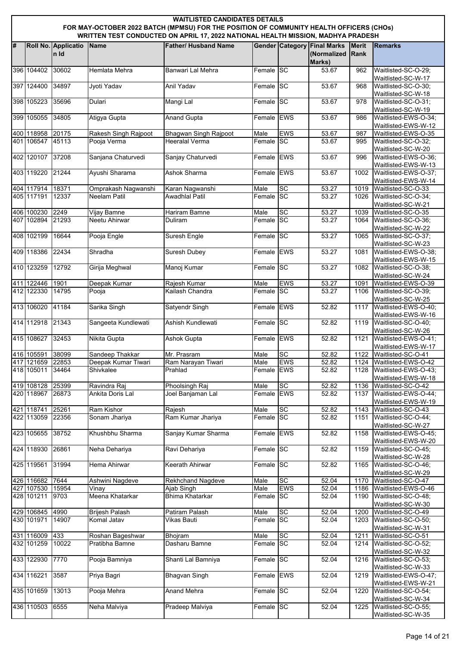|   | <b>WAITLISTED CANDIDATES DETAILS</b><br>FOR MAY-OCTOBER 2022 BATCH (MPMSU) FOR THE POSITION OF COMMUNITY HEALTH OFFICERS (CHOs)<br>WRITTEN TEST CONDUCTED ON APRIL 17, 2022 NATIONAL HEALTH MISSION, MADHYA PRADESH |                              |                       |                                                       |                   |            |                                                             |                             |                                                                 |  |  |  |
|---|---------------------------------------------------------------------------------------------------------------------------------------------------------------------------------------------------------------------|------------------------------|-----------------------|-------------------------------------------------------|-------------------|------------|-------------------------------------------------------------|-----------------------------|-----------------------------------------------------------------|--|--|--|
| # |                                                                                                                                                                                                                     | Roll No. Applicatio<br>In Id | <b>Name</b>           | <b>Father/ Husband Name</b>                           |                   |            | <b>Gender Category Final Marks</b><br>(Normalized<br>Marks) | <b>Merit</b><br><b>Rank</b> | <b>Remarks</b>                                                  |  |  |  |
|   | 396 104402                                                                                                                                                                                                          | 30602                        | Hemlata Mehra         | Banwari Lal Mehra                                     | Female SC         |            | 53.67                                                       | 962                         | Waitlisted-SC-O-29;<br>Waitlisted-SC-W-17                       |  |  |  |
|   | 397 124400                                                                                                                                                                                                          | 34897                        | Jyoti Yadav           | Anil Yadav                                            | Female SC         |            | 53.67                                                       | 968                         | Waitlisted-SC-O-30;                                             |  |  |  |
|   | 398 105223                                                                                                                                                                                                          | 35696                        | Dulari                | Mangi Lal                                             | Female SC         |            | 53.67                                                       | 978                         | Waitlisted-SC-W-18<br>Waitlisted-SC-O-31;                       |  |  |  |
|   | 399 105055                                                                                                                                                                                                          | 34805                        | Atigya Gupta          | <b>Anand Gupta</b>                                    | Female EWS        |            | 53.67                                                       | 986                         | Waitlisted-SC-W-19<br>Waitlisted-EWS-O-34;                      |  |  |  |
|   |                                                                                                                                                                                                                     |                              |                       |                                                       |                   |            |                                                             |                             | Waitlisted-EWS-W-12                                             |  |  |  |
|   | 400 118958<br>401 106547                                                                                                                                                                                            | 20175<br>45113               | Rakesh Singh Rajpoot  | <b>Bhagwan Singh Rajpoot</b><br><b>Heeralal Verma</b> | Male<br>Female SC | <b>EWS</b> | 53.67<br>53.67                                              | 987<br>995                  | Waitlisted-EWS-O-35<br>Waitlisted-SC-O-32;                      |  |  |  |
|   |                                                                                                                                                                                                                     |                              | Pooja Verma           |                                                       |                   |            |                                                             |                             | Waitlisted-SC-W-20                                              |  |  |  |
|   | 402 120107 37208                                                                                                                                                                                                    |                              | Sanjana Chaturvedi    | Sanjay Chaturvedi                                     | Female EWS        |            | 53.67                                                       | 996                         | Waitlisted-EWS-O-36;<br>Waitlisted-EWS-W-13                     |  |  |  |
|   | 403 119220                                                                                                                                                                                                          | 21244                        | Ayushi Sharama        | Ashok Sharma                                          | Female EWS        |            | 53.67                                                       | 1002                        | Waitlisted-EWS-O-37;<br>Waitlisted-EWS-W-14                     |  |  |  |
|   | 404 117914 18371                                                                                                                                                                                                    |                              | Omprakash Nagwanshi   | Karan Nagwanshi                                       | Male              | <b>SC</b>  | 53.27                                                       | 1019                        | Waitlisted-SC-O-33                                              |  |  |  |
|   | 405 117191                                                                                                                                                                                                          | 12337                        | <b>Neelam Patil</b>   | Awadhlal Patil                                        | Female SC         |            | 53.27                                                       | 1026                        | Waitlisted-SC-O-34;<br>Waitlisted-SC-W-21                       |  |  |  |
|   | 406 100230                                                                                                                                                                                                          | 2249                         | Vijay Bamne           | Hariram Bamne                                         | Male              | <b>SC</b>  | 53.27                                                       | 1039                        | Waitlisted-SC-O-35                                              |  |  |  |
|   | 407 102894                                                                                                                                                                                                          | 21293                        | Neetu Ahirwar         | Duliram                                               | Female SC         |            | 53.27                                                       | 1064                        | Waitlisted-SC-O-36;                                             |  |  |  |
|   | 408 102199                                                                                                                                                                                                          | 16644                        | Pooja Engle           | Suresh Engle                                          | Female SC         |            | 53.27                                                       | 1065                        | Waitlisted-SC-W-22<br>Waitlisted-SC-O-37;<br>Waitlisted-SC-W-23 |  |  |  |
|   | 409 118386                                                                                                                                                                                                          | 22434                        | Shradha               | <b>Suresh Dubey</b>                                   | Female EWS        |            | 53.27                                                       | 1081                        | Waitlisted-EWS-O-38;                                            |  |  |  |
|   | 410 123259                                                                                                                                                                                                          | 12792                        | Girija Meghwal        | Manoj Kumar                                           | Female SC         |            | 53.27                                                       | 1082                        | Waitlisted-EWS-W-15<br>Waitlisted-SC-O-38;                      |  |  |  |
|   | 411 122446                                                                                                                                                                                                          | 1901                         | Deepak Kumar          | Rajesh Kumar                                          | Male              | <b>EWS</b> | 53.27                                                       | 1091                        | Waitlisted-SC-W-24<br>Waitlisted-EWS-O-39                       |  |  |  |
|   | 412 122330                                                                                                                                                                                                          | 14795                        | Pooja                 | Kailash Chandra                                       | Female SC         |            | 53.27                                                       | 1106                        | Waitlisted-SC-O-39;                                             |  |  |  |
|   |                                                                                                                                                                                                                     | 41184                        |                       |                                                       | Female EWS        |            |                                                             |                             | Waitlisted-SC-W-25                                              |  |  |  |
|   | 413 106020                                                                                                                                                                                                          |                              | Sarika Singh          | <b>Satyendr Singh</b>                                 |                   |            | 52.82                                                       | 1117                        | Waitlisted-EWS-O-40;<br>Waitlisted-EWS-W-16                     |  |  |  |
|   | 414 112918 21343                                                                                                                                                                                                    |                              | Sangeeta Kundlewati   | Ashish Kundlewati                                     | Female SC         |            | 52.82                                                       | 1119                        | Waitlisted-SC-O-40;<br>Waitlisted-SC-W-26                       |  |  |  |
|   | 415 108627                                                                                                                                                                                                          | 32453                        | Nikita Gupta          | Ashok Gupta                                           | Female EWS        |            | 52.82                                                       | 1121                        | Waitlisted-EWS-O-41;<br>Waitlisted-EWS-W-17                     |  |  |  |
|   | 416 105591                                                                                                                                                                                                          | 38099                        | Sandeep Thakkar       | Mr. Prasram                                           | Male              | <b>SC</b>  | 52.82                                                       | 1122                        | Waitlisted-SC-O-41                                              |  |  |  |
|   | 417 121659 22853                                                                                                                                                                                                    |                              | Deepak Kumar Tiwari   | Ram Narayan Tiwari                                    | Male              | <b>EWS</b> | 52.82                                                       | 1124                        | Waitlisted-EWS-O-42                                             |  |  |  |
|   | 418 105011                                                                                                                                                                                                          | 34464                        | Shivkalee             | Prahlad                                               | Female EWS        |            | 52.82                                                       | 1128                        | Waitlisted-EWS-O-43:<br>Waitlisted-EWS-W-18                     |  |  |  |
|   | 419 108128                                                                                                                                                                                                          | 25399                        | Ravindra Raj          | Phoolsingh Raj                                        | Male              | <b>SC</b>  | 52.82                                                       | 1136                        | Waitlisted-SC-O-42                                              |  |  |  |
|   | 420 118967 26873                                                                                                                                                                                                    |                              | Ankita Doris Lal      | Joel Banjaman Lal                                     | Female EWS        |            | 52.82                                                       | 1137                        | Waitlisted-EWS-O-44;<br>Waitlisted-EWS-W-19                     |  |  |  |
|   | 421 118741                                                                                                                                                                                                          | 25261                        | Ram Kishor            | Rajesh                                                | Male              | <b>SC</b>  | 52.82                                                       | 1143                        | Waitlisted-SC-O-43                                              |  |  |  |
|   | 422 113059                                                                                                                                                                                                          | 22356                        | Sonam Jhariya         | Ram Kumar Jhariya                                     | Female SC         |            | 52.82                                                       | 1151                        | Waitlisted-SC-O-44;                                             |  |  |  |
|   | 423 105655                                                                                                                                                                                                          | 38752                        | Khushbhu Sharma       | Sanjay Kumar Sharma                                   | Female EWS        |            | 52.82                                                       | 1158                        | Waitlisted-SC-W-27<br>Waitlisted-EWS-O-45;                      |  |  |  |
|   | 424 118930                                                                                                                                                                                                          | 26861                        | Neha Dehariya         |                                                       | Female SC         |            | 52.82                                                       | 1159                        | Waitlisted-EWS-W-20<br>Waitlisted-SC-O-45;                      |  |  |  |
|   |                                                                                                                                                                                                                     |                              |                       | Ravi Dehariya                                         |                   |            |                                                             |                             | Waitlisted-SC-W-28                                              |  |  |  |
|   | 425 119561                                                                                                                                                                                                          | 31994                        | Hema Ahirwar          | Keerath Ahirwar                                       | Female SC         |            | 52.82                                                       | 1165                        | Waitlisted-SC-O-46;<br>Waitlisted-SC-W-29                       |  |  |  |
|   | 426 116682 7644                                                                                                                                                                                                     |                              | Ashwini Nagdeve       | Rekhchand Nagdeve                                     | Male              | <b>SC</b>  | 52.04                                                       | 1170                        | Waitlisted-SC-O-47                                              |  |  |  |
|   | 427 107530                                                                                                                                                                                                          | 15954                        | Vinay                 | Ajab Singh                                            | Male              | <b>EWS</b> | 52.04                                                       | 1186                        | Waitlisted-EWS-O-46                                             |  |  |  |
|   | 428 101211                                                                                                                                                                                                          | 9703                         | Meena Khatarkar       | Bhima Khatarkar                                       | Female SC         |            | 52.04                                                       | 1190                        | Waitlisted-SC-O-48:<br>Waitlisted-SC-W-30                       |  |  |  |
|   | 429 106845 4990                                                                                                                                                                                                     |                              | <b>Brijesh Palash</b> | Patiram Palash                                        | Male              | <b>SC</b>  | 52.04                                                       | 1200                        | Waitlisted-SC-O-49                                              |  |  |  |
|   | 430 101971                                                                                                                                                                                                          | 14907                        | Komal Jatav           | Vikas Bauti                                           | Female SC         |            | 52.04                                                       | 1203                        | Waitlisted-SC-O-50;<br>Waitlisted-SC-W-31                       |  |  |  |
|   | 431 116009 433                                                                                                                                                                                                      |                              | Roshan Bageshwar      | Bhojram                                               | Male              | SC         | 52.04                                                       | 1211                        | Waitlisted-SC-O-51                                              |  |  |  |
|   | 432 101259                                                                                                                                                                                                          | 10022                        | Pratibha Bamne        | Dasharu Bamne                                         | Female SC         |            | 52.04                                                       | $\frac{1}{1214}$            | Waitlisted-SC-O-52;<br>Waitlisted-SC-W-32                       |  |  |  |
|   | 433 122930                                                                                                                                                                                                          | 7770                         | Pooja Bamniya         | Shanti Lal Bamniya                                    | Female SC         |            | 52.04                                                       | 1216                        | Waitlisted-SC-O-53;<br>Waitlisted-SC-W-33                       |  |  |  |
|   | 434 116221                                                                                                                                                                                                          | 3587                         | Priya Bagri           | <b>Bhagvan Singh</b>                                  | Female EWS        |            | 52.04                                                       | 1219                        | Waitlisted-EWS-O-47;<br>Waitlisted-EWS-W-21                     |  |  |  |
|   | 435 101659                                                                                                                                                                                                          | 13013                        | Pooja Mehra           | <b>Anand Mehra</b>                                    | Female SC         |            | 52.04                                                       | 1220                        | Waitlisted-SC-O-54;<br>Waitlisted-SC-W-34                       |  |  |  |
|   | 436 110503                                                                                                                                                                                                          | 6555                         | Neha Malviya          | Pradeep Malviya                                       | Female SC         |            | 52.04                                                       | 1225                        | Waitlisted-SC-O-55;<br>Waitlisted-SC-W-35                       |  |  |  |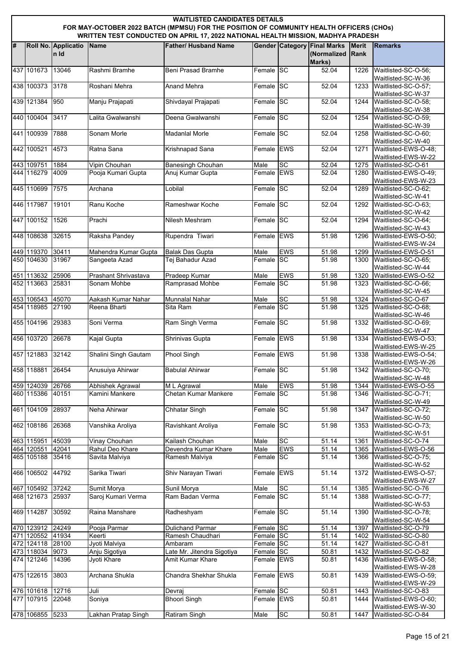|   | <b>WAITLISTED CANDIDATES DETAILS</b><br>FOR MAY-OCTOBER 2022 BATCH (MPMSU) FOR THE POSITION OF COMMUNITY HEALTH OFFICERS (CHOs)<br>WRITTEN TEST CONDUCTED ON APRIL 17, 2022 NATIONAL HEALTH MISSION, MADHYA PRADESH |                             |                      |                               |                         |            |                                                             |                             |                                                                 |  |  |  |
|---|---------------------------------------------------------------------------------------------------------------------------------------------------------------------------------------------------------------------|-----------------------------|----------------------|-------------------------------|-------------------------|------------|-------------------------------------------------------------|-----------------------------|-----------------------------------------------------------------|--|--|--|
|   |                                                                                                                                                                                                                     |                             |                      |                               |                         |            |                                                             |                             |                                                                 |  |  |  |
| # |                                                                                                                                                                                                                     | Roll No. Applicatio<br>n Id | <b>Name</b>          | <b>Father/ Husband Name</b>   |                         |            | <b>Gender Category Final Marks</b><br>(Normalized<br>Marks) | <b>Merit</b><br><b>Rank</b> | <b>Remarks</b>                                                  |  |  |  |
|   | 437 101673                                                                                                                                                                                                          | 13046                       | Rashmi Bramhe        | <b>Beni Prasad Bramhe</b>     | Female SC               |            | 52.04                                                       | 1226                        | Waitlisted-SC-O-56;<br>Waitlisted-SC-W-36                       |  |  |  |
|   | 438 100373                                                                                                                                                                                                          | 3178                        | Roshani Mehra        | <b>Anand Mehra</b>            | Female SC               |            | 52.04                                                       | 1233                        | Waitlisted-SC-O-57;                                             |  |  |  |
|   | 439 121384                                                                                                                                                                                                          | 950                         | Manju Prajapati      | Shivdayal Prajapati           | Female SC               |            | 52.04                                                       | 1244                        | Waitlisted-SC-W-37<br>Waitlisted-SC-O-58;                       |  |  |  |
|   | 440 100404                                                                                                                                                                                                          | 3417                        | Lalita Gwalwanshi    | Deena Gwalwanshi              | Female SC               |            | 52.04                                                       | 1254                        | Waitlisted-SC-W-38<br>Waitlisted-SC-O-59;                       |  |  |  |
|   | 441 100939                                                                                                                                                                                                          | 7888                        | Sonam Morle          | <b>Madanial Morle</b>         | Female SC               |            | 52.04                                                       | 1258                        | Waitlisted-SC-W-39<br>Waitlisted-SC-O-60;                       |  |  |  |
|   | 442 100521                                                                                                                                                                                                          | 4573                        | Ratna Sana           |                               | Female EWS              |            | 52.04                                                       | 1271                        | Waitlisted-SC-W-40<br>Waitlisted-EWS-O-48;                      |  |  |  |
|   |                                                                                                                                                                                                                     |                             |                      | Krishnapad Sana               |                         |            |                                                             |                             | Waitlisted-EWS-W-22                                             |  |  |  |
|   | 443 109751                                                                                                                                                                                                          | 1884                        | Vipin Chouhan        | <b>Banesingh Chouhan</b>      | Male                    | SC         | 52.04                                                       | 1275                        | Waitlisted-SC-O-61                                              |  |  |  |
|   | 444 116279                                                                                                                                                                                                          | 4009                        | Pooja Kumari Gupta   | Anuj Kumar Gupta              | Female EWS              |            | 52.04                                                       | 1280                        | Waitlisted-EWS-O-49;<br>Waitlisted-EWS-W-23                     |  |  |  |
|   | 445 110699                                                                                                                                                                                                          | 7575                        | Archana              | Lobilal                       | Female SC               |            | 52.04                                                       | 1289                        | Waitlisted-SC-O-62;<br>Waitlisted-SC-W-41                       |  |  |  |
|   | 446 117987                                                                                                                                                                                                          | 19101                       | Ranu Koche           | Rameshwar Koche               | Female SC               |            | 52.04                                                       | 1292                        | Waitlisted-SC-O-63;<br>Waitlisted-SC-W-42                       |  |  |  |
|   | 447 100152                                                                                                                                                                                                          | 1526                        | Prachi               | Nilesh Meshram                | Female SC               |            | 52.04                                                       | 1294                        | Waitlisted-SC-O-64;                                             |  |  |  |
|   | 448 108638                                                                                                                                                                                                          | 32615                       | Raksha Pandey        | Rupendra Tiwari               | Female EWS              |            | 51.98                                                       | 1296                        | Waitlisted-SC-W-43<br>Waitlisted-EWS-O-50;                      |  |  |  |
|   |                                                                                                                                                                                                                     |                             |                      |                               |                         |            |                                                             |                             | Waitlisted-EWS-W-24                                             |  |  |  |
|   | 449 119370                                                                                                                                                                                                          | 30411                       | Mahendra Kumar Gupta | <b>Balak Das Gupta</b>        | Male                    | <b>EWS</b> | 51.98                                                       | 1299                        | Waitlisted-EWS-O-51                                             |  |  |  |
|   | 450 104630                                                                                                                                                                                                          | 31967                       | Sangeeta Azad        | Tej Bahadur Azad              | Female SC               |            | 51.98                                                       | 1300                        | Waitlisted-SC-O-65;<br>Waitlisted-SC-W-44                       |  |  |  |
|   | 451 113632                                                                                                                                                                                                          | 25906                       | Prashant Shrivastava | Pradeep Kumar                 | Male                    | <b>EWS</b> | 51.98                                                       | 1320                        | Waitlisted-EWS-O-52                                             |  |  |  |
|   | 452 113663                                                                                                                                                                                                          | 25831                       | Sonam Mohbe          | Ramprasad Mohbe               | Female SC               |            | 51.98                                                       | 1323                        | Waitlisted-SC-O-66;<br>Waitlisted-SC-W-45                       |  |  |  |
|   | 453 106543 45070                                                                                                                                                                                                    |                             | Aakash Kumar Nahar   | <b>Munnalal Nahar</b>         | Male                    | SC         | 51.98                                                       | 1324                        | Waitlisted-SC-O-67                                              |  |  |  |
|   | 454 118985                                                                                                                                                                                                          | 27190                       | Reena Bharti         | Sita Ram                      | Female SC               |            | 51.98                                                       | 1325                        | Waitlisted-SC-O-68;<br>Waitlisted-SC-W-46                       |  |  |  |
|   | 455 104196                                                                                                                                                                                                          | 29383                       | Soni Verma           | Ram Singh Verma               | Female SC               |            | 51.98                                                       | 1332                        | Waitlisted-SC-O-69:<br>Waitlisted-SC-W-47                       |  |  |  |
|   | 456 103720                                                                                                                                                                                                          | 26678                       | Kajal Gupta          | Shrinivas Gupta               | Female EWS              |            | 51.98                                                       | 1334                        | Waitlisted-EWS-O-53;<br>Waitlisted-EWS-W-25                     |  |  |  |
|   | 457 121883 32142                                                                                                                                                                                                    |                             | Shalini Singh Gautam | Phool Singh                   | Female EWS              |            | 51.98                                                       | 1338                        | Waitlisted-EWS-O-54;<br>Waitlisted-EWS-W-26                     |  |  |  |
|   | 458 118881                                                                                                                                                                                                          | 26454                       | Anusuiya Ahirwar     | <b>Babulal Ahirwar</b>        | Female SC               |            | 51.98                                                       | 1342                        | Waitlisted-SC-O-70;<br>Waitlisted-SC-W-48                       |  |  |  |
|   | 459 124039                                                                                                                                                                                                          | 26766                       | Abhishek Agrawal     | M L Agrawal                   | Male                    | <b>EWS</b> | 51.98                                                       | 1344                        | Waitlisted-EWS-O-55                                             |  |  |  |
|   | 460 115386                                                                                                                                                                                                          | 40151                       | Kamini Mankere       | Chetan Kumar Mankere          | Female SC               |            | 51.98                                                       | 1346                        | Waitlisted-SC-O-71;<br>Waitlisted-SC-W-49                       |  |  |  |
|   | 461 104109                                                                                                                                                                                                          | 28937                       | Neha Ahirwar         | Chhatar Singh                 | Female SC               |            | 51.98                                                       | 1347                        | Waitlisted-SC-O-72;                                             |  |  |  |
|   | 462 108186                                                                                                                                                                                                          | 26368                       | Vanshika Aroliya     | Ravishkant Aroliya            | Female SC               |            | 51.98                                                       | 1353                        | Waitlisted-SC-W-50<br>Waitlisted-SC-O-73;                       |  |  |  |
|   | 463 115951                                                                                                                                                                                                          | 45039                       | Vinay Chouhan        | Kailash Chouhan               | Male                    | SC         | 51.14                                                       | 1361                        | Waitlisted-SC-W-51<br>Waitlisted-SC-O-74                        |  |  |  |
|   | 464 120551                                                                                                                                                                                                          | 42041                       | Rahul Deo Khare      | Devendra Kumar Khare          | Male                    | <b>EWS</b> | 51.14                                                       | 1365                        | Waitlisted-EWS-O-56                                             |  |  |  |
|   | 465 105188                                                                                                                                                                                                          | 35416                       | Savita Malviya       | Ramesh Malviya                | Female SC               |            | 51.14                                                       | 1366                        | Waitlisted-SC-O-75:<br>Waitlisted-SC-W-52                       |  |  |  |
|   | 466 106502                                                                                                                                                                                                          | 44792                       | Sarika Tiwari        | Shiv Narayan Tiwari           | Female EWS              |            | 51.14                                                       | 1372                        | Waitlisted-EWS-O-57;<br>Waitlisted-EWS-W-27                     |  |  |  |
|   | 467 105492 37242                                                                                                                                                                                                    |                             | Sumit Morya          | Sunil Morya                   | Male                    | SC         | 51.14                                                       | 1385                        | Waitlisted-SC-O-76                                              |  |  |  |
|   | 468 121673 25937                                                                                                                                                                                                    |                             | Saroj Kumari Verma   | Ram Badan Verma               | Female SC               |            | 51.14                                                       | 1388                        | Waitlisted-SC-O-77;                                             |  |  |  |
|   | 469 114287                                                                                                                                                                                                          | 30592                       | Raina Manshare       | Radheshyam                    | Female SC               |            | 51.14                                                       | 1390                        | Waitlisted-SC-W-53<br>Waitlisted-SC-O-78;<br>Waitlisted-SC-W-54 |  |  |  |
|   | 470 123912 24249                                                                                                                                                                                                    |                             | Pooja Parmar         | <b>Dulichand Parmar</b>       | Female SC               |            | 51.14                                                       | 1397                        | Waitlisted-SC-O-79                                              |  |  |  |
|   | 471 120552 41934                                                                                                                                                                                                    |                             | Keerti               | Ramesh Chaudhari              | Female SC               |            | 51.14                                                       | 1402                        | Waitlisted-SC-O-80                                              |  |  |  |
|   | 472 124118 28100                                                                                                                                                                                                    |                             | Jyoti Malviya        | Ambaram                       | Female SC               |            | 51.14                                                       | 1427                        | Waitlisted-SC-O-81                                              |  |  |  |
|   | 473 118034                                                                                                                                                                                                          | 9073                        | Anju Sigotiya        | Late Mr. Jitendra Sigotiya    | Female SC               |            | 50.81                                                       | 1432                        | Waitlisted-SC-O-82                                              |  |  |  |
|   | 474 121246                                                                                                                                                                                                          | 14396                       | Jyoti Khare          | Amit Kumar Khare              | Female EWS              |            | 50.81                                                       | 1436                        | Waitlisted-EWS-O-58;<br>Waitlisted-EWS-W-28                     |  |  |  |
|   | 475 122615                                                                                                                                                                                                          | 3803                        | Archana Shukla       | Chandra Shekhar Shukla        | Female EWS              |            | 50.81                                                       | 1439                        | Waitlisted-EWS-O-59;<br>Waitlisted-EWS-W-29                     |  |  |  |
|   | 476 101618<br>477 107915 22048                                                                                                                                                                                      | 12716                       | Juli<br>Soniya       | Devraj<br><b>Bhoori Singh</b> | Female SC<br>Female EWS |            | 50.81<br>50.81                                              | 1443<br>1444                | Waitlisted-SC-O-83<br>Waitlisted-EWS-O-60;                      |  |  |  |
|   |                                                                                                                                                                                                                     |                             |                      |                               |                         |            |                                                             |                             | Waitlisted-EWS-W-30                                             |  |  |  |
|   | 478 106855 5233                                                                                                                                                                                                     |                             | Lakhan Pratap Singh  | Ratiram Singh                 | Male                    | SC         | 50.81                                                       | 1447                        | Waitlisted-SC-O-84                                              |  |  |  |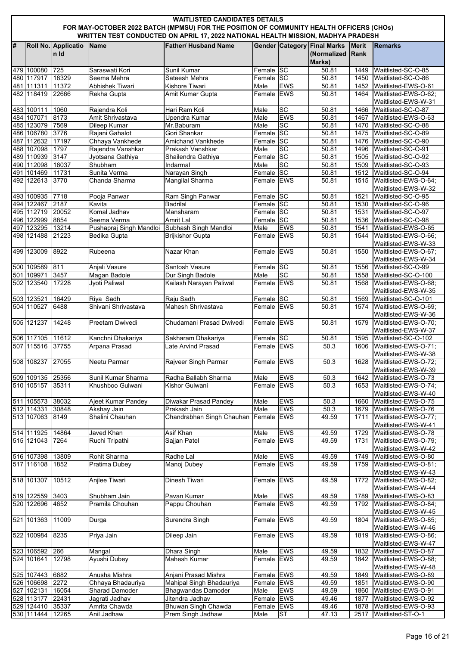|    | <b>WAITLISTED CANDIDATES DETAILS</b><br>FOR MAY-OCTOBER 2022 BATCH (MPMSU) FOR THE POSITION OF COMMUNITY HEALTH OFFICERS (CHOs)<br>WRITTEN TEST CONDUCTED ON APRIL 17, 2022 NATIONAL HEALTH MISSION, MADHYA PRADESH |                             |                                         |                                                      |                          |                  |                                                             |                      |                                                  |  |  |  |
|----|---------------------------------------------------------------------------------------------------------------------------------------------------------------------------------------------------------------------|-----------------------------|-----------------------------------------|------------------------------------------------------|--------------------------|------------------|-------------------------------------------------------------|----------------------|--------------------------------------------------|--|--|--|
| l# |                                                                                                                                                                                                                     | Roll No. Applicatio<br>n Id | <b>Name</b>                             | <b>Father/ Husband Name</b>                          |                          |                  | <b>Gender Category Final Marks</b><br>(Normalized<br>Marks) | <b>Merit</b><br>Rank | <b>Remarks</b>                                   |  |  |  |
|    | 479 100080                                                                                                                                                                                                          | 725                         | Saraswati Kori                          | Sunil Kumar                                          | Female SC                |                  | 50.81                                                       | 1449                 | Waitlisted-SC-O-85                               |  |  |  |
|    | 480 117917                                                                                                                                                                                                          | 18329                       | Seema Mehra                             | Sateesh Mehra                                        | Female SC                |                  | 50.81                                                       | 1450                 | Waitlisted-SC-O-86                               |  |  |  |
|    | 481 111311                                                                                                                                                                                                          | 11372                       | <b>Abhishek Tiwari</b>                  | Kishore Tiwari                                       | Male                     | <b>EWS</b>       | 50.81                                                       | 1452                 | Waitlisted-EWS-O-61                              |  |  |  |
|    | 482 118419                                                                                                                                                                                                          | 22666                       | Rekha Gupta                             | Amit Kumar Gupta                                     | Female EWS               |                  | 50.81                                                       | 1464                 | Waitlisted-EWS-O-62;                             |  |  |  |
|    |                                                                                                                                                                                                                     |                             |                                         |                                                      |                          |                  |                                                             |                      | Waitlisted-EWS-W-31                              |  |  |  |
|    | 483 100111                                                                                                                                                                                                          | 1060                        | Rajendra Koli                           | Hari Ram Koli                                        | Male                     | SC<br><b>EWS</b> | 50.81                                                       | 1466                 | Waitlisted-SC-O-87                               |  |  |  |
|    | 484 107071<br>485 123079 7569                                                                                                                                                                                       | 8173                        | Amit Shrivastava                        | Upendra Kumar<br>Mr.Baburam                          | Male<br>Male             | <b>SC</b>        | 50.81<br>50.81                                              | 1467<br>1470         | Waitlisted-EWS-O-63                              |  |  |  |
|    | 486 106780                                                                                                                                                                                                          | 3776                        | Dileep Kumar<br>Rajani Gahalot          | Gori Shankar                                         | Female                   | <b>SC</b>        | 50.81                                                       | 1475                 | Waitlisted-SC-O-88<br>Waitlisted-SC-O-89         |  |  |  |
|    | 487 112632 17197                                                                                                                                                                                                    |                             | Chhaya Vankhede                         | Amichand Vankhede                                    | Female SC                |                  | 50.81                                                       | 1476                 | Waitlisted-SC-O-90                               |  |  |  |
|    | 488 107098                                                                                                                                                                                                          | 1797                        | Rajendra Vanshkar                       | Prakash Vanshkar                                     | Male                     | SC               | 50.81                                                       | 1496                 | Waitlisted-SC-O-91                               |  |  |  |
|    | 489 110939                                                                                                                                                                                                          | 3147                        | Jyotsana Gathiya                        | Shailendra Gathiya                                   | Female SC                |                  | 50.81                                                       | 1505                 | Waitlisted-SC-O-92                               |  |  |  |
|    | 490 112098                                                                                                                                                                                                          | 16037                       | Shubham                                 | Indarmal                                             | Male                     | SC               | 50.81                                                       | 1509                 | Waitlisted-SC-O-93                               |  |  |  |
|    | 491 101469                                                                                                                                                                                                          | 11731                       | Sunita Verma                            | Narayan Singh                                        | Female SC                |                  | 50.81                                                       | 1512                 | Waitlisted-SC-O-94                               |  |  |  |
|    | 492 122613                                                                                                                                                                                                          | 3770                        | Chanda Sharma                           | Mangilal Sharma                                      | Female EWS               |                  | 50.81                                                       | 1515                 | Waitlisted-EWS-O-64:<br>Waitlisted-EWS-W-32      |  |  |  |
|    | 493 100935 7718                                                                                                                                                                                                     |                             | Pooja Panwar                            | Ram Singh Panwar                                     | Female SC                |                  | 50.81                                                       | 1521                 | Waitlisted-SC-O-95                               |  |  |  |
|    | 494 122467                                                                                                                                                                                                          | 2187                        | Kavita                                  | <b>Badrilal</b>                                      | Female SC                |                  | 50.81                                                       | 1530                 | Waitlisted-SC-O-96                               |  |  |  |
|    | 495 112719 20052                                                                                                                                                                                                    |                             | Komal Jadhav                            | Mansharam                                            | Female SC                |                  | 50.81                                                       | 1531                 | Waitlisted-SC-O-97                               |  |  |  |
|    | 496 122999 8854<br>497 123295                                                                                                                                                                                       | 13214                       | Seema Verma                             | <b>Amrit Lal</b><br>Subhash Singh Mandloi            | Female SC                | <b>EWS</b>       | 50.81<br>50.81                                              | 1536<br>1541         | Waitlisted-SC-O-98<br>Waitlisted-EWS-O-65        |  |  |  |
|    | 498 121488                                                                                                                                                                                                          | 21223                       | Pushapraj Singh Mandloi<br>Bedika Gupta | <b>Brijkishor Gupta</b>                              | Male<br>Female EWS       |                  | 50.81                                                       | 1544                 | Waitlisted-EWS-O-66:                             |  |  |  |
|    | 499 123009                                                                                                                                                                                                          | 8922                        | Rubeena                                 | Nazar Khan                                           | Female EWS               |                  | 50.81                                                       | 1550                 | Waitlisted-EWS-W-33<br>Waitlisted-EWS-O-67;      |  |  |  |
|    | 500 109589 811                                                                                                                                                                                                      |                             | Anjali Vasure                           | Santosh Vasure                                       | Female SC                |                  | 50.81                                                       | 1556                 | Waitlisted-EWS-W-34<br>Waitlisted-SC-O-99        |  |  |  |
|    | 501 109971                                                                                                                                                                                                          | 3457                        | Magan Badole                            | Dur Singh Badole                                     | Male                     | <b>SC</b>        | 50.81                                                       | 1558                 | Waitlisted-SC-O-100                              |  |  |  |
|    | 502 123540                                                                                                                                                                                                          | 17228                       | Jyoti Paliwal                           | Kailash Narayan Paliwal                              | Female EWS               |                  | 50.81                                                       | 1568                 | Waitlisted-EWS-O-68:<br>Waitlisted-EWS-W-35      |  |  |  |
|    | 503 123521                                                                                                                                                                                                          | 16429                       | Riya Sadh                               | Raju Sadh                                            | Female SC                |                  | 50.81                                                       | 1569                 | Waitlisted-SC-O-101                              |  |  |  |
|    | 504 110527                                                                                                                                                                                                          | 6488                        | Shivani Shrivastava                     | Mahesh Shrivastava                                   | Female EWS               |                  | 50.81                                                       | 1574                 | Waitlisted-EWS-O-69;<br>Waitlisted-EWS-W-36      |  |  |  |
|    | 505 121237                                                                                                                                                                                                          | 14248                       | Preetam Dwivedi                         | Chudamani Prasad Dwivedi                             | Female EWS               |                  | 50.81                                                       | 1579                 | Waitlisted-EWS-O-70;<br>Waitlisted-EWS-W-37      |  |  |  |
|    | 506 117105 11612                                                                                                                                                                                                    |                             | Kanchni Dhakariya                       | Sakharam Dhakariya                                   | Female SC                |                  | 50.81                                                       | 1595                 | Waitlisted-SC-O-102                              |  |  |  |
|    | 507 115516 37755                                                                                                                                                                                                    |                             | Arpana Prasad                           | Late Arvind Prasad                                   | Female EWS               |                  | 50.3                                                        | 1606                 | Waitlisted-EWS-O-71;<br>Waitlisted-EWS-W-38      |  |  |  |
|    | 508 108237 27055                                                                                                                                                                                                    |                             | Neetu Parmar                            | Rajveer Singh Parmar                                 | Female EWS               |                  | 50.3                                                        |                      | 1628 Waitlisted-EWS-O-72;<br>Waitlisted-EWS-W-39 |  |  |  |
|    | 509 109135 25356                                                                                                                                                                                                    |                             | Sunil Kumar Sharma                      | Radha Ballabh Sharma                                 | Male                     | <b>EWS</b>       | 50.3                                                        | 1642                 | Waitlisted-EWS-O-73                              |  |  |  |
|    | 510 105157 35311                                                                                                                                                                                                    |                             | Khushboo Gulwani                        | Kishor Gulwani                                       | Female EWS               |                  | 50.3                                                        | 1653                 | Waitlisted-EWS-O-74;<br>Waitlisted-EWS-W-40      |  |  |  |
|    | 511 105573 38032                                                                                                                                                                                                    |                             | Ajeet Kumar Pandey                      | Diwakar Prasad Pandey                                | Male                     | <b>EWS</b>       | 50.3                                                        | 1660                 | Waitlisted-EWS-O-75                              |  |  |  |
|    | 512 114331<br>513 107063                                                                                                                                                                                            | 30848<br>8149               | Akshay Jain<br>Shalini Chauhan          | Prakash Jain<br>Chandrabhan Singh Chauhan Female EWS | Male                     | <b>EWS</b>       | 50.3<br>49.59                                               | 1679<br>1711         | Waitlisted-EWS-O-76<br>Waitlisted-EWS-O-77;      |  |  |  |
|    |                                                                                                                                                                                                                     |                             |                                         |                                                      |                          |                  |                                                             |                      | Waitlisted-EWS-W-41                              |  |  |  |
|    | 514 111925                                                                                                                                                                                                          | 14864                       | Javed Khan                              | <b>Asif Khan</b>                                     | Male                     | <b>EWS</b>       | 49.59                                                       | 1729                 | Waitlisted-EWS-O-78                              |  |  |  |
|    | 515 121043                                                                                                                                                                                                          | 7264                        | Ruchi Tripathi                          | Sajjan Patel                                         | Female EWS               |                  | 49.59                                                       | 1731                 | Waitlisted-EWS-O-79;                             |  |  |  |
|    |                                                                                                                                                                                                                     |                             |                                         |                                                      |                          |                  |                                                             |                      | Waitlisted-EWS-W-42                              |  |  |  |
|    | 516 107398                                                                                                                                                                                                          | 13809                       | Rohit Sharma                            | Radhe Lal                                            | Male                     | <b>EWS</b>       | 49.59                                                       | 1749                 | Waitlisted-EWS-O-80                              |  |  |  |
|    | 517 116108                                                                                                                                                                                                          | 1852                        | Pratima Dubey                           | Manoj Dubey                                          | Female EWS               |                  | 49.59                                                       | 1759                 | Waitlisted-EWS-O-81;                             |  |  |  |
|    | 518 101307                                                                                                                                                                                                          | 10512                       | Anjlee Tiwari                           | Dinesh Tiwari                                        | Female EWS               |                  | 49.59                                                       | 1772                 | Waitlisted-EWS-W-43<br>Waitlisted-EWS-O-82;      |  |  |  |
|    |                                                                                                                                                                                                                     |                             |                                         |                                                      |                          |                  |                                                             |                      | Waitlisted-EWS-W-44                              |  |  |  |
|    | 519 122559                                                                                                                                                                                                          | 3403                        | Shubham Jain                            | Pavan Kumar                                          | Male                     | <b>EWS</b>       | 49.59                                                       | 1789                 | Waitlisted-EWS-O-83                              |  |  |  |
|    | 520 122696                                                                                                                                                                                                          | 4652                        | Pramila Chouhan                         | Pappu Chouhan                                        | Female EWS               |                  | 49.59                                                       | 1792                 | Waitlisted-EWS-O-84;<br>Waitlisted-EWS-W-45      |  |  |  |
|    | 521 101363                                                                                                                                                                                                          | 11009                       | Durga                                   | Surendra Singh                                       | Female EWS               |                  | 49.59                                                       | 1804                 | Waitlisted-EWS-O-85;<br>Waitlisted-EWS-W-46      |  |  |  |
|    | 522 100984                                                                                                                                                                                                          | 8235                        | Priya Jain                              | Dileep Jain                                          | Female EWS               |                  | 49.59                                                       | 1819                 | Waitlisted-EWS-O-86;<br>Waitlisted-EWS-W-47      |  |  |  |
|    | 523 106592                                                                                                                                                                                                          | 266                         | Mangal                                  | Dhara Singh                                          | Male                     | <b>EWS</b>       | 49.59                                                       | 1832                 | Waitlisted-EWS-O-87                              |  |  |  |
|    | 524 101641                                                                                                                                                                                                          | 12798                       | Ayushi Dubey                            | <b>Mahesh Kumar</b>                                  | Female EWS               |                  | 49.59                                                       | 1842                 | Waitlisted-EWS-O-88;<br>Waitlisted-EWS-W-48      |  |  |  |
|    | 525 107443 6682                                                                                                                                                                                                     |                             | Anusha Mishra                           | Anjani Prasad Mishra                                 | Female EWS               |                  | $\overline{49.59}$                                          | 1849                 | Waitlisted-EWS-O-89                              |  |  |  |
|    | 526 106698 2272                                                                                                                                                                                                     |                             | Chhaya Bhadauriya                       | Mahipal Singh Bhadauriya                             | Female EWS               |                  | 49.59                                                       | 1851                 | Waitlisted-EWS-O-90                              |  |  |  |
|    | 527 102131                                                                                                                                                                                                          | 16054                       | <b>Sharad Damoder</b>                   | <b>Bhagwandas Damoder</b>                            | Male                     | <b>EWS</b>       | 49.59                                                       | 1860                 | Waitlisted-EWS-O-91                              |  |  |  |
|    | 528 113177                                                                                                                                                                                                          | 22431                       | Jagrati Jadhav                          | Jitendra Jadhav                                      | Female EWS<br>Female EWS |                  | 49.46                                                       | 1877                 | Waitlisted-EWS-O-92                              |  |  |  |
|    | 529 124410<br>530 111444                                                                                                                                                                                            | 35337<br>12265              | Amrita Chawda<br>Anil Jadhaw            | Bhuwan Singh Chawda<br>Prem Singh Jadhaw             | Male                     | ST               | 49.46<br>47.13                                              | 1878<br>2517         | Waitlisted-EWS-O-93<br>Waitlisted-ST-O-1         |  |  |  |
|    |                                                                                                                                                                                                                     |                             |                                         |                                                      |                          |                  |                                                             |                      |                                                  |  |  |  |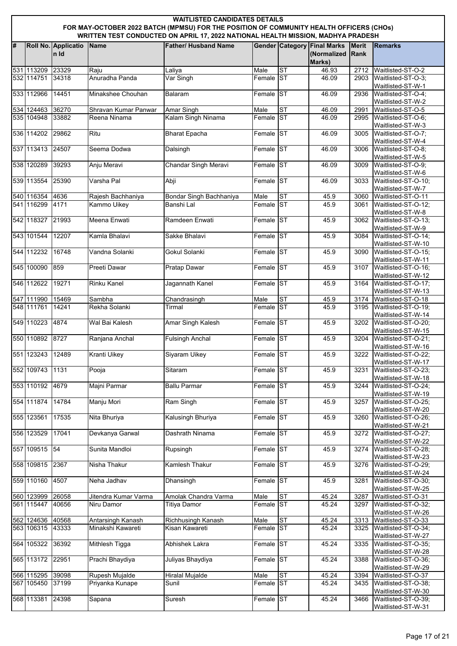|   | <b>WAITLISTED CANDIDATES DETAILS</b><br>FOR MAY-OCTOBER 2022 BATCH (MPMSU) FOR THE POSITION OF COMMUNITY HEALTH OFFICERS (CHOs)<br>WRITTEN TEST CONDUCTED ON APRIL 17, 2022 NATIONAL HEALTH MISSION, MADHYA PRADESH |                             |                      |                             |           |           |                                                             |                             |                                           |  |  |  |
|---|---------------------------------------------------------------------------------------------------------------------------------------------------------------------------------------------------------------------|-----------------------------|----------------------|-----------------------------|-----------|-----------|-------------------------------------------------------------|-----------------------------|-------------------------------------------|--|--|--|
| # |                                                                                                                                                                                                                     | Roll No. Applicatio<br>n Id | Name                 | <b>Father/ Husband Name</b> |           |           | <b>Gender Category Final Marks</b><br>(Normalized<br>Marks) | <b>Merit</b><br><b>Rank</b> | <b>Remarks</b>                            |  |  |  |
|   | 531 113209                                                                                                                                                                                                          | 23329                       | Raju                 | Laliya                      | Male      | <b>ST</b> | 46.93                                                       | 2712                        | Waitlisted-ST-O-2                         |  |  |  |
|   | 532 114751                                                                                                                                                                                                          | 34318                       | Anuradha Panda       | Var Singh                   | Female ST |           | 46.09                                                       | 2903                        | Waitlisted-ST-O-3;<br>Waitlisted-ST-W-1   |  |  |  |
|   | 533 112966                                                                                                                                                                                                          | 14451                       | Minakshee Chouhan    | Balaram                     | Female ST |           | 46.09                                                       | 2936                        | Waitlisted-ST-O-4;<br>Waitlisted-ST-W-2   |  |  |  |
|   | 534 124463                                                                                                                                                                                                          | 36270                       | Shravan Kumar Panwar | Amar Singh                  | Male      | ST        | 46.09                                                       | 2991                        | Waitlisted-ST-O-5                         |  |  |  |
|   | 535 104948                                                                                                                                                                                                          | 33882                       | Reena Ninama         | Kalam Singh Ninama          | Female ST |           | 46.09                                                       | 2995                        | Waitlisted-ST-O-6;<br>Waitlisted-ST-W-3   |  |  |  |
|   | 536 114202                                                                                                                                                                                                          | 29862                       | Ritu                 | <b>Bharat Epacha</b>        | Female ST |           | 46.09                                                       | 3005                        | Waitlisted-ST-O-7;<br>Waitlisted-ST-W-4   |  |  |  |
|   | 537 113413 24507                                                                                                                                                                                                    |                             | Seema Dodwa          | Dalsingh                    | Female ST |           | 46.09                                                       | 3006                        | Waitlisted-ST-O-8;<br>Waitlisted-ST-W-5   |  |  |  |
|   | 538 120289                                                                                                                                                                                                          | 39293                       | Anju Meravi          | Chandar Singh Meravi        | Female ST |           | 46.09                                                       | 3009                        | Waitlisted-ST-O-9;<br>Waitlisted-ST-W-6   |  |  |  |
|   | 539 113554                                                                                                                                                                                                          | 25390                       | Varsha Pal           | Abji                        | Female ST |           | 46.09                                                       | 3033                        | Waitlisted-ST-O-10:<br>Waitlisted-ST-W-7  |  |  |  |
|   | 540 116354                                                                                                                                                                                                          | 4636                        | Rajesh Bachhaniya    | Bondar Singh Bachhaniya     | Male      | ST        | 45.9                                                        | 3060                        | Waitlisted-ST-O-11                        |  |  |  |
|   | 541 116299                                                                                                                                                                                                          | 4171                        | <b>Kammo Uikey</b>   | Banshi Lal                  | Female ST |           | 45.9                                                        | 3061                        | Waitlisted-ST-O-12;<br>Waitlisted-ST-W-8  |  |  |  |
|   | 542 118327                                                                                                                                                                                                          | 21993                       | Meena Enwati         | Ramdeen Enwati              | Female ST |           | 45.9                                                        | 3062                        | Waitlisted-ST-O-13;<br>Waitlisted-ST-W-9  |  |  |  |
|   | 543 101544                                                                                                                                                                                                          | 12207                       | Kamla Bhalavi        | Sakke Bhalavi               | Female ST |           | 45.9                                                        | 3084                        | Waitlisted-ST-O-14;<br>Waitlisted-ST-W-10 |  |  |  |
|   | 544 112232                                                                                                                                                                                                          | 16748                       | Vandna Solanki       | Gokul Solanki               | Female ST |           | 45.9                                                        | 3090                        | Waitlisted-ST-O-15;<br>Waitlisted-ST-W-11 |  |  |  |
|   | 545 100090                                                                                                                                                                                                          | 859                         | <b>Preeti Dawar</b>  | <b>Pratap Dawar</b>         | Female ST |           | 45.9                                                        | 3107                        | Waitlisted-ST-O-16;<br>Waitlisted-ST-W-12 |  |  |  |
|   | 546 112622                                                                                                                                                                                                          | 19271                       | <b>Rinku Kanel</b>   | Jagannath Kanel             | Female ST |           | 45.9                                                        | 3164                        | Waitlisted-ST-O-17;<br>Waitlisted-ST-W-13 |  |  |  |
|   | 547 111990                                                                                                                                                                                                          | 15469                       | Sambha               | Chandrasingh                | Male      | <b>ST</b> | 45.9                                                        | 3174                        | Waitlisted-ST-O-18                        |  |  |  |
|   | 548 111761                                                                                                                                                                                                          | 14241                       | Rekha Solanki        | Tirmal                      | Female ST |           | 45.9                                                        | 3195                        | Waitlisted-ST-O-19;<br>Waitlisted-ST-W-14 |  |  |  |
|   | 549 110223                                                                                                                                                                                                          | 4874                        | Wal Bai Kalesh       | Amar Singh Kalesh           | Female ST |           | 45.9                                                        | 3202                        | Waitlisted-ST-O-20;<br>Waitlisted-ST-W-15 |  |  |  |
|   | 550 110892                                                                                                                                                                                                          | 8727                        | Ranjana Anchal       | <b>Fulsingh Anchal</b>      | Female ST |           | 45.9                                                        | 3204                        | Waitlisted-ST-O-21;<br>Waitlisted-ST-W-16 |  |  |  |
|   | 551 123243 12489                                                                                                                                                                                                    |                             | <b>Kranti Uikey</b>  | <b>Siyaram Uikey</b>        | Female ST |           | 45.9                                                        | 3222                        | Waitlisted-ST-O-22;<br>Waitlisted-ST-W-17 |  |  |  |
|   | 552 109743                                                                                                                                                                                                          | 1131                        | Pooja                | Sitaram                     | Female ST |           | 45.9                                                        | 3231                        | Waitlisted-ST-O-23:<br>Waitlisted-ST-W-18 |  |  |  |
|   | 553 110192 4679                                                                                                                                                                                                     |                             | Majni Parmar         | <b>Ballu Parmar</b>         | Female ST |           | 45.9                                                        | 3244                        | Waitlisted-ST-O-24;<br>Waitlisted-ST-W-19 |  |  |  |
|   | 554 111874                                                                                                                                                                                                          | 14784                       | Manju Mori           | Ram Singh                   | Female ST |           | 45.9                                                        | 3257                        | Waitlisted-ST-O-25;<br>Waitlisted-ST-W-20 |  |  |  |
|   | 555 123561                                                                                                                                                                                                          | 17535                       | Nita Bhuriya         | Kalusingh Bhuriya           | Female ST |           | 45.9                                                        | 3260                        | Waitlisted-ST-O-26;<br>Waitlisted-ST-W-21 |  |  |  |
|   | 556 123529                                                                                                                                                                                                          | 17041                       | Devkanya Garwal      | Dashrath Ninama             | Female ST |           | 45.9                                                        | 3272                        | Waitlisted-ST-O-27;<br>Waitlisted-ST-W-22 |  |  |  |
|   | 557 109515 54                                                                                                                                                                                                       |                             | Sunita Mandloi       | Rupsingh                    | Female ST |           | 45.9                                                        | 3274                        | Waitlisted-ST-O-28;<br>Waitlisted-ST-W-23 |  |  |  |
|   | 558 109815                                                                                                                                                                                                          | 2367                        | Nisha Thakur         | Kamlesh Thakur              | Female ST |           | 45.9                                                        | 3276                        | Waitlisted-ST-O-29;<br>Waitlisted-ST-W-24 |  |  |  |
|   | 559 110160                                                                                                                                                                                                          | 4507                        | Neha Jadhav          | Dhansingh                   | Female ST |           | 45.9                                                        | 3281                        | Waitlisted-ST-O-30;<br>Waitlisted-ST-W-25 |  |  |  |
|   | 560 123999                                                                                                                                                                                                          | 26058                       | Jitendra Kumar Varma | Amolak Chandra Varma        | Male      | ST        | 45.24                                                       | 3287                        | Waitlisted-ST-O-31                        |  |  |  |
|   | 561 115447                                                                                                                                                                                                          | 40656                       | Niru Damor           | <b>Titiya Damor</b>         | Female ST |           | 45.24                                                       | 3297                        | Waitlisted-ST-O-32;<br>Waitlisted-ST-W-26 |  |  |  |
|   | 562 124636                                                                                                                                                                                                          | 40568                       | Antarsingh Kanash    | Richhusingh Kanash          | Male      | ST        | 45.24                                                       | 3313                        | Waitlisted-ST-O-33                        |  |  |  |
|   | 563 106315                                                                                                                                                                                                          | 43333                       | Minakshi Kawareti    | Kisan Kawareti              | Female ST |           | 45.24                                                       | 3325                        | Waitlisted-ST-O-34;<br>Waitlisted-ST-W-27 |  |  |  |
|   | 564 105322                                                                                                                                                                                                          | 36392                       | Mithlesh Tigga       | Abhishek Lakra              | Female ST |           | 45.24                                                       | 3335                        | Waitlisted-ST-O-35;<br>Waitlisted-ST-W-28 |  |  |  |
|   | 565 113172 22951                                                                                                                                                                                                    |                             | Prachi Bhaydiya      | Juliyas Bhaydiya            | Female ST |           | 45.24                                                       | 3388                        | Waitlisted-ST-O-36;<br>Waitlisted-ST-W-29 |  |  |  |
|   | 566 115295                                                                                                                                                                                                          | 39098                       | Rupesh Mujalde       | <b>Hiralal Mujalde</b>      | Male      | ST        | 45.24                                                       | 3394                        | Waitlisted-ST-O-37                        |  |  |  |
|   | 567 105450                                                                                                                                                                                                          | 37199                       | Priyanka Kunape      | Sunil                       | Female ST |           | 45.24                                                       | 3435                        | Waitlisted-ST-O-38;<br>Waitlisted-ST-W-30 |  |  |  |
|   | 568 113381                                                                                                                                                                                                          | 24398                       | Sapana               | Suresh                      | Female ST |           | 45.24                                                       | 3466                        | Waitlisted-ST-O-39;                       |  |  |  |
|   |                                                                                                                                                                                                                     |                             |                      |                             |           |           |                                                             |                             | Waitlisted-ST-W-31                        |  |  |  |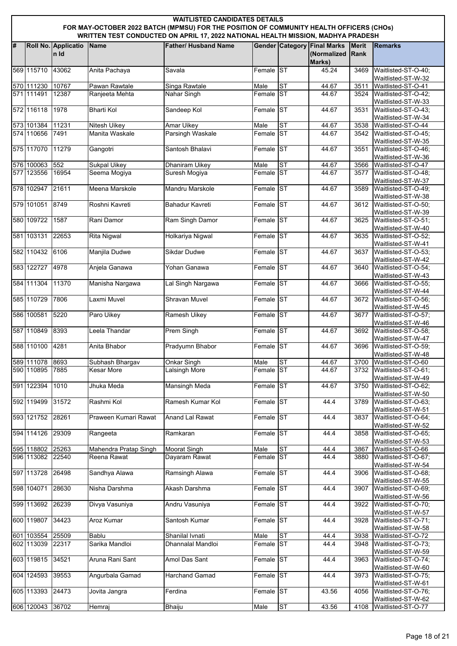|   | <b>WAITLISTED CANDIDATES DETAILS</b><br>FOR MAY-OCTOBER 2022 BATCH (MPMSU) FOR THE POSITION OF COMMUNITY HEALTH OFFICERS (CHOs)<br>WRITTEN TEST CONDUCTED ON APRIL 17, 2022 NATIONAL HEALTH MISSION, MADHYA PRADESH |                             |                       |                             |           |                        |                                             |                             |                                           |  |  |  |
|---|---------------------------------------------------------------------------------------------------------------------------------------------------------------------------------------------------------------------|-----------------------------|-----------------------|-----------------------------|-----------|------------------------|---------------------------------------------|-----------------------------|-------------------------------------------|--|--|--|
| # |                                                                                                                                                                                                                     | Roll No. Applicatio<br>n Id | Name                  | <b>Father/ Husband Name</b> |           | <b>Gender Category</b> | <b>Final Marks</b><br>(Normalized<br>Marks) | <b>Merit</b><br><b>Rank</b> | <b>Remarks</b>                            |  |  |  |
|   | 569 115710                                                                                                                                                                                                          | 43062                       | Anita Pachaya         | Savala                      | Female ST |                        | 45.24                                       | 3469                        | Waitlisted-ST-O-40;<br>Waitlisted-ST-W-32 |  |  |  |
|   | 570 111230                                                                                                                                                                                                          | 10767                       | Pawan Rawtale         | Singa Rawtale               | Male      | S <sub>T</sub>         | 44.67                                       | 3511                        | Waitlisted-ST-O-41                        |  |  |  |
|   | 571 111491                                                                                                                                                                                                          | 12387                       | Ranjeeta Mehta        | Nahar Singh                 | Female ST |                        | 44.67                                       | 3524                        | Waitlisted-ST-O-42;                       |  |  |  |
|   | 572 116118                                                                                                                                                                                                          | 1978                        | <b>Bharti Kol</b>     | Sandeep Kol                 | Female ST |                        | 44.67                                       | 3531                        | Waitlisted-ST-W-33<br>Waitlisted-ST-O-43; |  |  |  |
|   |                                                                                                                                                                                                                     |                             |                       |                             |           |                        |                                             |                             | Waitlisted-ST-W-34                        |  |  |  |
|   | 573 101384                                                                                                                                                                                                          | 11231                       | <b>Nitesh Uikey</b>   | <b>Amar Uikey</b>           | Male      | ST                     | 44.67                                       | 3538                        | Waitlisted-ST-O-44                        |  |  |  |
|   | 574 110656                                                                                                                                                                                                          | 7491                        | Manita Waskale        | <b>Parsingh Waskale</b>     | Female ST |                        | 44.67                                       | 3542                        | Waitlisted-ST-O-45;<br>Waitlisted-ST-W-35 |  |  |  |
|   | 575 117070                                                                                                                                                                                                          | 11279                       | Gangotri              | Santosh Bhalavi             | Female ST |                        | 44.67                                       | 3551                        | Waitlisted-ST-O-46;<br>Waitlisted-ST-W-36 |  |  |  |
|   | 576 100063 552                                                                                                                                                                                                      |                             | <b>Sukpal Uikey</b>   | Dhaniram Uikey              | Male      | ST                     | 44.67                                       | 3566                        | Waitlisted-ST-O-47                        |  |  |  |
|   | 577 123556                                                                                                                                                                                                          | 16954                       | Seema Mogiya          | Suresh Mogiya               | Female ST |                        | 44.67                                       | 3577                        | Waitlisted-ST-O-48;<br>Waitlisted-ST-W-37 |  |  |  |
|   | 578 102947                                                                                                                                                                                                          | 21611                       | Meena Marskole        | Mandru Marskole             | Female ST |                        | 44.67                                       | 3589                        | Waitlisted-ST-O-49;                       |  |  |  |
|   |                                                                                                                                                                                                                     | 8749                        |                       |                             | Female ST |                        |                                             |                             | Waitlisted-ST-W-38                        |  |  |  |
|   | 579 101051                                                                                                                                                                                                          |                             | Roshni Kavreti        | Bahadur Kavreti             |           |                        | 44.67                                       | 3612                        | Waitlisted-ST-O-50;<br>Waitlisted-ST-W-39 |  |  |  |
|   | 580 109722                                                                                                                                                                                                          | 1587                        | Rani Damor            | Ram Singh Damor             | Female ST |                        | 44.67                                       | 3625                        | Waitlisted-ST-O-51;<br>Waitlisted-ST-W-40 |  |  |  |
|   | 581 103131                                                                                                                                                                                                          | 22653                       | <b>Rita Nigwal</b>    | Holkariya Nigwal            | Female ST |                        | 44.67                                       | 3635                        | Waitlisted-ST-O-52;<br>Waitlisted-ST-W-41 |  |  |  |
|   | 582 110432 6106                                                                                                                                                                                                     |                             | Manjila Dudwe         | Sikdar Dudwe                | Female ST |                        | 44.67                                       | 3637                        | Waitlisted-ST-O-53;<br>Waitlisted-ST-W-42 |  |  |  |
|   | 583 122727                                                                                                                                                                                                          | 4978                        | Anjela Ganawa         | Yohan Ganawa                | Female ST |                        | 44.67                                       | 3640                        | Waitlisted-ST-O-54;<br>Waitlisted-ST-W-43 |  |  |  |
|   | 584 111304                                                                                                                                                                                                          | 11370                       | Manisha Nargawa       | Lal Singh Nargawa           | Female ST |                        | 44.67                                       | 3666                        | Waitlisted-ST-O-55;<br>Waitlisted-ST-W-44 |  |  |  |
|   | 585 110729                                                                                                                                                                                                          | 7806                        | Laxmi Muvel           | <b>Shravan Muvel</b>        | Female ST |                        | 44.67                                       | 3672                        | Waitlisted-ST-O-56;<br>Waitlisted-ST-W-45 |  |  |  |
|   | 586 100581                                                                                                                                                                                                          | 5220                        | Paro Uikey            | <b>Ramesh Uikey</b>         | Female ST |                        | 44.67                                       | 3677                        | Waitlisted-ST-O-57;<br>Waitlisted-ST-W-46 |  |  |  |
|   | 587 110849                                                                                                                                                                                                          | 8393                        | Leela Thandar         | <b>Prem Singh</b>           | Female ST |                        | 44.67                                       | 3692                        | Waitlisted-ST-O-58;<br>Waitlisted-ST-W-47 |  |  |  |
|   | 588 110100                                                                                                                                                                                                          | 4281                        | Anita Bhabor          | Pradyumn Bhabor             | Female ST |                        | 44.67                                       | 3696                        | Waitlisted-ST-O-59;<br>Waitlisted-ST-W-48 |  |  |  |
|   | 589 111078 8693                                                                                                                                                                                                     |                             | Subhash Bhargav       | Onkar Singh                 | Male      | ISТ                    | 44.67                                       | 3700                        | Waitlisted-ST-O-60                        |  |  |  |
|   | 590 110895 7885                                                                                                                                                                                                     |                             | <b>Kesar More</b>     | Lalsingh More               | Female ST |                        | 44.67                                       | 3732                        | Waitlisted-ST-O-61:<br>Waitlisted-ST-W-49 |  |  |  |
|   | 591 122394                                                                                                                                                                                                          | 1010                        | Jhuka Meda            | <b>Mansingh Meda</b>        | Female ST |                        | 44.67                                       | 3750                        | Waitlisted-ST-O-62;<br>Waitlisted-ST-W-50 |  |  |  |
|   | 592 119499                                                                                                                                                                                                          | 31572                       | Rashmi Kol            | Ramesh Kumar Kol            | Female ST |                        | 44.4                                        | 3789                        | Waitlisted-ST-O-63;<br>Waitlisted-ST-W-51 |  |  |  |
|   | 593 121752                                                                                                                                                                                                          | 28261                       | Praween Kumari Rawat  | Anand Lal Rawat             | Female ST |                        | 44.4                                        | 3837                        | Waitlisted-ST-O-64;<br>Waitlisted-ST-W-52 |  |  |  |
|   | 594 114126                                                                                                                                                                                                          | 29309                       | Rangeeta              | Ramkaran                    | Female ST |                        | 44.4                                        | 3858                        | Waitlisted-ST-O-65;<br>Waitlisted-ST-W-53 |  |  |  |
|   | 595 118802                                                                                                                                                                                                          | 25263                       | Mahendra Pratap Singh | <b>Moorat Singh</b>         | Male      | ST                     | 44.4                                        | 3867                        | Waitlisted-ST-O-66                        |  |  |  |
|   | 596 113082 22540                                                                                                                                                                                                    |                             | Reena Rawat           | Dayaram Rawat               | Female ST |                        | 44.4                                        | 3880                        | Waitlisted-ST-O-67;<br>Waitlisted-ST-W-54 |  |  |  |
|   | 597 113728                                                                                                                                                                                                          | 26498                       | Sandhya Alawa         | Ramsingh Alawa              | Female ST |                        | 44.4                                        | 3906                        | Waitlisted-ST-O-68;<br>Waitlisted-ST-W-55 |  |  |  |
|   | 598 104071                                                                                                                                                                                                          | 28630                       | Nisha Darshma         | Akash Darshma               | Female ST |                        | 44.4                                        | 3907                        | Waitlisted-ST-O-69;<br>Waitlisted-ST-W-56 |  |  |  |
|   | 599 113692                                                                                                                                                                                                          | 26239                       | Divya Vasuniya        | Andru Vasuniya              | Female ST |                        | 44.4                                        | 3922                        | Waitlisted-ST-O-70;<br>Waitlisted-ST-W-57 |  |  |  |
|   | 600 119807                                                                                                                                                                                                          | 34423                       | Aroz Kumar            | Santosh Kumar               | Female ST |                        | 44.4                                        | 3928                        | Waitlisted-ST-O-71;<br>Waitlisted-ST-W-58 |  |  |  |
|   | 601 103554                                                                                                                                                                                                          | 25509                       | <b>Bablu</b>          | Shanilal Ivnati             | Male      | <b>ST</b>              | 44.4                                        | 3938                        | Waitlisted-ST-O-72                        |  |  |  |
|   | 602 113039                                                                                                                                                                                                          | 22317                       | Sarika Mandloi        | Dhannalal Mandloi           | Female ST |                        | 44.4                                        | 3948                        | Waitlisted-ST-O-73;<br>Waitlisted-ST-W-59 |  |  |  |
|   | 603 119815 34521                                                                                                                                                                                                    |                             | Aruna Rani Sant       | Amol Das Sant               | Female ST |                        | 44.4                                        | 3963                        | Waitlisted-ST-O-74;<br>Waitlisted-ST-W-60 |  |  |  |
|   | 604 124593                                                                                                                                                                                                          | 39553                       | Angurbala Gamad       | <b>Harchand Gamad</b>       | Female ST |                        | 44.4                                        | 3973                        | Waitlisted-ST-O-75;<br>Waitlisted-ST-W-61 |  |  |  |
|   | 605 113393                                                                                                                                                                                                          | 24473                       | Jovita Jangra         | Ferdina                     | Female ST |                        | 43.56                                       | 4056                        | Waitlisted-ST-O-76;<br>Waitlisted-ST-W-62 |  |  |  |
|   | 606 120043 36702                                                                                                                                                                                                    |                             | Hemraj                | <b>Bhaiju</b>               | Male      | ST                     | 43.56                                       | 4108                        | Waitlisted-ST-O-77                        |  |  |  |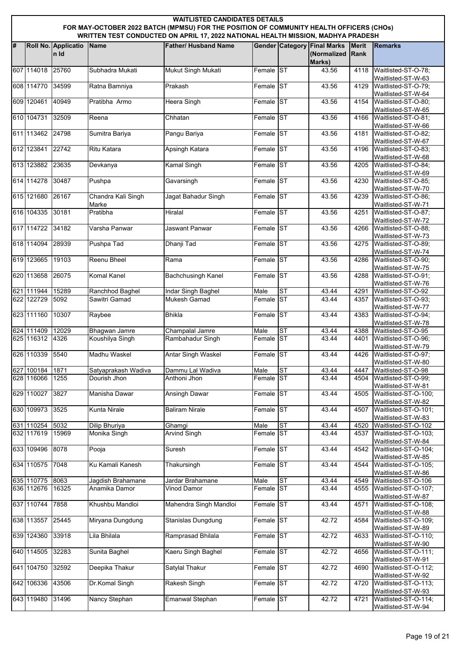|   | <b>WAITLISTED CANDIDATES DETAILS</b><br>FOR MAY-OCTOBER 2022 BATCH (MPMSU) FOR THE POSITION OF COMMUNITY HEALTH OFFICERS (CHOs)<br>WRITTEN TEST CONDUCTED ON APRIL 17, 2022 NATIONAL HEALTH MISSION, MADHYA PRADESH |                             |                             |                             |           |                |                                                   |                             |                                                                 |  |  |  |
|---|---------------------------------------------------------------------------------------------------------------------------------------------------------------------------------------------------------------------|-----------------------------|-----------------------------|-----------------------------|-----------|----------------|---------------------------------------------------|-----------------------------|-----------------------------------------------------------------|--|--|--|
| # |                                                                                                                                                                                                                     | Roll No. Applicatio<br>n Id | Name                        | <b>Father/ Husband Name</b> |           |                | <b>Gender Category Final Marks</b><br>(Normalized | <b>Merit</b><br><b>Rank</b> | <b>Remarks</b>                                                  |  |  |  |
|   | 607 114018                                                                                                                                                                                                          | 25760                       | Subhadra Mukati             | Mukut Singh Mukati          | Female ST |                | Marks)<br>43.56                                   | 4118                        | Waitlisted-ST-O-78;                                             |  |  |  |
|   | 608 114770                                                                                                                                                                                                          | 34599                       | Ratna Bamniya               | Prakash                     | Female ST |                | 43.56                                             | 4129                        | Waitlisted-ST-W-63<br>Waitlisted-ST-O-79;                       |  |  |  |
|   | 609 120461                                                                                                                                                                                                          | 40949                       | Pratibha Armo               | <b>Heera Singh</b>          | Female ST |                | 43.56                                             | 4154                        | Waitlisted-ST-W-64<br>Waitlisted-ST-O-80:                       |  |  |  |
|   | 610 104731                                                                                                                                                                                                          | 32509                       | Reena                       | Chhatan                     | Female ST |                | 43.56                                             | 4166                        | Waitlisted-ST-W-65<br>Waitlisted-ST-O-81;<br>Waitlisted-ST-W-66 |  |  |  |
|   | 611 113462 24798                                                                                                                                                                                                    |                             | Sumitra Bariya              | Pangu Bariya                | Female ST |                | 43.56                                             | 4181                        | Waitlisted-ST-O-82;<br>Waitlisted-ST-W-67                       |  |  |  |
|   | 612 123841                                                                                                                                                                                                          | 22742                       | Ritu Katara                 | Apsingh Katara              | Female ST |                | 43.56                                             | 4196                        | Waitlisted-ST-O-83:<br>Waitlisted-ST-W-68                       |  |  |  |
|   | 613 123882                                                                                                                                                                                                          | 23635                       | Devkanya                    | <b>Kamal Singh</b>          | Female ST |                | 43.56                                             | 4205                        | Waitlisted-ST-O-84;<br>Waitlisted-ST-W-69                       |  |  |  |
|   | 614 114278                                                                                                                                                                                                          | 30487                       | Pushpa                      | Gavarsingh                  | Female ST |                | 43.56                                             | 4230                        | Waitlisted-ST-O-85;<br>Waitlisted-ST-W-70                       |  |  |  |
|   | 615 121680                                                                                                                                                                                                          | 26167                       | Chandra Kali Singh<br>Marke | Jagat Bahadur Singh         | Female ST |                | 43.56                                             | 4239                        | Waitlisted-ST-O-86;<br>Waitlisted-ST-W-71                       |  |  |  |
|   | 616 104335 30181                                                                                                                                                                                                    |                             | Pratibha                    | Hiralal                     | Female ST |                | 43.56                                             | 4251                        | Waitlisted-ST-O-87:<br>Waitlisted-ST-W-72                       |  |  |  |
|   | 617 114722                                                                                                                                                                                                          | 34182                       | Varsha Panwar               | Jaswant Panwar              | Female ST |                | 43.56                                             | 4266                        | Waitlisted-ST-O-88;<br>Waitlisted-ST-W-73                       |  |  |  |
|   | 618 114094                                                                                                                                                                                                          | 28939                       | Pushpa Tad                  | Dhanji Tad                  | Female ST |                | 43.56                                             | 4275                        | Waitlisted-ST-O-89;<br>Waitlisted-ST-W-74                       |  |  |  |
|   | 619 123665                                                                                                                                                                                                          | 19103                       | Reenu Bheel                 | Rama                        | Female ST |                | 43.56                                             | 4286                        | Waitlisted-ST-O-90;<br>Waitlisted-ST-W-75                       |  |  |  |
|   | 620 113658                                                                                                                                                                                                          | 26075                       | <b>Komal Kanel</b>          | <b>Bachchusingh Kanel</b>   | Female ST |                | 43.56                                             | 4288                        | Waitlisted-ST-O-91;<br>Waitlisted-ST-W-76                       |  |  |  |
|   | 621 111944                                                                                                                                                                                                          | 15289                       | Ranchhod Baghel             | Indar Singh Baghel          | Male      | ST             | 43.44                                             | 4291                        | Waitlisted-ST-O-92                                              |  |  |  |
|   | 622 122729                                                                                                                                                                                                          | 5092                        | Sawitri Gamad               | Mukesh Gamad                | Female ST |                | 43.44                                             | 4357                        | Waitlisted-ST-O-93:<br>Waitlisted-ST-W-77                       |  |  |  |
|   | 623 111160                                                                                                                                                                                                          | 10307                       | Raybee                      | <b>Bhikla</b>               | Female ST |                | 43.44                                             | 4383                        | Waitlisted-ST-O-94;<br>Waitlisted-ST-W-78                       |  |  |  |
|   | 624 111409                                                                                                                                                                                                          | 12029                       | <b>Bhagwan Jamre</b>        | Champalal Jamre             | Male      | ST             | 43.44                                             | 4388                        | Waitlisted-ST-O-95                                              |  |  |  |
|   | 625 116312                                                                                                                                                                                                          | 4326                        | Koushilya Singh             | Rambahadur Singh            | Female ST |                | 43.44                                             | 4401                        | Waitlisted-ST-O-96;<br>Waitlisted-ST-W-79                       |  |  |  |
|   | 626 110339 5540                                                                                                                                                                                                     |                             | Madhu Waskel                | <b>Antar Singh Waskel</b>   | Female ST |                | 43.44                                             | 4426                        | Waitlisted-ST-O-97;<br>Waitlisted-ST-W-80                       |  |  |  |
|   | 627 100184                                                                                                                                                                                                          | 1871                        | Satyaprakash Wadiva         | Dammu Lal Wadiva            | Male      | ST             | 43.44                                             | 4447                        | Waitlisted-ST-O-98                                              |  |  |  |
|   | 628 116066                                                                                                                                                                                                          | 1255                        | Dourish Jhon                | Anthoni Jhon                | Female ST |                | 43.44                                             | 4504                        | Waitlisted-ST-O-99:<br>Waitlisted-ST-W-81                       |  |  |  |
|   | 629 110027                                                                                                                                                                                                          | 3827                        | Manisha Dawar               | Ansingh Dawar               | Female ST |                | 43.44                                             | 4505                        | Waitlisted-ST-O-100;<br>Waitlisted-ST-W-82                      |  |  |  |
|   | 630 109973                                                                                                                                                                                                          | 3525                        | <b>Kunta Nirale</b>         | <b>Baliram Nirale</b>       | Female ST |                | 43.44                                             | 4507                        | Waitlisted-ST-O-101;<br>Waitlisted-ST-W-83                      |  |  |  |
|   | 631 110254 5032                                                                                                                                                                                                     |                             | Dilip Bhuriya               | Ghamgi                      | Male      | ST             | 43.44                                             | 4520                        | Waitlisted-ST-O-102                                             |  |  |  |
|   | 632 117619                                                                                                                                                                                                          | 15969                       | Monika Singh                | <b>Arvind Singh</b>         | Female ST |                | 43.44                                             | 4537                        | Waitlisted-ST-O-103;<br>Waitlisted-ST-W-84                      |  |  |  |
|   | 633 109496                                                                                                                                                                                                          | 8078                        | Pooja                       | Suresh                      | Female ST |                | 43.44                                             | 4542                        | Waitlisted-ST-O-104;<br>Waitlisted-ST-W-85                      |  |  |  |
|   | 634 110575                                                                                                                                                                                                          | 7048                        | Ku Kamali Kanesh            | Thakursingh                 | Female ST |                | 43.44                                             | 4544                        | Waitlisted-ST-O-105;<br>Waitlisted-ST-W-86                      |  |  |  |
|   | 635 110775 8063                                                                                                                                                                                                     |                             | Jagdish Brahamane           | Jardar Brahamane            | Male      | S <sub>T</sub> | 43.44                                             | 4549                        | Waitlisted-ST-O-106                                             |  |  |  |
|   | 636 112676                                                                                                                                                                                                          | 16325                       | Anamika Damor               | <b>Vinod Damor</b>          | Female ST |                | 43.44                                             | 4555                        | Waitlisted-ST-O-107;<br>Waitlisted-ST-W-87                      |  |  |  |
|   | 637 110744                                                                                                                                                                                                          | 7858                        | Khushbu Mandloi             | Mahendra Singh Mandloi      | Female ST |                | 43.44                                             | 4571                        | Waitlisted-ST-O-108;<br>Waitlisted-ST-W-88                      |  |  |  |
|   | 638 113557                                                                                                                                                                                                          | 25445                       | Miryana Dungdung            | Stanislas Dungdung          | Female ST |                | 42.72                                             | 4584                        | Waitlisted-ST-O-109;<br>Waitlisted-ST-W-89                      |  |  |  |
|   | 639 124360                                                                                                                                                                                                          | 33918                       | Lila Bhilala                | Ramprasad Bhilala           | Female ST |                | 42.72                                             | 4633                        | Waitlisted-ST-O-110;<br>Waitlisted-ST-W-90                      |  |  |  |
|   | 640 114505                                                                                                                                                                                                          | 32283                       | Sunita Baghel               | Kaeru Singh Baghel          | Female ST |                | 42.72                                             | 4656                        | Waitlisted-ST-O-111;<br>Waitlisted-ST-W-91                      |  |  |  |
|   | 641 104750                                                                                                                                                                                                          | 32592                       | Deepika Thakur              | Satylal Thakur              | Female ST |                | 42.72                                             | 4690                        | Waitlisted-ST-O-112;<br>Waitlisted-ST-W-92                      |  |  |  |
|   | 642 106336                                                                                                                                                                                                          | 43506                       | Dr.Komal Singh              | Rakesh Singh                | Female ST |                | 42.72                                             | 4720                        | Waitlisted-ST-O-113;<br>Waitlisted-ST-W-93                      |  |  |  |
|   | 643 119480                                                                                                                                                                                                          | 31496                       | Nancy Stephan               | Emanwal Stephan             | Female ST |                | 42.72                                             | 4721                        | Waitlisted-ST-O-114;<br>Waitlisted-ST-W-94                      |  |  |  |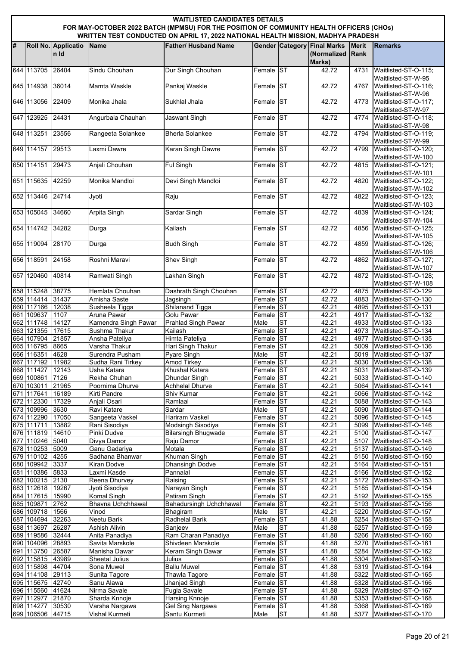|   | <b>WAITLISTED CANDIDATES DETAILS</b><br>FOR MAY-OCTOBER 2022 BATCH (MPMSU) FOR THE POSITION OF COMMUNITY HEALTH OFFICERS (CHOs)<br>WRITTEN TEST CONDUCTED ON APRIL 17, 2022 NATIONAL HEALTH MISSION, MADHYA PRADESH |                             |                                     |                                        |                        |           |                                                             |                             |                                             |  |  |
|---|---------------------------------------------------------------------------------------------------------------------------------------------------------------------------------------------------------------------|-----------------------------|-------------------------------------|----------------------------------------|------------------------|-----------|-------------------------------------------------------------|-----------------------------|---------------------------------------------|--|--|
| # |                                                                                                                                                                                                                     | Roll No. Applicatio<br>n Id | Name                                | <b>Father/ Husband Name</b>            |                        |           | <b>Gender Category Final Marks</b><br>(Normalized<br>Marks) | <b>Merit</b><br><b>Rank</b> | <b>Remarks</b>                              |  |  |
|   | 644 113705                                                                                                                                                                                                          | 26404                       | Sindu Chouhan                       | Dur Singh Chouhan                      | Female ST              |           | 42.72                                                       | 4731                        | Waitlisted-ST-O-115;<br>Waitlisted-ST-W-95  |  |  |
|   | 645 114938                                                                                                                                                                                                          | 36014                       | Mamta Waskle                        | Pankaj Waskle                          | Female ST              |           | 42.72                                                       | 4767                        | Waitlisted-ST-O-116;<br>Waitlisted-ST-W-96  |  |  |
|   | 646 113056                                                                                                                                                                                                          | 22409                       | Monika Jhala                        | Sukhlal Jhala                          | Female ST              |           | 42.72                                                       | 4773                        | Waitlisted-ST-O-117;<br>Waitlisted-ST-W-97  |  |  |
|   | 647 123925                                                                                                                                                                                                          | 24431                       | Angurbala Chauhan                   | Jaswant Singh                          | Female ST              |           | 42.72                                                       | 4774                        | Waitlisted-ST-O-118;<br>Waitlisted-ST-W-98  |  |  |
|   | 648 113251 23556                                                                                                                                                                                                    |                             | Rangeeta Solankee                   | <b>Bherla Solankee</b>                 | Female ST              |           | 42.72                                                       | 4794                        | Waitlisted-ST-O-119;<br>Waitlisted-ST-W-99  |  |  |
|   | 649 114157 29513                                                                                                                                                                                                    |                             | Laxmi Dawre                         | Karan Singh Dawre                      | Female ST              |           | 42.72                                                       | 4799                        | Waitlisted-ST-O-120;<br>Waitlisted-ST-W-100 |  |  |
|   | 650 114151                                                                                                                                                                                                          | 29473                       | Anjali Chouhan                      | <b>Ful Singh</b>                       | Female ST              |           | 42.72                                                       | 4815                        | Waitlisted-ST-O-121;<br>Waitlisted-ST-W-101 |  |  |
|   | 651 115635                                                                                                                                                                                                          | 42259                       | Monika Mandloi                      | Devi Singh Mandloi                     | Female ST              |           | 42.72                                                       | 4820                        | Waitlisted-ST-O-122;<br>Waitlisted-ST-W-102 |  |  |
|   | 652 113446                                                                                                                                                                                                          | 24714                       | Jyoti                               | Raju                                   | Female ST              |           | 42.72                                                       | 4822                        | Waitlisted-ST-O-123;<br>Waitlisted-ST-W-103 |  |  |
|   | 653 105045                                                                                                                                                                                                          | 34660                       | <b>Arpita Singh</b>                 | Sardar Singh                           | Female ST              |           | 42.72                                                       | 4839                        | Waitlisted-ST-O-124:<br>Waitlisted-ST-W-104 |  |  |
|   | 654 114742                                                                                                                                                                                                          | 34282                       | Durga                               | Kailash                                | Female ST              |           | 42.72                                                       | 4856                        | Waitlisted-ST-O-125;<br>Waitlisted-ST-W-105 |  |  |
|   | 655 119094                                                                                                                                                                                                          | 28170                       | Durga                               | <b>Budh Singh</b>                      | Female ST              |           | 42.72                                                       | 4859                        | Waitlisted-ST-O-126;<br>Waitlisted-ST-W-106 |  |  |
|   | 656 118591                                                                                                                                                                                                          | 24158                       | Roshni Maravi                       | <b>Shev Singh</b>                      | Female ST              |           | 42.72                                                       | 4862                        | Waitlisted-ST-O-127;<br>Waitlisted-ST-W-107 |  |  |
|   | 657 120460                                                                                                                                                                                                          | 40814                       | Ramwati Singh                       | Lakhan Singh                           | Female ST              |           | 42.72                                                       | 4872                        | Waitlisted-ST-O-128;<br>Waitlisted-ST-W-108 |  |  |
|   | 658 115248                                                                                                                                                                                                          | 38775                       | Hemlata Chouhan                     | Dashrath Singh Chouhan                 | Female ST              |           | 42.72                                                       | 4875                        | Waitlisted-ST-O-129                         |  |  |
|   | 659 114414 31437                                                                                                                                                                                                    |                             | Amisha Saste                        | Jagsingh                               | Female ST              |           | 42.72                                                       | 4883                        | Waitlisted-ST-O-130                         |  |  |
|   | 660 117166                                                                                                                                                                                                          | 12038                       | Susheela Tigga                      | Shilanand Tigga                        | Female ST              |           | 42.21                                                       | 4895                        | Waitlisted-ST-O-131                         |  |  |
|   | 661 109637<br>662 111748                                                                                                                                                                                            | 1107<br>14127               | Aruna Pawar<br>Kamendra Singh Pawar | Golu Pawar<br>Prahlad Singh Pawar      | Female ST<br>Male      | <b>ST</b> | 42.21<br>42.21                                              | 4917<br>4933                | Waitlisted-ST-O-132<br>Waitlisted-ST-O-133  |  |  |
|   | 663 121355                                                                                                                                                                                                          | 17615                       | Sushma Thakur                       | Kailash                                | Female ST              |           | 42.21                                                       | 4973                        | Waitlisted-ST-O-134                         |  |  |
|   | 664 107904                                                                                                                                                                                                          | 21857                       | Ansha Pateliya                      | <b>Himta Pateliya</b>                  | Female ST              |           | 42.21                                                       | 4977                        | Waitlisted-ST-O-135                         |  |  |
|   | 665 116795                                                                                                                                                                                                          | 8665                        | Varsha Thakur                       | Hari Singh Thakur                      | Female                 | <b>ST</b> | 42.21                                                       | 5009                        | Waitlisted-ST-O-136                         |  |  |
|   | 666 116351                                                                                                                                                                                                          | 4628                        | Surendra Pusham                     | <b>Pyare Singh</b>                     | Male                   | <b>ST</b> | 42.21                                                       | 5019                        | Waitlisted-ST-O-137                         |  |  |
|   | 667 117192 11982                                                                                                                                                                                                    |                             | Sudha Rani Tirkey                   | <b>Amod Tirkey</b>                     | Female ST              |           | 42.21                                                       | 5030                        | Waitlisted-ST-O-138                         |  |  |
|   | 668 111427 12143                                                                                                                                                                                                    |                             | Usha Katara                         | Khushal Katara                         | Female ST              |           | 42.21                                                       | 5031                        | Waitlisted-ST-O-139                         |  |  |
|   | 669 100861 7126                                                                                                                                                                                                     |                             | Rekha Chuhan                        | Dhundar Singh                          | Female ST              |           | 42.21                                                       | 5033                        | Waitlisted-ST-O-140                         |  |  |
|   | 670 103011                                                                                                                                                                                                          | 21965                       | Poornima Dhurve                     | <b>Achhelal Dhurve</b>                 | Female ST              |           | 42.21                                                       |                             | 5064 Waitlisted-ST-O-141                    |  |  |
|   | 671 117641                                                                                                                                                                                                          | 16189                       | Kirti Pandre                        | Shiv Kumar                             | Female ST              |           | 42.21                                                       | 5066                        | Waitlisted-ST-O-142                         |  |  |
|   | 672 112330<br>673 109996 3630                                                                                                                                                                                       | 17329                       | Anjali Osari<br>Ravi Katare         | Ramlaal<br>Sardar                      | Female ST<br>Male      | <b>ST</b> | 42.21<br>42.21                                              | 5088<br>5090                | Waitlisted-ST-O-143<br>Waitlisted-ST-O-144  |  |  |
|   | 674 112290                                                                                                                                                                                                          | 17050                       | Sangeeta Vaskel                     | <b>Hariram Vaskel</b>                  | Female ST              |           | 42.21                                                       | 5096                        | Waitlisted-ST-O-145                         |  |  |
|   | 675 111711                                                                                                                                                                                                          | 13882                       | Rani Sisodiya                       | Modsingh Sisodiya                      | Female ST              |           | 42.21                                                       | 5099                        | Waitlisted-ST-O-146                         |  |  |
|   | 676 111819                                                                                                                                                                                                          | 14610                       | Pinki Dudve                         | <b>Bilarsingh Bhugwade</b>             | Female ST              |           | 42.21                                                       | 5100                        | Waitlisted-ST-O-147                         |  |  |
|   | 677 110246 5040                                                                                                                                                                                                     |                             | Divya Damor                         | Raju Damor                             | Female ST              |           | 42.21                                                       | 5107                        | Waitlisted-ST-O-148                         |  |  |
|   | 678 110253 5009                                                                                                                                                                                                     |                             | Ganu Gadariya                       | Motala                                 | Female ST              |           | 42.21                                                       | 5137                        | Waitlisted-ST-O-149                         |  |  |
|   | 679 110102                                                                                                                                                                                                          | 4255                        | Sadhana Bhanwar                     | Khuman Singh                           | Female ST              |           | 42.21                                                       | 5150                        | Waitlisted-ST-O-150                         |  |  |
|   | 680 109942                                                                                                                                                                                                          | 3337                        | <b>Kiran Dodve</b>                  | <b>Dhansingh Dodve</b>                 | Female ST<br>Female ST |           | 42.21                                                       |                             | 5164 Waitlisted-ST-O-151                    |  |  |
|   | 681 110386<br>682 100215 2130                                                                                                                                                                                       | 5833                        | Laxmi Kasde<br>Reena Dhurvey        | Pannalal<br>Raising                    | Female ST              |           | 42.21<br>42.21                                              | 5166<br>5172                | Waitlisted-ST-O-152<br>Waitlisted-ST-O-153  |  |  |
|   | 683 112618 19267                                                                                                                                                                                                    |                             | Jyoti Sisodiya                      | Narayan Singh                          | Female ST              |           | 42.21                                                       |                             | 5185 Waitlisted-ST-O-154                    |  |  |
|   | 684 117615                                                                                                                                                                                                          | 15990                       | Komal Singh                         | Patiram Singh                          | Female ST              |           | 42.21                                                       |                             | 5192 Waitlisted-ST-O-155                    |  |  |
|   | 685 109871                                                                                                                                                                                                          | 2762                        | Bhavna Uchchhawal                   | Bahadursingh Uchchhawal                | Female ST              |           | 42.21                                                       | 5193                        | Waitlisted-ST-O-156                         |  |  |
|   | 686 109718 1566                                                                                                                                                                                                     |                             | $\overline{V}$ inod                 | <b>Bhagiram</b>                        | Male                   | ST        | 42.21                                                       | 5220                        | Waitlisted-ST-O-157                         |  |  |
|   | 687 104694 32263                                                                                                                                                                                                    |                             | Neetu Barik                         | Radhelal Barik                         | Female ST              |           | 41.88                                                       | 5254                        | Waitlisted-ST-O-158                         |  |  |
|   | 688 113697                                                                                                                                                                                                          | 26287                       | <b>Ashish Alivin</b>                | Sanjeev                                | Male                   | <b>ST</b> | 41.88                                                       | 5257                        | Waitlisted-ST-O-159                         |  |  |
|   | 689 119586                                                                                                                                                                                                          | 32444                       | Anita Panadiya                      | Ram Charan Panadiya                    | Female ST              |           | 41.88                                                       | 5266                        | Waitlisted-ST-O-160                         |  |  |
|   | 690 104096 28893<br>691 113750 26587                                                                                                                                                                                |                             | Savita Marskole<br>Manisha Dawar    | Shivdeen Marskole<br>Keram Singh Dawar | Female ST<br>Female ST |           | 41.88<br>41.88                                              | 5270<br>5284                | Waitlisted-ST-O-161<br>Waitlisted-ST-O-162  |  |  |
|   | 692 115815 43989                                                                                                                                                                                                    |                             | Sheetal Julius                      | Julius                                 | Female ST              |           | 41.88                                                       | 5304                        | Waitlisted-ST-O-163                         |  |  |
|   | 693 115898                                                                                                                                                                                                          | 44704                       | Sona Muwel                          | <b>Ballu Muwel</b>                     | Female ST              |           | 41.88                                                       | 5319                        | Waitlisted-ST-O-164                         |  |  |
|   | 694 114108 29113                                                                                                                                                                                                    |                             | Sunita Tagore                       | Thawla Tagore                          | Female ST              |           | 41.88                                                       | 5322                        | Waitlisted-ST-O-165                         |  |  |
|   | 695 115675 42740                                                                                                                                                                                                    |                             | Sanu Alawa                          | Jhanjad Singh                          | Female ST              |           | 41.88                                                       | 5328                        | Waitlisted-ST-O-166                         |  |  |
|   | 696 115560 41624                                                                                                                                                                                                    |                             | Nirma Savale                        | Fugla Savale                           | Female ST              |           | 41.88                                                       | 5329                        | Waitlisted-ST-O-167                         |  |  |
|   | 697 112977 21870                                                                                                                                                                                                    |                             | Sharda Knnoje                       | Harsing Knnoje                         | Female ST              |           | 41.88                                                       | 5353                        | Waitlisted-ST-O-168                         |  |  |
|   | 698 114277                                                                                                                                                                                                          | 30530                       | Varsha Nargawa                      | Gel Sing Nargawa                       | Female ST              |           | 41.88                                                       | 5368                        | Waitlisted-ST-O-169                         |  |  |
|   | 699 106506                                                                                                                                                                                                          | 44715                       | Vishal Kurmeti                      | Santu Kurmeti                          | Male                   | <b>ST</b> | 41.88                                                       | 5377                        | Waitlisted-ST-O-170                         |  |  |